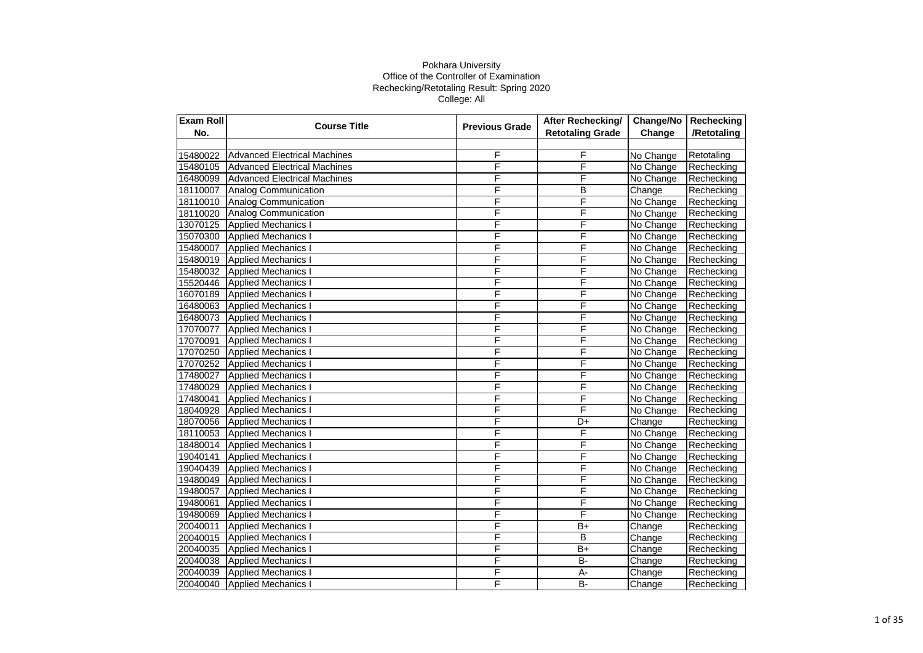| Exam Roll | <b>Course Title</b>                 | <b>Previous Grade</b> | <b>After Rechecking/</b> | Change/No | Rechecking  |
|-----------|-------------------------------------|-----------------------|--------------------------|-----------|-------------|
| No.       |                                     |                       | <b>Retotaling Grade</b>  | Change    | /Retotaling |
|           |                                     |                       |                          |           |             |
| 15480022  | <b>Advanced Electrical Machines</b> | F                     | F                        | No Change | Retotaling  |
| 15480105  | Advanced Electrical Machines        | F                     | F                        | No Change | Rechecking  |
| 16480099  | <b>Advanced Electrical Machines</b> | F                     | F                        | No Change | Rechecking  |
| 18110007  | <b>Analog Communication</b>         | F                     | B                        | Change    | Rechecking  |
| 18110010  | Analog Communication                | F                     | F                        | No Change | Rechecking  |
| 18110020  | Analog Communication                | F                     | F                        | No Change | Rechecking  |
| 13070125  | <b>Applied Mechanics I</b>          | F                     | F                        | No Change | Rechecking  |
| 15070300  | Applied Mechanics I                 | F                     | F                        | No Change | Rechecking  |
| 15480007  | <b>Applied Mechanics I</b>          | F                     | F                        | No Change | Rechecking  |
| 15480019  | <b>Applied Mechanics I</b>          | F                     | F                        | No Change | Rechecking  |
| 15480032  | <b>Applied Mechanics I</b>          | F                     | F                        | No Change | Rechecking  |
| 15520446  | <b>Applied Mechanics I</b>          | F                     | F                        | No Change | Rechecking  |
| 16070189  | <b>Applied Mechanics I</b>          | F                     | F                        | No Change | Rechecking  |
| 16480063  | <b>Applied Mechanics I</b>          | F                     | F                        | No Change | Rechecking  |
| 16480073  | <b>Applied Mechanics I</b>          | F                     | F                        | No Change | Rechecking  |
| 17070077  | <b>Applied Mechanics I</b>          | F                     | F                        | No Change | Rechecking  |
| 17070091  | <b>Applied Mechanics I</b>          | F                     | F                        | No Change | Rechecking  |
| 17070250  | <b>Applied Mechanics I</b>          | F                     | F                        | No Change | Rechecking  |
| 17070252  | <b>Applied Mechanics I</b>          | F                     | F                        | No Change | Rechecking  |
| 17480027  | <b>Applied Mechanics I</b>          | F                     | F                        | No Change | Rechecking  |
| 17480029  | <b>Applied Mechanics I</b>          | F                     | F                        | No Change | Rechecking  |
| 17480041  | <b>Applied Mechanics I</b>          | F                     | F                        | No Change | Rechecking  |
| 18040928  | <b>Applied Mechanics I</b>          | F                     | F                        | No Change | Rechecking  |
| 18070056  | <b>Applied Mechanics I</b>          | F                     | D+                       | Change    | Rechecking  |
| 18110053  | <b>Applied Mechanics I</b>          | F                     | F                        | No Change | Rechecking  |
| 18480014  | <b>Applied Mechanics I</b>          | F                     | F                        | No Change | Rechecking  |
| 19040141  | <b>Applied Mechanics I</b>          | F                     | F                        | No Change | Rechecking  |
| 19040439  | <b>Applied Mechanics I</b>          | F                     | F                        | No Change | Rechecking  |
| 19480049  | <b>Applied Mechanics I</b>          | F                     | F                        | No Change | Rechecking  |
| 19480057  | <b>Applied Mechanics I</b>          | F                     | F                        | No Change | Rechecking  |
| 19480061  | <b>Applied Mechanics I</b>          | F                     | F                        | No Change | Rechecking  |
| 19480069  | <b>Applied Mechanics I</b>          | F                     | F                        | No Change | Rechecking  |
| 20040011  | <b>Applied Mechanics I</b>          | F                     | $B+$                     | Change    | Rechecking  |
| 20040015  | <b>Applied Mechanics I</b>          | F                     | B                        | Change    | Rechecking  |
| 20040035  | <b>Applied Mechanics I</b>          | F                     | $B+$                     | Change    | Rechecking  |
| 20040038  | <b>Applied Mechanics I</b>          | F                     | <b>B-</b>                | Change    | Rechecking  |
| 20040039  | <b>Applied Mechanics I</b>          | F                     | $A -$                    | Change    | Rechecking  |
| 20040040  | <b>Applied Mechanics I</b>          | F                     | <b>B-</b>                | Change    | Rechecking  |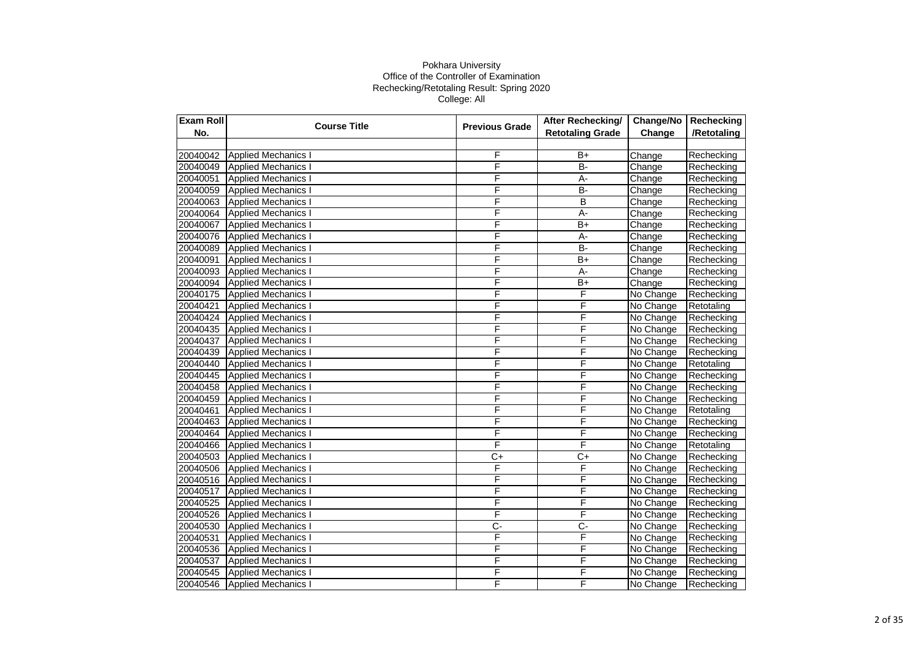| Exam Roll | <b>Course Title</b>        | <b>Previous Grade</b> | After Rechecking/       | Change/No | Rechecking  |
|-----------|----------------------------|-----------------------|-------------------------|-----------|-------------|
| No.       |                            |                       | <b>Retotaling Grade</b> | Change    | /Retotaling |
|           |                            |                       |                         |           |             |
| 20040042  | <b>Applied Mechanics I</b> | F                     | B+                      | Change    | Rechecking  |
| 20040049  | <b>Applied Mechanics I</b> | F                     | $B -$                   | Change    | Rechecking  |
| 20040051  | <b>Applied Mechanics I</b> | F                     | $A -$                   | Change    | Rechecking  |
| 20040059  | <b>Applied Mechanics I</b> | F                     | $B -$                   | Change    | Rechecking  |
| 20040063  | <b>Applied Mechanics I</b> | F                     | B                       | Change    | Rechecking  |
| 20040064  | <b>Applied Mechanics I</b> | F                     | A-                      | Change    | Rechecking  |
| 20040067  | <b>Applied Mechanics I</b> | F                     | $B+$                    | Change    | Rechecking  |
| 20040076  | <b>Applied Mechanics I</b> | F                     | A-                      | Change    | Rechecking  |
| 20040089  | <b>Applied Mechanics I</b> | F                     | B-                      | Change    | Rechecking  |
| 20040091  | Applied Mechanics I        | F                     | $B+$                    | Change    | Rechecking  |
| 20040093  | <b>Applied Mechanics I</b> | F                     | A-                      | Change    | Rechecking  |
| 20040094  | <b>Applied Mechanics I</b> | F                     | $B+$                    | Change    | Rechecking  |
| 20040175  | <b>Applied Mechanics I</b> | F                     | F                       | No Change | Rechecking  |
| 20040421  | <b>Applied Mechanics I</b> | F                     | F                       | No Change | Retotaling  |
| 20040424  | <b>Applied Mechanics I</b> | F                     | F                       | No Change | Rechecking  |
| 20040435  | <b>Applied Mechanics I</b> | F                     | F                       | No Change | Rechecking  |
| 20040437  | <b>Applied Mechanics I</b> | F                     | F                       | No Change | Rechecking  |
| 20040439  | <b>Applied Mechanics I</b> | F                     | F                       | No Change | Rechecking  |
| 20040440  | Applied Mechanics I        | F                     | F                       | No Change | Retotaling  |
| 20040445  | <b>Applied Mechanics I</b> | F                     | F                       | No Change | Rechecking  |
| 20040458  | <b>Applied Mechanics I</b> | F                     | F                       | No Change | Rechecking  |
| 20040459  | <b>Applied Mechanics I</b> | F                     | F                       | No Change | Rechecking  |
| 20040461  | <b>Applied Mechanics I</b> | F                     | F                       | No Change | Retotaling  |
| 20040463  | <b>Applied Mechanics I</b> | F                     | F                       | No Change | Rechecking  |
| 20040464  | <b>Applied Mechanics I</b> | F                     | F                       | No Change | Rechecking  |
| 20040466  | <b>Applied Mechanics I</b> | F                     | F                       | No Change | Retotaling  |
| 20040503  | <b>Applied Mechanics I</b> | C+                    | $C+$                    | No Change | Rechecking  |
| 20040506  | <b>Applied Mechanics I</b> | F                     | F                       | No Change | Rechecking  |
| 20040516  | <b>Applied Mechanics I</b> | F                     | F                       | No Change | Rechecking  |
| 20040517  | <b>Applied Mechanics I</b> | F                     | F                       | No Change | Rechecking  |
| 20040525  | <b>Applied Mechanics I</b> | F                     | F                       | No Change | Rechecking  |
| 20040526  | <b>Applied Mechanics I</b> | F                     | F                       | No Change | Rechecking  |
| 20040530  | <b>Applied Mechanics I</b> | $\overline{C}$        | Ç-                      | No Change | Rechecking  |
| 20040531  | <b>Applied Mechanics I</b> | F                     | F                       | No Change | Rechecking  |
| 20040536  | <b>Applied Mechanics I</b> | F                     | F                       | No Change | Rechecking  |
| 20040537  | <b>Applied Mechanics I</b> | F                     | F                       | No Change | Rechecking  |
| 20040545  | <b>Applied Mechanics I</b> | F                     | F                       | No Change | Rechecking  |
| 20040546  | <b>Applied Mechanics I</b> | F                     | F                       | No Change | Rechecking  |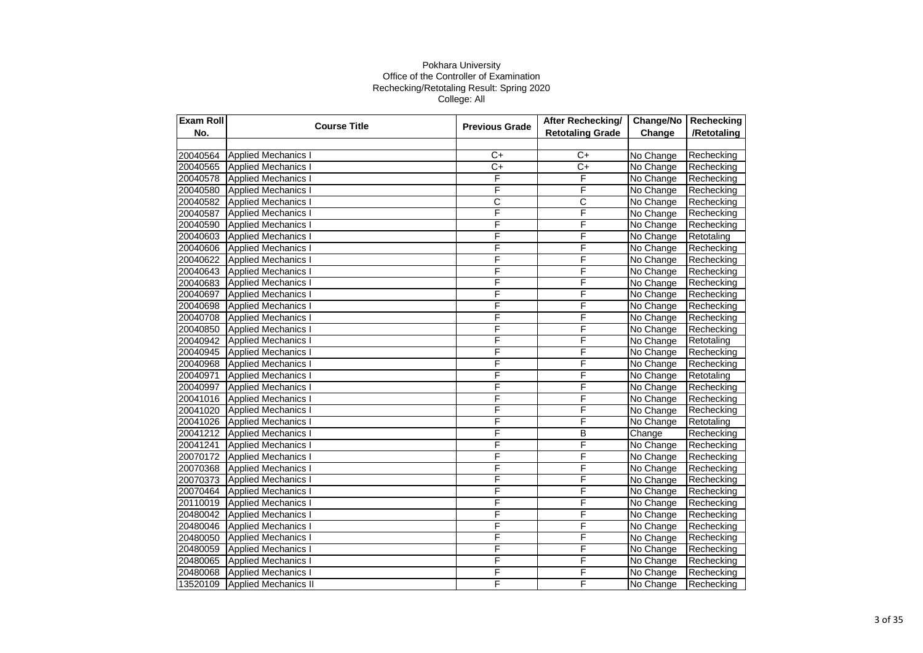| <b>Exam Roll</b> | <b>Course Title</b>         | <b>Previous Grade</b> | After Rechecking/       | Change/No | Rechecking  |
|------------------|-----------------------------|-----------------------|-------------------------|-----------|-------------|
| No.              |                             |                       | <b>Retotaling Grade</b> | Change    | /Retotaling |
|                  |                             |                       |                         |           |             |
| 20040564         | <b>Applied Mechanics I</b>  | $C+$                  | $C+$                    | No Change | Rechecking  |
| 20040565         | <b>Applied Mechanics I</b>  | $\overline{C}$        | $\overline{C}$          | No Change | Rechecking  |
| 20040578         | <b>Applied Mechanics I</b>  | F                     | $\overline{F}$          | No Change | Rechecking  |
| 20040580         | <b>Applied Mechanics I</b>  | F                     | F                       | No Change | Rechecking  |
| 20040582         | <b>Applied Mechanics I</b>  | $\overline{\text{c}}$ | C                       | No Change | Rechecking  |
| 20040587         | <b>Applied Mechanics I</b>  | F                     | F                       | No Change | Rechecking  |
| 20040590         | <b>Applied Mechanics I</b>  | F                     | F                       | No Change | Rechecking  |
| 20040603         | <b>Applied Mechanics I</b>  | F                     | F                       | No Change | Retotaling  |
| 20040606         | <b>Applied Mechanics I</b>  | F                     | F                       | No Change | Rechecking  |
| 20040622         | <b>Applied Mechanics I</b>  | F                     | $\overline{\mathsf{F}}$ | No Change | Rechecking  |
| 20040643         | <b>Applied Mechanics I</b>  | F                     | F                       | No Change | Rechecking  |
| 20040683         | <b>Applied Mechanics I</b>  | F                     | F                       | No Change | Rechecking  |
| 20040697         | <b>Applied Mechanics I</b>  | F                     | F                       | No Change | Rechecking  |
| 20040698         | <b>Applied Mechanics I</b>  | F                     | F                       | No Change | Rechecking  |
| 20040708         | <b>Applied Mechanics I</b>  | F                     | F                       | No Change | Rechecking  |
| 20040850         | <b>Applied Mechanics I</b>  | F                     | F                       | No Change | Rechecking  |
| 20040942         | <b>Applied Mechanics I</b>  | F                     | F                       | No Change | Retotaling  |
| 20040945         | <b>Applied Mechanics I</b>  | F                     | F                       | No Change | Rechecking  |
| 20040968         | <b>Applied Mechanics I</b>  | F                     | F                       | No Change | Rechecking  |
| 20040971         | <b>Applied Mechanics I</b>  | F                     | F                       | No Change | Retotaling  |
| 20040997         | <b>Applied Mechanics I</b>  | F                     | F                       | No Change | Rechecking  |
| 20041016         | <b>Applied Mechanics I</b>  | Ē                     | F                       | No Change | Rechecking  |
| 20041020         | <b>Applied Mechanics I</b>  | F                     | F                       | No Change | Rechecking  |
| 20041026         | <b>Applied Mechanics I</b>  | F                     | F                       | No Change | Retotaling  |
| 20041212         | <b>Applied Mechanics I</b>  | F                     | $\overline{B}$          | Change    | Rechecking  |
| 20041241         | <b>Applied Mechanics I</b>  | F                     | F                       | No Change | Rechecking  |
| 20070172         | <b>Applied Mechanics I</b>  | F                     | F                       | No Change | Rechecking  |
| 20070368         | <b>Applied Mechanics I</b>  | F                     | F                       | No Change | Rechecking  |
| 20070373         | <b>Applied Mechanics I</b>  | F                     | F                       | No Change | Rechecking  |
| 20070464         | <b>Applied Mechanics I</b>  | F                     | F                       | No Change | Rechecking  |
| 20110019         | <b>Applied Mechanics I</b>  | F                     | F                       | No Change | Rechecking  |
| 20480042         | <b>Applied Mechanics I</b>  | F                     | F                       | No Change | Rechecking  |
| 20480046         | <b>Applied Mechanics I</b>  | F                     | F                       | No Change | Rechecking  |
| 20480050         | <b>Applied Mechanics I</b>  | F                     | F                       | No Change | Rechecking  |
| 20480059         | <b>Applied Mechanics I</b>  | F                     | F                       | No Change | Rechecking  |
| 20480065         | <b>Applied Mechanics I</b>  | F                     | F                       | No Change | Rechecking  |
| 20480068         | <b>Applied Mechanics I</b>  | F                     | F                       | No Change | Rechecking  |
| 13520109         | <b>Applied Mechanics II</b> | F                     | F                       | No Change | Rechecking  |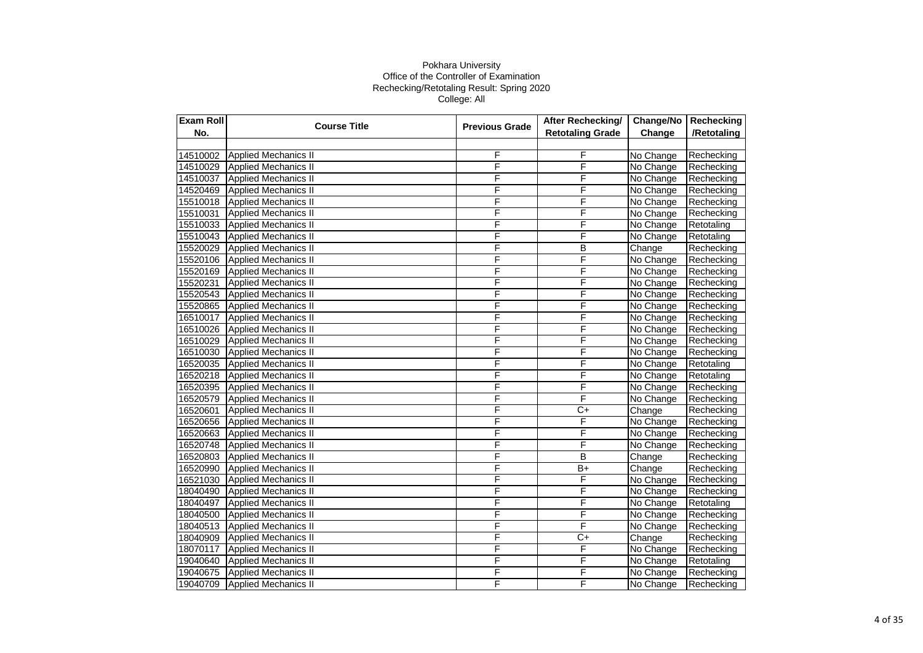| Exam Roll | <b>Course Title</b>         | <b>Previous Grade</b> | After Rechecking/       | Change/No | Rechecking  |
|-----------|-----------------------------|-----------------------|-------------------------|-----------|-------------|
| No.       |                             |                       | <b>Retotaling Grade</b> | Change    | /Retotaling |
|           |                             |                       |                         |           |             |
| 14510002  | <b>Applied Mechanics II</b> | F                     | F                       | No Change | Rechecking  |
| 14510029  | Applied Mechanics II        | F                     | F                       | No Change | Rechecking  |
| 14510037  | <b>Applied Mechanics II</b> | F                     | F                       | No Change | Rechecking  |
| 14520469  | <b>Applied Mechanics II</b> | F                     | F                       | No Change | Rechecking  |
| 15510018  | <b>Applied Mechanics II</b> | F                     | F                       | No Change | Rechecking  |
| 15510031  | <b>Applied Mechanics II</b> | F                     | F                       | No Change | Rechecking  |
| 15510033  | <b>Applied Mechanics II</b> | F                     | F                       | No Change | Retotaling  |
| 15510043  | <b>Applied Mechanics II</b> | F                     | F                       | No Change | Retotaling  |
| 15520029  | <b>Applied Mechanics II</b> | F                     | B                       | Change    | Rechecking  |
| 15520106  | Applied Mechanics II        | F                     | $\overline{\mathsf{F}}$ | No Change | Rechecking  |
| 15520169  | <b>Applied Mechanics II</b> | F                     | F                       | No Change | Rechecking  |
| 15520231  | <b>Applied Mechanics II</b> | F                     | F                       | No Change | Rechecking  |
| 15520543  | Applied Mechanics II        | F                     | F                       | No Change | Rechecking  |
| 15520865  | <b>Applied Mechanics II</b> | F                     | F                       | No Change | Rechecking  |
| 16510017  | Applied Mechanics II        | F                     | F                       | No Change | Rechecking  |
| 16510026  | <b>Applied Mechanics II</b> | F                     | F                       | No Change | Rechecking  |
| 16510029  | <b>Applied Mechanics II</b> | F                     | F                       | No Change | Rechecking  |
| 16510030  | <b>Applied Mechanics II</b> | F                     | F                       | No Change | Rechecking  |
| 16520035  | <b>Applied Mechanics II</b> | F                     | F                       | No Change | Retotaling  |
| 16520218  | Applied Mechanics II        | F                     | F                       | No Change | Retotaling  |
| 16520395  | <b>Applied Mechanics II</b> | F                     | F                       | No Change | Rechecking  |
| 16520579  | <b>Applied Mechanics II</b> | F                     | F                       | No Change | Rechecking  |
| 16520601  | <b>Applied Mechanics II</b> | F                     | $C+$                    | Change    | Rechecking  |
| 16520656  | <b>Applied Mechanics II</b> | F                     | F                       | No Change | Rechecking  |
| 16520663  | Applied Mechanics II        | F                     | F                       | No Change | Rechecking  |
| 16520748  | Applied Mechanics II        | F                     | F                       | No Change | Rechecking  |
| 16520803  | <b>Applied Mechanics II</b> | F                     | B                       | Change    | Rechecking  |
| 16520990  | <b>Applied Mechanics II</b> | F                     | $B+$                    | Change    | Rechecking  |
| 16521030  | <b>Applied Mechanics II</b> | F                     | F                       | No Change | Rechecking  |
| 18040490  | <b>Applied Mechanics II</b> | F                     | F                       | No Change | Rechecking  |
| 18040497  | Applied Mechanics II        | F                     | F                       | No Change | Retotaling  |
| 18040500  | <b>Applied Mechanics II</b> | F                     | F                       | No Change | Rechecking  |
| 18040513  | <b>Applied Mechanics II</b> | F                     | F                       | No Change | Rechecking  |
| 18040909  | Applied Mechanics II        | F                     | $C+$                    | Change    | Rechecking  |
| 18070117  | <b>Applied Mechanics II</b> | F                     | F                       | No Change | Rechecking  |
| 19040640  | <b>Applied Mechanics II</b> | F                     | F                       | No Change | Retotaling  |
| 19040675  | <b>Applied Mechanics II</b> | F                     | F                       | No Change | Rechecking  |
| 19040709  | <b>Applied Mechanics II</b> | F                     | F                       | No Change | Rechecking  |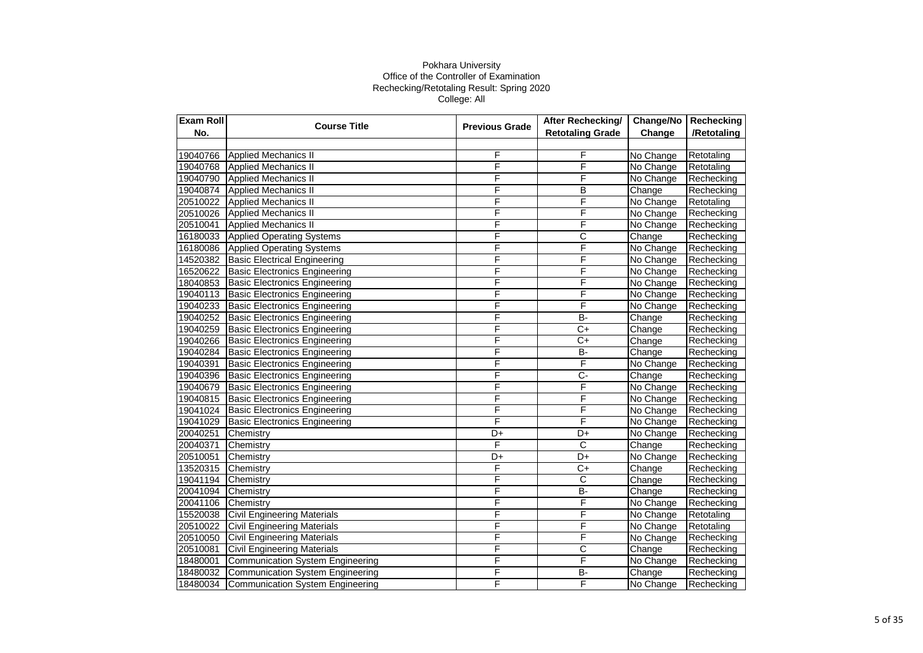| Exam Roll | <b>Course Title</b>                     | <b>Previous Grade</b> | After Rechecking/       | Change/No | Rechecking  |
|-----------|-----------------------------------------|-----------------------|-------------------------|-----------|-------------|
| No.       |                                         |                       | <b>Retotaling Grade</b> | Change    | /Retotaling |
|           |                                         |                       |                         |           |             |
| 19040766  | Applied Mechanics II                    | F                     | F                       | No Change | Retotaling  |
| 19040768  | Applied Mechanics II                    | F                     | F                       | No Change | Retotaling  |
| 19040790  | <b>Applied Mechanics II</b>             | F                     | F                       | No Change | Rechecking  |
| 19040874  | Applied Mechanics II                    | F                     | B                       | Change    | Rechecking  |
| 20510022  | <b>Applied Mechanics II</b>             | F                     | F                       | No Change | Retotaling  |
| 20510026  | <b>Applied Mechanics II</b>             | F                     | F                       | No Change | Rechecking  |
| 20510041  | <b>Applied Mechanics II</b>             | F                     | F                       | No Change | Rechecking  |
| 16180033  | <b>Applied Operating Systems</b>        | F                     | $\overline{\text{c}}$   | Change    | Rechecking  |
| 16180086  | <b>Applied Operating Systems</b>        | F                     | F                       | No Change | Rechecking  |
| 14520382  | <b>Basic Electrical Engineering</b>     | F                     | F                       | No Change | Rechecking  |
| 16520622  | <b>Basic Electronics Engineering</b>    | F                     | F                       | No Change | Rechecking  |
| 18040853  | <b>Basic Electronics Engineering</b>    | F                     | F                       | No Change | Rechecking  |
| 19040113  | <b>Basic Electronics Engineering</b>    | F                     | F                       | No Change | Rechecking  |
| 19040233  | <b>Basic Electronics Engineering</b>    | F                     | F                       | No Change | Rechecking  |
| 19040252  | <b>Basic Electronics Engineering</b>    | F                     | <b>B-</b>               | Change    | Rechecking  |
| 19040259  | <b>Basic Electronics Engineering</b>    | F                     | $C+$                    | Change    | Rechecking  |
| 19040266  | <b>Basic Electronics Engineering</b>    | F                     | C+                      | Change    | Rechecking  |
| 19040284  | <b>Basic Electronics Engineering</b>    | F                     | $B -$                   | Change    | Rechecking  |
| 19040391  | <b>Basic Electronics Engineering</b>    | F                     | F                       | No Change | Rechecking  |
| 19040396  | <b>Basic Electronics Engineering</b>    | F                     | $\overline{C}$          | Change    | Rechecking  |
| 19040679  | <b>Basic Electronics Engineering</b>    | F                     | F                       | No Change | Rechecking  |
| 19040815  | <b>Basic Electronics Engineering</b>    | F                     | F                       | No Change | Rechecking  |
| 19041024  | <b>Basic Electronics Engineering</b>    | F                     | F                       | No Change | Rechecking  |
| 19041029  | <b>Basic Electronics Engineering</b>    | F                     | F                       | No Change | Rechecking  |
| 20040251  | Chemistry                               | D+                    | D+                      | No Change | Rechecking  |
| 20040371  | Chemistry                               | F                     | $\overline{\text{c}}$   | Change    | Rechecking  |
| 20510051  | Chemistry                               | D+                    | D+                      | No Change | Rechecking  |
| 13520315  | Chemistry                               | F                     | C+                      | Change    | Rechecking  |
| 19041194  | Chemistry                               | F                     | C                       | Change    | Rechecking  |
| 20041094  | Chemistry                               | F                     | $\overline{B}$          | Change    | Rechecking  |
| 20041106  | Chemistry                               | F                     | F                       | No Change | Rechecking  |
| 15520038  | <b>Civil Engineering Materials</b>      | F                     | F                       | No Change | Retotaling  |
| 20510022  | <b>Civil Engineering Materials</b>      | F                     | F                       | No Change | Retotaling  |
| 20510050  | <b>Civil Engineering Materials</b>      | F                     | F                       | No Change | Rechecking  |
| 20510081  | <b>Civil Engineering Materials</b>      | F                     | C                       | Change    | Rechecking  |
| 18480001  | <b>Communication System Engineering</b> | F                     | F                       | No Change | Rechecking  |
| 18480032  | <b>Communication System Engineering</b> | F                     | B-                      | Change    | Rechecking  |
| 18480034  | Communication System Engineering        | F                     | F                       | No Change | Rechecking  |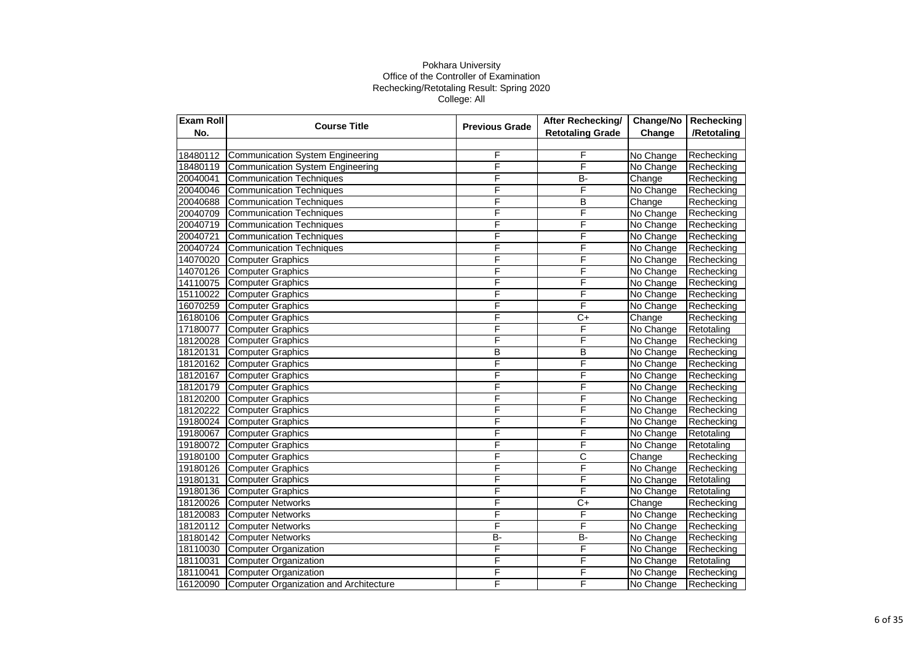| Exam Roll | <b>Course Title</b><br><b>Previous Grade</b> | After Rechecking/       | Change/No               | Rechecking |             |
|-----------|----------------------------------------------|-------------------------|-------------------------|------------|-------------|
| No.       |                                              |                         | <b>Retotaling Grade</b> | Change     | /Retotaling |
|           |                                              |                         |                         |            |             |
| 18480112  | Communication System Engineering             | F                       | F                       | No Change  | Rechecking  |
| 18480119  | Communication System Engineering             | F                       | F                       | No Change  | Rechecking  |
| 20040041  | Communication Techniques                     | F                       | B-                      | Change     | Rechecking  |
| 20040046  | Communication Techniques                     | F                       | F                       | No Change  | Rechecking  |
| 20040688  | <b>Communication Techniques</b>              | F                       | B                       | Change     | Rechecking  |
| 20040709  | Communication Techniques                     | F                       | F                       | No Change  | Rechecking  |
| 20040719  | Communication Techniques                     | F                       | F                       | No Change  | Rechecking  |
| 20040721  | Communication Techniques                     | F                       | F                       | No Change  | Rechecking  |
| 20040724  | Communication Techniques                     | F                       | F                       | No Change  | Rechecking  |
| 14070020  | <b>Computer Graphics</b>                     | F                       | F                       | No Change  | Rechecking  |
| 14070126  | <b>Computer Graphics</b>                     | F                       | F                       | No Change  | Rechecking  |
| 14110075  | <b>Computer Graphics</b>                     | F                       | F                       | No Change  | Rechecking  |
| 15110022  | <b>Computer Graphics</b>                     | F                       | F                       | No Change  | Rechecking  |
| 16070259  | <b>Computer Graphics</b>                     | F                       | F                       | No Change  | Rechecking  |
| 16180106  | <b>Computer Graphics</b>                     | F                       | $\overline{C+}$         | Change     | Rechecking  |
| 17180077  | <b>Computer Graphics</b>                     | F                       | F                       | No Change  | Retotaling  |
| 18120028  | <b>Computer Graphics</b>                     | F                       | F                       | No Change  | Rechecking  |
| 18120131  | <b>Computer Graphics</b>                     | $\overline{\mathsf{B}}$ | B                       | No Change  | Rechecking  |
| 18120162  | <b>Computer Graphics</b>                     | F                       | F                       | No Change  | Rechecking  |
| 18120167  | Computer Graphics                            | F                       | F                       | No Change  | Rechecking  |
| 18120179  | <b>Computer Graphics</b>                     | $\overline{F}$          | F                       | No Change  | Rechecking  |
| 18120200  | <b>Computer Graphics</b>                     | F                       | F                       | No Change  | Rechecking  |
| 18120222  | <b>Computer Graphics</b>                     | F                       | F                       | No Change  | Rechecking  |
| 19180024  | <b>Computer Graphics</b>                     | F                       | F                       | No Change  | Rechecking  |
| 19180067  | <b>Computer Graphics</b>                     | F                       | F                       | No Change  | Retotaling  |
| 19180072  | <b>Computer Graphics</b>                     | F                       | F                       | No Change  | Retotaling  |
| 19180100  | <b>Computer Graphics</b>                     | F                       | $\overline{\text{c}}$   | Change     | Rechecking  |
| 19180126  | <b>Computer Graphics</b>                     | F                       | F                       | No Change  | Rechecking  |
| 19180131  | <b>Computer Graphics</b>                     | F                       | F                       | No Change  | Retotaling  |
| 19180136  | <b>Computer Graphics</b>                     | F                       | F                       | No Change  | Retotaling  |
| 18120026  | <b>Computer Networks</b>                     | F                       | $\overline{C+}$         | Change     | Rechecking  |
| 18120083  | <b>Computer Networks</b>                     | F                       | F                       | No Change  | Rechecking  |
| 18120112  | <b>Computer Networks</b>                     | F                       | F                       | No Change  | Rechecking  |
| 18180142  | <b>Computer Networks</b>                     | $B -$                   | $B -$                   | No Change  | Rechecking  |
| 18110030  | Computer Organization                        | F                       | F                       | No Change  | Rechecking  |
| 18110031  | Computer Organization                        | F                       | F                       | No Change  | Retotaling  |
| 18110041  | <b>Computer Organization</b>                 | F                       | F                       | No Change  | Rechecking  |
| 16120090  | Computer Organization and Architecture       | F                       | F                       | No Change  | Rechecking  |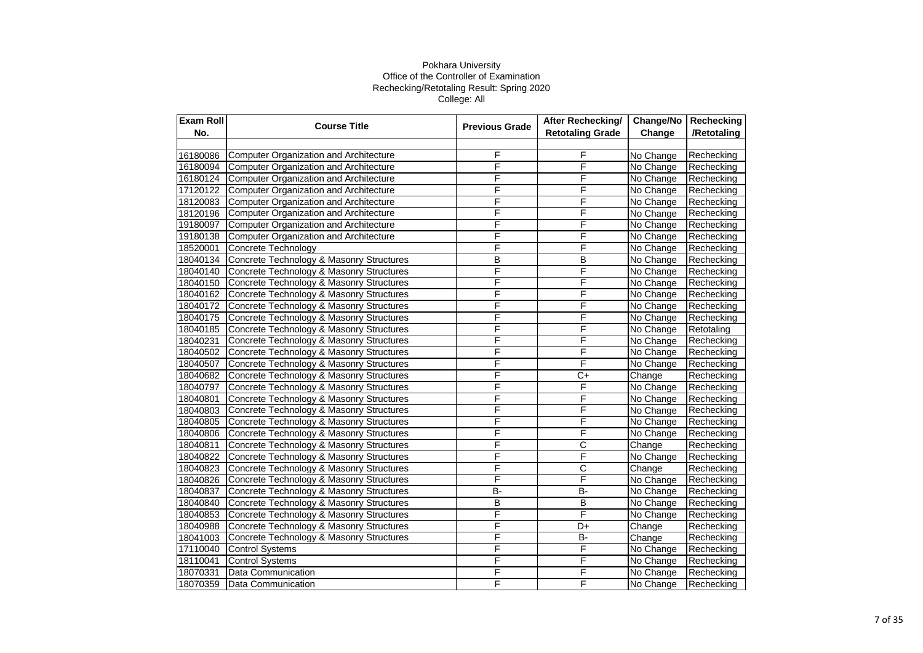| <b>Exam Roll</b> | <b>Course Title</b>                             | <b>Previous Grade</b> | After Rechecking/       |           | Change/No   Rechecking |
|------------------|-------------------------------------------------|-----------------------|-------------------------|-----------|------------------------|
| No.              |                                                 |                       | <b>Retotaling Grade</b> | Change    | /Retotaling            |
|                  |                                                 |                       |                         |           |                        |
| 16180086         | Computer Organization and Architecture          | F                     | F                       | No Change | Rechecking             |
|                  | 16180094 Computer Organization and Architecture | F                     | F                       | No Change | Rechecking             |
| 16180124         | Computer Organization and Architecture          | F                     | F                       | No Change | Rechecking             |
| 17120122         | Computer Organization and Architecture          | F                     | F                       | No Change | Rechecking             |
| 18120083         | Computer Organization and Architecture          | F                     | F                       | No Change | Rechecking             |
| 18120196         | Computer Organization and Architecture          | F                     | F                       | No Change | Rechecking             |
| 19180097         | Computer Organization and Architecture          | F                     | F                       | No Change | Rechecking             |
| 19180138         | Computer Organization and Architecture          | F                     | F                       | No Change | Rechecking             |
| 18520001         | Concrete Technology                             | F                     | F                       | No Change | Rechecking             |
| 18040134         | Concrete Technology & Masonry Structures        | B                     | B                       | No Change | Rechecking             |
| 18040140         | Concrete Technology & Masonry Structures        | F                     | F                       | No Change | Rechecking             |
| 18040150         | Concrete Technology & Masonry Structures        | F                     | F                       | No Change | Rechecking             |
| 18040162         | Concrete Technology & Masonry Structures        | F                     | F                       | No Change | Rechecking             |
| 18040172         | Concrete Technology & Masonry Structures        | F                     | F                       | No Change | Rechecking             |
| 18040175         | Concrete Technology & Masonry Structures        | F                     | F                       | No Change | Rechecking             |
| 18040185         | Concrete Technology & Masonry Structures        | F                     | $\overline{\mathsf{F}}$ | No Change | Retotaling             |
| 18040231         | Concrete Technology & Masonry Structures        | F                     | F                       | No Change | Rechecking             |
| 18040502         | Concrete Technology & Masonry Structures        | F                     | F                       | No Change | Rechecking             |
| 18040507         | Concrete Technology & Masonry Structures        | F                     | $\overline{F}$          | No Change | Rechecking             |
| 18040682         | Concrete Technology & Masonry Structures        | F                     | $\overline{C+}$         | Change    | Rechecking             |
| 18040797         | Concrete Technology & Masonry Structures        | F                     | F                       | No Change | Rechecking             |
| 18040801         | Concrete Technology & Masonry Structures        | F                     | F                       | No Change | Rechecking             |
| 18040803         | Concrete Technology & Masonry Structures        | F                     | F                       | No Change | Rechecking             |
| 18040805         | Concrete Technology & Masonry Structures        | F                     | F                       | No Change | Rechecking             |
| 18040806         | Concrete Technology & Masonry Structures        | F                     | $\overline{F}$          | No Change | Rechecking             |
| 18040811         | Concrete Technology & Masonry Structures        | F                     | $\overline{\text{c}}$   | Change    | Rechecking             |
| 18040822         | Concrete Technology & Masonry Structures        | F                     | $\overline{F}$          | No Change | Rechecking             |
| 18040823         | Concrete Technology & Masonry Structures        | F                     | $\overline{\text{c}}$   | Change    | Rechecking             |
| 18040826         | Concrete Technology & Masonry Structures        | F                     | F                       | No Change | Rechecking             |
| 18040837         | Concrete Technology & Masonry Structures        | B-                    | $B -$                   | No Change | Rechecking             |
| 18040840         | Concrete Technology & Masonry Structures        | B                     | $\overline{B}$          | No Change | Rechecking             |
| 18040853         | Concrete Technology & Masonry Structures        | F                     | F                       | No Change | Rechecking             |
| 18040988         | Concrete Technology & Masonry Structures        | F                     | D+                      | Change    | Rechecking             |
| 18041003         | Concrete Technology & Masonry Structures        | F                     | $B -$                   | Change    | Rechecking             |
| 17110040         | <b>Control Systems</b>                          | F                     | F                       | No Change | Rechecking             |
| 18110041         | <b>Control Systems</b>                          | F                     | F                       | No Change | Rechecking             |
| 18070331         | Data Communication                              | F                     | F                       | No Change | Rechecking             |
| 18070359         | <b>Data Communication</b>                       | F                     | F                       | No Change | Rechecking             |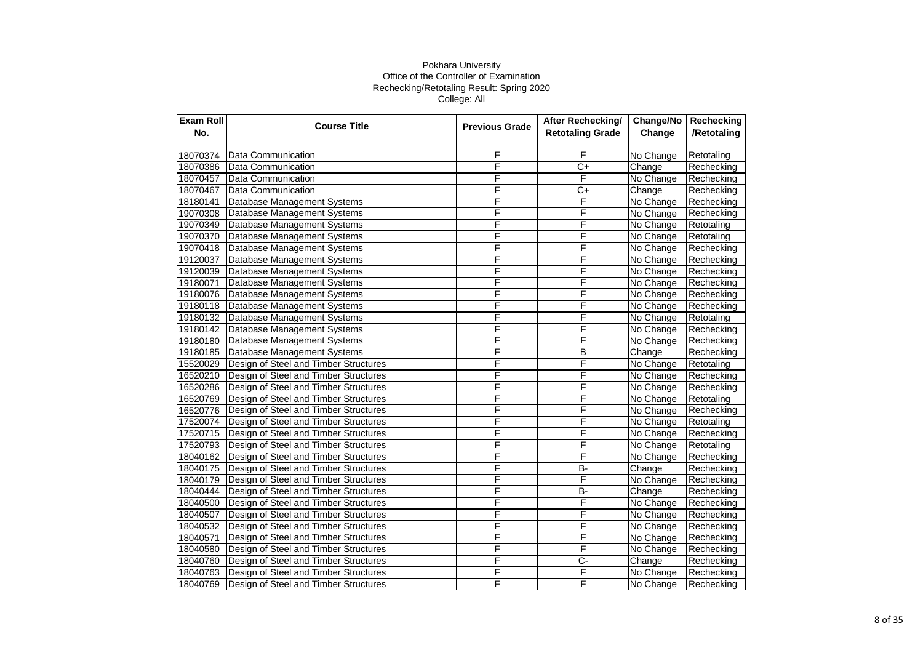| Exam Roll | <b>Course Title</b>                   | <b>Previous Grade</b> | <b>After Rechecking/</b> | Change/No                  | Rechecking  |
|-----------|---------------------------------------|-----------------------|--------------------------|----------------------------|-------------|
| No.       |                                       |                       | <b>Retotaling Grade</b>  | Change                     | /Retotaling |
|           |                                       |                       |                          |                            |             |
| 18070374  | Data Communication                    | F                     | F                        | No Change                  | Retotaling  |
| 18070386  | Data Communication                    | F                     | $\overline{C+}$          | Change                     | Rechecking  |
| 18070457  | Data Communication                    | F                     | F                        | No Change                  | Rechecking  |
| 18070467  | Data Communication                    | F                     | $C+$                     | $\overline{\text{Change}}$ | Rechecking  |
| 18180141  | Database Management Systems           | F                     | F                        | No Change                  | Rechecking  |
| 19070308  | Database Management Systems           | F                     | F                        | No Change                  | Rechecking  |
| 19070349  | Database Management Systems           | F                     | F                        | No Change                  | Retotaling  |
| 19070370  | Database Management Systems           | F                     | F                        | No Change                  | Retotaling  |
| 19070418  | Database Management Systems           | F                     | F                        | No Change                  | Rechecking  |
| 19120037  | Database Management Systems           | F                     | F                        | No Change                  | Rechecking  |
| 19120039  | Database Management Systems           | F                     | F                        | No Change                  | Rechecking  |
| 19180071  | Database Management Systems           | F                     | F                        | No Change                  | Rechecking  |
| 19180076  | Database Management Systems           | F                     | F                        | No Change                  | Rechecking  |
| 19180118  | Database Management Systems           | F                     | F                        | No Change                  | Rechecking  |
| 19180132  | Database Management Systems           | F                     | F                        | No Change                  | Retotaling  |
| 19180142  | Database Management Systems           | F                     | F                        | No Change                  | Rechecking  |
| 19180180  | Database Management Systems           | F                     | F                        | No Change                  | Rechecking  |
| 19180185  | Database Management Systems           | F                     | B                        | Change                     | Rechecking  |
| 15520029  | Design of Steel and Timber Structures | F                     | F                        | No Change                  | Retotaling  |
| 16520210  | Design of Steel and Timber Structures | F                     | F                        | No Change                  | Rechecking  |
| 16520286  | Design of Steel and Timber Structures | F                     | F                        | No Change                  | Rechecking  |
| 16520769  | Design of Steel and Timber Structures | F                     | F                        | No Change                  | Retotaling  |
| 16520776  | Design of Steel and Timber Structures | F                     | F                        | No Change                  | Rechecking  |
| 17520074  | Design of Steel and Timber Structures | F                     | F                        | No Change                  | Retotaling  |
| 17520715  | Design of Steel and Timber Structures | F                     | F                        | No Change                  | Rechecking  |
| 17520793  | Design of Steel and Timber Structures | F                     | F                        | No Change                  | Retotaling  |
| 18040162  | Design of Steel and Timber Structures | F                     | F                        | No Change                  | Rechecking  |
| 18040175  | Design of Steel and Timber Structures | F                     | B-                       | Change                     | Rechecking  |
| 18040179  | Design of Steel and Timber Structures | F                     | F                        | No Change                  | Rechecking  |
| 18040444  | Design of Steel and Timber Structures | F                     | $B -$                    | Change                     | Rechecking  |
| 18040500  | Design of Steel and Timber Structures | F                     | F                        | No Change                  | Rechecking  |
| 18040507  | Design of Steel and Timber Structures | F                     | F                        | No Change                  | Rechecking  |
| 18040532  | Design of Steel and Timber Structures | F                     | F                        | No Change                  | Rechecking  |
| 18040571  | Design of Steel and Timber Structures | F                     | F                        | No Change                  | Rechecking  |
| 18040580  | Design of Steel and Timber Structures | F                     | F                        | No Change                  | Rechecking  |
| 18040760  | Design of Steel and Timber Structures | F                     | $\overline{C}$           | Change                     | Rechecking  |
| 18040763  | Design of Steel and Timber Structures | F                     | F                        | No Change                  | Rechecking  |
| 18040769  | Design of Steel and Timber Structures | F                     | F                        | No Change                  | Rechecking  |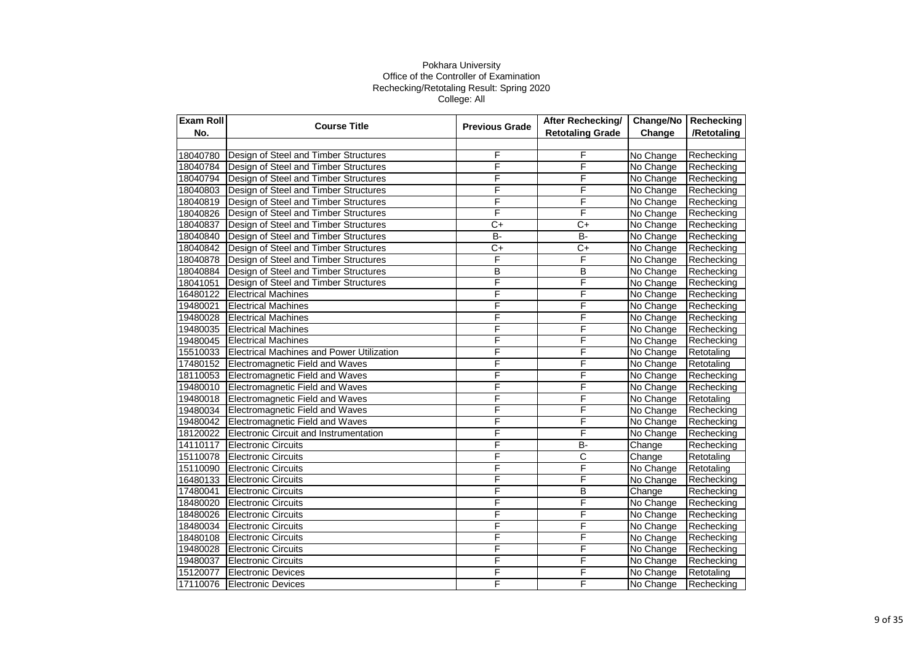| Exam Roll | <b>Course Title</b>                              | <b>Previous Grade</b> | After Rechecking/       | Change/No | Rechecking  |
|-----------|--------------------------------------------------|-----------------------|-------------------------|-----------|-------------|
| No.       |                                                  |                       | <b>Retotaling Grade</b> | Change    | /Retotaling |
|           |                                                  |                       |                         |           |             |
| 18040780  | Design of Steel and Timber Structures            | F                     | F                       | No Change | Rechecking  |
| 18040784  | Design of Steel and Timber Structures            | F                     | F                       | No Change | Rechecking  |
| 18040794  | Design of Steel and Timber Structures            | F                     | F                       | No Change | Rechecking  |
| 18040803  | Design of Steel and Timber Structures            | F                     | F                       | No Change | Rechecking  |
| 18040819  | Design of Steel and Timber Structures            | F                     | F                       | No Change | Rechecking  |
| 18040826  | Design of Steel and Timber Structures            | F                     | F                       | No Change | Rechecking  |
| 18040837  | Design of Steel and Timber Structures            | $C+$                  | C+                      | No Change | Rechecking  |
| 18040840  | Design of Steel and Timber Structures            | B-                    | $\overline{B}$          | No Change | Rechecking  |
| 18040842  | Design of Steel and Timber Structures            | $\overline{C+}$       | $\overline{C+}$         | No Change | Rechecking  |
| 18040878  | Design of Steel and Timber Structures            | F                     | F                       | No Change | Rechecking  |
| 18040884  | Design of Steel and Timber Structures            | B                     | B                       | No Change | Rechecking  |
| 18041051  | Design of Steel and Timber Structures            | F                     | F                       | No Change | Rechecking  |
| 16480122  | <b>Electrical Machines</b>                       | F                     | F                       | No Change | Rechecking  |
| 19480021  | <b>Electrical Machines</b>                       | F                     | F                       | No Change | Rechecking  |
| 19480028  | <b>Electrical Machines</b>                       | F                     | F                       | No Change | Rechecking  |
| 19480035  | <b>Electrical Machines</b>                       | F                     | F                       | No Change | Rechecking  |
| 19480045  | <b>Electrical Machines</b>                       | F                     | F                       | No Change | Rechecking  |
| 15510033  | <b>Electrical Machines and Power Utilization</b> | F                     | F                       | No Change | Retotaling  |
| 17480152  | Electromagnetic Field and Waves                  | F                     | F                       | No Change | Retotaling  |
| 18110053  | Electromagnetic Field and Waves                  | F                     | F                       | No Change | Rechecking  |
| 19480010  | Electromagnetic Field and Waves                  | F                     | F                       | No Change | Rechecking  |
| 19480018  | Electromagnetic Field and Waves                  | F                     | F                       | No Change | Retotaling  |
| 19480034  | Electromagnetic Field and Waves                  | F                     | F                       | No Change | Rechecking  |
| 19480042  | Electromagnetic Field and Waves                  | F                     | F                       | No Change | Rechecking  |
| 18120022  | Electronic Circuit and Instrumentation           | F                     | F                       | No Change | Rechecking  |
| 14110117  | <b>Electronic Circuits</b>                       | F                     | $\overline{B}$          | Change    | Rechecking  |
| 15110078  | <b>Electronic Circuits</b>                       | F                     | $\overline{\text{c}}$   | Change    | Retotaling  |
| 15110090  | <b>Electronic Circuits</b>                       | F                     | F                       | No Change | Retotaling  |
| 16480133  | <b>Electronic Circuits</b>                       | F                     | F                       | No Change | Rechecking  |
| 17480041  | <b>Electronic Circuits</b>                       | F                     | $\overline{B}$          | Change    | Rechecking  |
| 18480020  | Electronic Circuits                              | F                     | F                       | No Change | Rechecking  |
| 18480026  | Electronic Circuits                              | F                     | F                       | No Change | Rechecking  |
| 18480034  | <b>Electronic Circuits</b>                       | F                     | F                       | No Change | Rechecking  |
| 18480108  | <b>Electronic Circuits</b>                       | F                     | F                       | No Change | Rechecking  |
| 19480028  | <b>Electronic Circuits</b>                       | F                     | F                       | No Change | Rechecking  |
| 19480037  | <b>Electronic Circuits</b>                       | F                     | F                       | No Change | Rechecking  |
| 15120077  | <b>Electronic Devices</b>                        | F                     | F                       | No Change | Retotaling  |
| 17110076  | <b>Electronic Devices</b>                        | F                     | F                       | No Change | Rechecking  |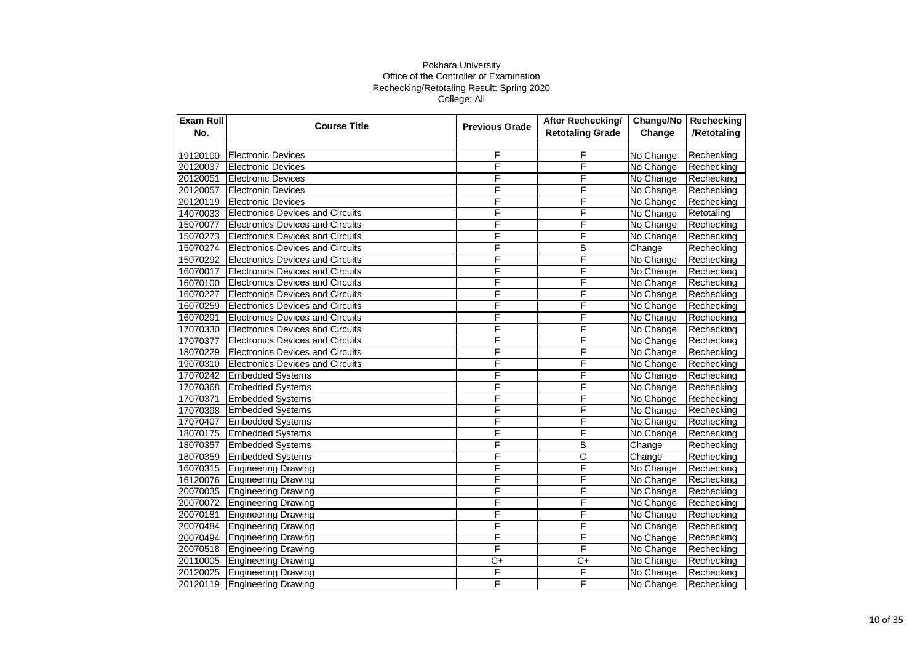| <b>Exam Roll</b> | <b>Course Title</b><br><b>Previous Grade</b> | After Rechecking/ | Change/No               | Rechecking |             |
|------------------|----------------------------------------------|-------------------|-------------------------|------------|-------------|
| No.              |                                              |                   | <b>Retotaling Grade</b> | Change     | /Retotaling |
|                  |                                              |                   |                         |            |             |
| 19120100         | <b>Electronic Devices</b>                    | F                 | F                       | No Change  | Rechecking  |
| 20120037         | <b>Electronic Devices</b>                    | F                 | F                       | No Change  | Rechecking  |
| 20120051         | <b>Electronic Devices</b>                    | F                 | F                       | No Change  | Rechecking  |
| 20120057         | <b>Electronic Devices</b>                    | F                 | F                       | No Change  | Rechecking  |
| 20120119         | <b>Electronic Devices</b>                    | F                 | F                       | No Change  | Rechecking  |
| 14070033         | <b>Electronics Devices and Circuits</b>      | F                 | F                       | No Change  | Retotaling  |
| 15070077         | <b>Electronics Devices and Circuits</b>      | F                 | F                       | No Change  | Rechecking  |
| 15070273         | <b>Electronics Devices and Circuits</b>      | F                 | F                       | No Change  | Rechecking  |
| 15070274         | Electronics Devices and Circuits             | F                 | B                       | Change     | Rechecking  |
| 15070292         | <b>Electronics Devices and Circuits</b>      | F                 | F                       | No Change  | Rechecking  |
| 16070017         | <b>Electronics Devices and Circuits</b>      | F                 | F                       | No Change  | Rechecking  |
| 16070100         | <b>Electronics Devices and Circuits</b>      | F                 | F                       | No Change  | Rechecking  |
| 16070227         | <b>Electronics Devices and Circuits</b>      | F                 | F                       | No Change  | Rechecking  |
| 16070259         | <b>Electronics Devices and Circuits</b>      | F                 | F                       | No Change  | Rechecking  |
| 16070291         | <b>Electronics Devices and Circuits</b>      | F                 | F                       | No Change  | Rechecking  |
| 17070330         | <b>Electronics Devices and Circuits</b>      | F                 | F                       | No Change  | Rechecking  |
| 17070377         | <b>Electronics Devices and Circuits</b>      | F                 | F                       | No Change  | Rechecking  |
| 18070229         | <b>Electronics Devices and Circuits</b>      | F                 | F                       | No Change  | Rechecking  |
| 19070310         | Electronics Devices and Circuits             | F                 | F                       | No Change  | Rechecking  |
| 17070242         | <b>Embedded Systems</b>                      | F                 | F                       | No Change  | Rechecking  |
| 17070368         | <b>Embedded Systems</b>                      | F                 | F                       | No Change  | Rechecking  |
| 17070371         | <b>Embedded Systems</b>                      | F                 | F                       | No Change  | Rechecking  |
| 17070398         | <b>Embedded Systems</b>                      | F                 | F                       | No Change  | Rechecking  |
| 17070407         | <b>Embedded Systems</b>                      | F                 | F                       | No Change  | Rechecking  |
| 18070175         | <b>Embedded Systems</b>                      | F                 | F                       | No Change  | Rechecking  |
| 18070357         | <b>Embedded Systems</b>                      | F                 | B                       | Change     | Rechecking  |
| 18070359         | <b>Embedded Systems</b>                      | F                 | $\overline{\text{c}}$   | Change     | Rechecking  |
| 16070315         | <b>Engineering Drawing</b>                   | F                 | F                       | No Change  | Rechecking  |
| 16120076         | <b>Engineering Drawing</b>                   | F                 | F                       | No Change  | Rechecking  |
| 20070035         | <b>Engineering Drawing</b>                   | F                 | F                       | No Change  | Rechecking  |
| 20070072         | <b>Engineering Drawing</b>                   | F                 | F                       | No Change  | Rechecking  |
| 20070181         | <b>Engineering Drawing</b>                   | F                 | F                       | No Change  | Rechecking  |
| 20070484         | <b>Engineering Drawing</b>                   | F                 | F                       | No Change  | Rechecking  |
| 20070494         | <b>Engineering Drawing</b>                   | F                 | F                       | No Change  | Rechecking  |
| 20070518         | <b>Engineering Drawing</b>                   | F                 | F                       | No Change  | Rechecking  |
| 20110005         | <b>Engineering Drawing</b>                   | $C+$              | $C+$                    | No Change  | Rechecking  |
| 20120025         | <b>Engineering Drawing</b>                   | F                 | F                       | No Change  | Rechecking  |
| 20120119         | <b>Engineering Drawing</b>                   | F                 | F                       | No Change  | Rechecking  |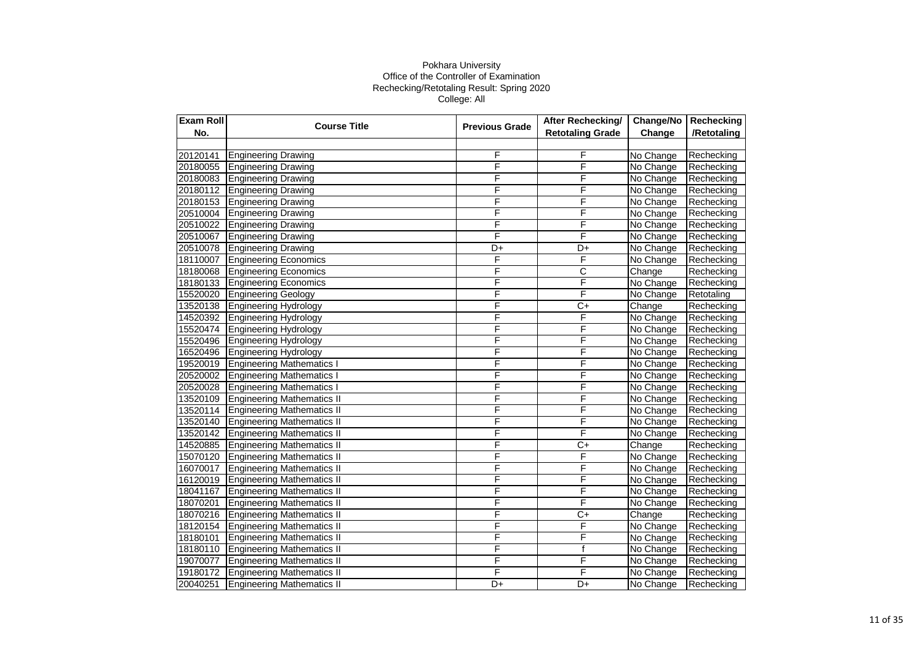| Exam Roll | <b>Course Title</b>               | <b>Previous Grade</b> | After Rechecking/       | Change/No | Rechecking  |
|-----------|-----------------------------------|-----------------------|-------------------------|-----------|-------------|
| No.       |                                   |                       | <b>Retotaling Grade</b> | Change    | /Retotaling |
|           |                                   |                       |                         |           |             |
| 20120141  | <b>Engineering Drawing</b>        | F                     | F                       | No Change | Rechecking  |
| 20180055  | <b>Engineering Drawing</b>        | F                     | F                       | No Change | Rechecking  |
| 20180083  | <b>Engineering Drawing</b>        | F                     | F                       | No Change | Rechecking  |
| 20180112  | <b>Engineering Drawing</b>        | F                     | F                       | No Change | Rechecking  |
| 20180153  | <b>Engineering Drawing</b>        | F                     | F                       | No Change | Rechecking  |
| 20510004  | <b>Engineering Drawing</b>        | F                     | F                       | No Change | Rechecking  |
| 20510022  | <b>Engineering Drawing</b>        | F                     | F                       | No Change | Rechecking  |
| 20510067  | <b>Engineering Drawing</b>        | F                     | F                       | No Change | Rechecking  |
| 20510078  | <b>Engineering Drawing</b>        | D+                    | D+                      | No Change | Rechecking  |
| 18110007  | <b>Engineering Economics</b>      | F                     | F                       | No Change | Rechecking  |
| 18180068  | <b>Engineering Economics</b>      | F                     | $\overline{\text{c}}$   | Change    | Rechecking  |
| 18180133  | <b>Engineering Economics</b>      | F                     | F                       | No Change | Rechecking  |
| 15520020  | <b>Engineering Geology</b>        | F                     | F                       | No Change | Retotaling  |
| 13520138  | <b>Engineering Hydrology</b>      | F                     | $\overline{C+}$         | Change    | Rechecking  |
| 14520392  | <b>Engineering Hydrology</b>      | F                     | F                       | No Change | Rechecking  |
| 15520474  | <b>Engineering Hydrology</b>      | F                     | F                       | No Change | Rechecking  |
| 15520496  | <b>Engineering Hydrology</b>      | F                     | F                       | No Change | Rechecking  |
| 16520496  | <b>Engineering Hydrology</b>      | F                     | F                       | No Change | Rechecking  |
| 19520019  | <b>Engineering Mathematics I</b>  | F                     | F                       | No Change | Rechecking  |
| 20520002  | <b>Engineering Mathematics I</b>  | F                     | F                       | No Change | Rechecking  |
| 20520028  | <b>Engineering Mathematics I</b>  | F                     | F                       | No Change | Rechecking  |
| 13520109  | <b>Engineering Mathematics II</b> | F                     | F                       | No Change | Rechecking  |
| 13520114  | <b>Engineering Mathematics II</b> | F                     | F                       | No Change | Rechecking  |
| 13520140  | <b>Engineering Mathematics II</b> | F                     | F                       | No Change | Rechecking  |
| 13520142  | <b>Engineering Mathematics II</b> | F                     | F                       | No Change | Rechecking  |
| 14520885  | <b>Engineering Mathematics II</b> | F                     | C+                      | Change    | Rechecking  |
| 15070120  | <b>Engineering Mathematics II</b> | F                     | F                       | No Change | Rechecking  |
| 16070017  | <b>Engineering Mathematics II</b> | F                     | F                       | No Change | Rechecking  |
| 16120019  | <b>Engineering Mathematics II</b> | F                     | F                       | No Change | Rechecking  |
| 18041167  | <b>Engineering Mathematics II</b> | F                     | F                       | No Change | Rechecking  |
| 18070201  | <b>Engineering Mathematics II</b> | F                     | F                       | No Change | Rechecking  |
| 18070216  | <b>Engineering Mathematics II</b> | F                     | $\overline{C}$          | Change    | Rechecking  |
| 18120154  | <b>Engineering Mathematics II</b> | F                     | F                       | No Change | Rechecking  |
| 18180101  | <b>Engineering Mathematics II</b> | F                     | F                       | No Change | Rechecking  |
| 18180110  | <b>Engineering Mathematics II</b> | F                     | f                       | No Change | Rechecking  |
| 19070077  | <b>Engineering Mathematics II</b> | F                     | F                       | No Change | Rechecking  |
| 19180172  | <b>Engineering Mathematics II</b> | F                     | F                       | No Change | Rechecking  |
| 20040251  | <b>Engineering Mathematics II</b> | D+                    | D+                      | No Change | Rechecking  |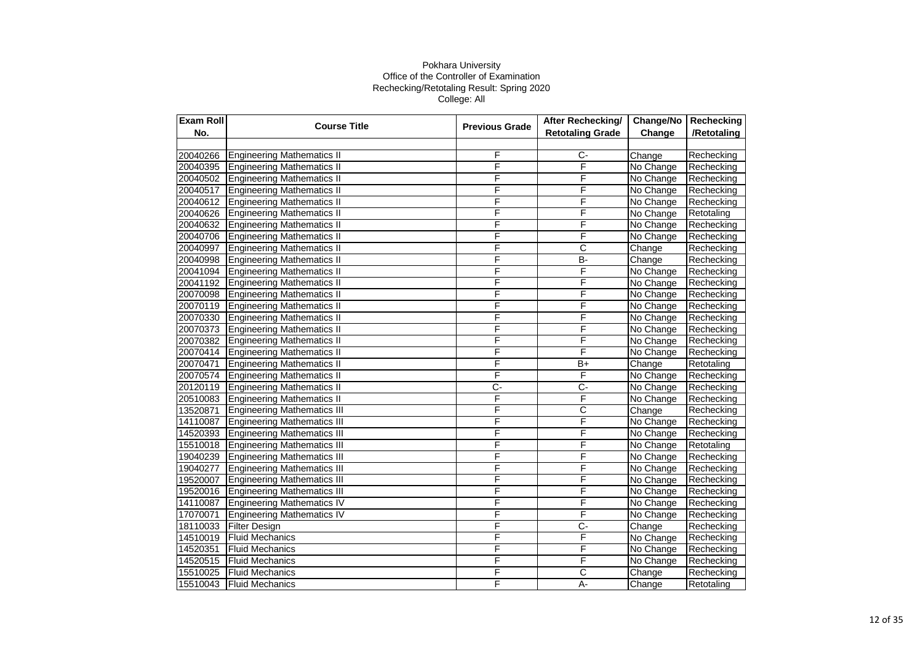| Exam Roll | <b>Course Title</b>                | <b>Previous Grade</b> | After Rechecking/       | Change/No | Rechecking  |
|-----------|------------------------------------|-----------------------|-------------------------|-----------|-------------|
| No.       |                                    |                       | <b>Retotaling Grade</b> | Change    | /Retotaling |
|           |                                    |                       |                         |           |             |
| 20040266  | <b>Engineering Mathematics II</b>  | F                     | $C-$                    | Change    | Rechecking  |
| 20040395  | <b>Engineering Mathematics II</b>  | F                     | F                       | No Change | Rechecking  |
| 20040502  | <b>Engineering Mathematics II</b>  | F                     | F                       | No Change | Rechecking  |
| 20040517  | <b>Engineering Mathematics II</b>  | F                     | F                       | No Change | Rechecking  |
| 20040612  | <b>Engineering Mathematics II</b>  | F                     | F                       | No Change | Rechecking  |
| 20040626  | <b>Engineering Mathematics II</b>  | F                     | F                       | No Change | Retotaling  |
| 20040632  | <b>Engineering Mathematics II</b>  | F                     | F                       | No Change | Rechecking  |
| 20040706  | <b>Engineering Mathematics II</b>  | F                     | F                       | No Change | Rechecking  |
| 20040997  | <b>Engineering Mathematics II</b>  | F                     | $\overline{\text{c}}$   | Change    | Rechecking  |
| 20040998  | <b>Engineering Mathematics II</b>  | F                     | <b>B-</b>               | Change    | Rechecking  |
| 20041094  | <b>Engineering Mathematics II</b>  | F                     | F                       | No Change | Rechecking  |
| 20041192  | <b>Engineering Mathematics II</b>  | F                     | F                       | No Change | Rechecking  |
| 20070098  | <b>Engineering Mathematics II</b>  | F                     | F                       | No Change | Rechecking  |
| 20070119  | <b>Engineering Mathematics II</b>  | F                     | F                       | No Change | Rechecking  |
| 20070330  | <b>Engineering Mathematics II</b>  | F                     | F                       | No Change | Rechecking  |
| 20070373  | <b>Engineering Mathematics II</b>  | F                     | F                       | No Change | Rechecking  |
| 20070382  | <b>Engineering Mathematics II</b>  | F                     | F                       | No Change | Rechecking  |
| 20070414  | <b>Engineering Mathematics II</b>  | F                     | F                       | No Change | Rechecking  |
| 20070471  | <b>Engineering Mathematics II</b>  | F                     | B+                      | Change    | Retotaling  |
| 20070574  | <b>Engineering Mathematics II</b>  | F                     | F                       | No Change | Rechecking  |
| 20120119  | <b>Engineering Mathematics II</b>  | $\overline{C}$        | $\overline{C}$          | No Change | Rechecking  |
| 20510083  | <b>Engineering Mathematics II</b>  | F                     | F                       | No Change | Rechecking  |
| 13520871  | <b>Engineering Mathematics III</b> | F                     | С                       | Change    | Rechecking  |
| 14110087  | <b>Engineering Mathematics III</b> | F                     | F                       | No Change | Rechecking  |
| 14520393  | <b>Engineering Mathematics III</b> | F                     | F                       | No Change | Rechecking  |
| 15510018  | <b>Engineering Mathematics III</b> | F                     | F                       | No Change | Retotaling  |
| 19040239  | <b>Engineering Mathematics III</b> | F                     | F                       | No Change | Rechecking  |
| 19040277  | <b>Engineering Mathematics III</b> | F                     | F                       | No Change | Rechecking  |
| 19520007  | <b>Engineering Mathematics III</b> | F                     | F                       | No Change | Rechecking  |
| 19520016  | <b>Engineering Mathematics III</b> | F                     | F                       | No Change | Rechecking  |
| 14110087  | <b>Engineering Mathematics IV</b>  | F                     | F                       | No Change | Rechecking  |
| 17070071  | <b>Engineering Mathematics IV</b>  | F                     | F                       | No Change | Rechecking  |
| 18110033  | <b>Filter Design</b>               | F                     | C-                      | Change    | Rechecking  |
| 14510019  | <b>Fluid Mechanics</b>             | F                     | F                       | No Change | Rechecking  |
| 14520351  | <b>Fluid Mechanics</b>             | F                     | F                       | No Change | Rechecking  |
| 14520515  | <b>Fluid Mechanics</b>             | F                     | F                       | No Change | Rechecking  |
| 15510025  | <b>Fluid Mechanics</b>             | F                     | $\overline{\text{c}}$   | Change    | Rechecking  |
| 15510043  | <b>Fluid Mechanics</b>             | F                     | A-                      | Change    | Retotaling  |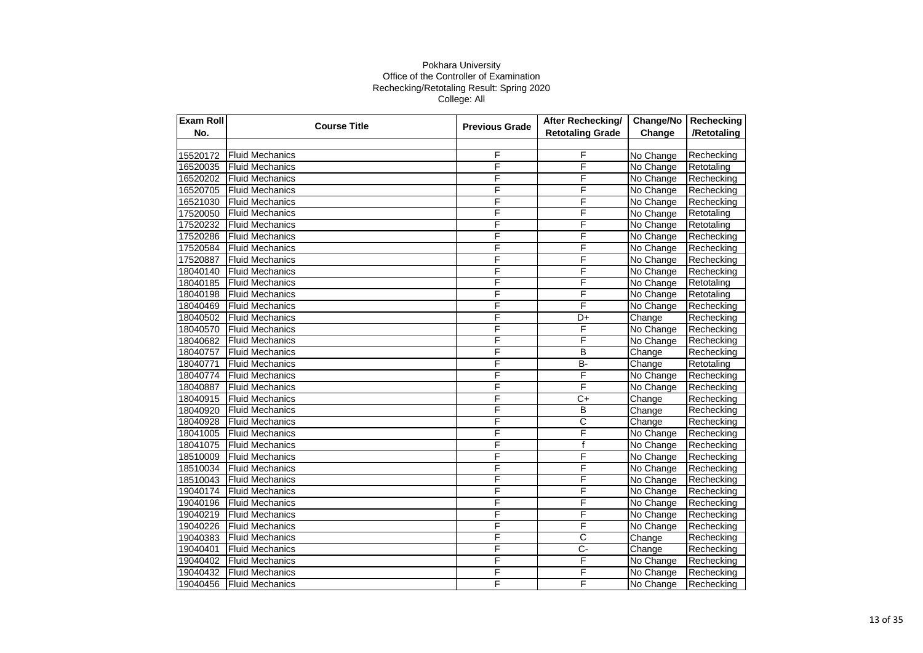| Exam Roll | <b>Course Title</b>    | <b>Previous Grade</b> | <b>After Rechecking/</b> | Change/No | Rechecking  |
|-----------|------------------------|-----------------------|--------------------------|-----------|-------------|
| No.       |                        |                       | <b>Retotaling Grade</b>  | Change    | /Retotaling |
|           |                        |                       |                          |           |             |
| 15520172  | <b>Fluid Mechanics</b> | F                     | F                        | No Change | Rechecking  |
| 16520035  | <b>Fluid Mechanics</b> | F                     | F                        | No Change | Retotaling  |
| 16520202  | <b>Fluid Mechanics</b> | F                     | F                        | No Change | Rechecking  |
| 16520705  | <b>Fluid Mechanics</b> | F                     | F                        | No Change | Rechecking  |
| 16521030  | <b>Fluid Mechanics</b> | F                     | F                        | No Change | Rechecking  |
| 17520050  | <b>Fluid Mechanics</b> | F                     | F                        | No Change | Retotaling  |
| 17520232  | <b>Fluid Mechanics</b> | F                     | F                        | No Change | Retotaling  |
| 17520286  | <b>Fluid Mechanics</b> | F                     | F                        | No Change | Rechecking  |
| 17520584  | <b>Fluid Mechanics</b> | F                     | F                        | No Change | Rechecking  |
| 17520887  | <b>Fluid Mechanics</b> | F                     | F                        | No Change | Rechecking  |
| 18040140  | <b>Fluid Mechanics</b> | F                     | F                        | No Change | Rechecking  |
| 18040185  | <b>Fluid Mechanics</b> | F                     | F                        | No Change | Retotaling  |
| 18040198  | <b>Fluid Mechanics</b> | F                     | F                        | No Change | Retotaling  |
| 18040469  | <b>Fluid Mechanics</b> | F                     | F                        | No Change | Rechecking  |
| 18040502  | <b>Fluid Mechanics</b> | $\bar{\mathsf{F}}$    | D+                       | Change    | Rechecking  |
| 18040570  | <b>Fluid Mechanics</b> | F                     | F                        | No Change | Rechecking  |
| 18040682  | <b>Fluid Mechanics</b> | F                     | F                        | No Change | Rechecking  |
| 18040757  | <b>Fluid Mechanics</b> | F                     | B                        | Change    | Rechecking  |
| 18040771  | <b>Fluid Mechanics</b> | F                     | $\overline{B}$           | Change    | Retotaling  |
| 18040774  | <b>Fluid Mechanics</b> | F                     | F                        | No Change | Rechecking  |
| 18040887  | <b>Fluid Mechanics</b> | F                     | F                        | No Change | Rechecking  |
| 18040915  | <b>Fluid Mechanics</b> | F                     | $\overline{C}$           | Change    | Rechecking  |
| 18040920  | <b>Fluid Mechanics</b> | F                     | B                        | Change    | Rechecking  |
| 18040928  | <b>Fluid Mechanics</b> | F                     | $\overline{\text{c}}$    | Change    | Rechecking  |
| 18041005  | <b>Fluid Mechanics</b> | F                     | F                        | No Change | Rechecking  |
| 18041075  | <b>Fluid Mechanics</b> | F                     | $\mathsf{f}$             | No Change | Rechecking  |
| 18510009  | <b>Fluid Mechanics</b> | F                     | F                        | No Change | Rechecking  |
| 18510034  | <b>Fluid Mechanics</b> | F                     | F                        | No Change | Rechecking  |
| 18510043  | <b>Fluid Mechanics</b> | F                     | F                        | No Change | Rechecking  |
| 19040174  | <b>Fluid Mechanics</b> | F                     | F                        | No Change | Rechecking  |
| 19040196  | <b>Fluid Mechanics</b> | F                     | F                        | No Change | Rechecking  |
| 19040219  | <b>Fluid Mechanics</b> | F                     | F                        | No Change | Rechecking  |
| 19040226  | <b>Fluid Mechanics</b> | F                     | F                        | No Change | Rechecking  |
| 19040383  | <b>Fluid Mechanics</b> | F                     | $\overline{\text{c}}$    | Change    | Rechecking  |
| 19040401  | <b>Fluid Mechanics</b> | F                     | $C -$                    | Change    | Rechecking  |
| 19040402  | <b>Fluid Mechanics</b> | F                     | F                        | No Change | Rechecking  |
| 19040432  | <b>Fluid Mechanics</b> | F                     | F                        | No Change | Rechecking  |
| 19040456  | <b>Fluid Mechanics</b> | F                     | F                        | No Change | Rechecking  |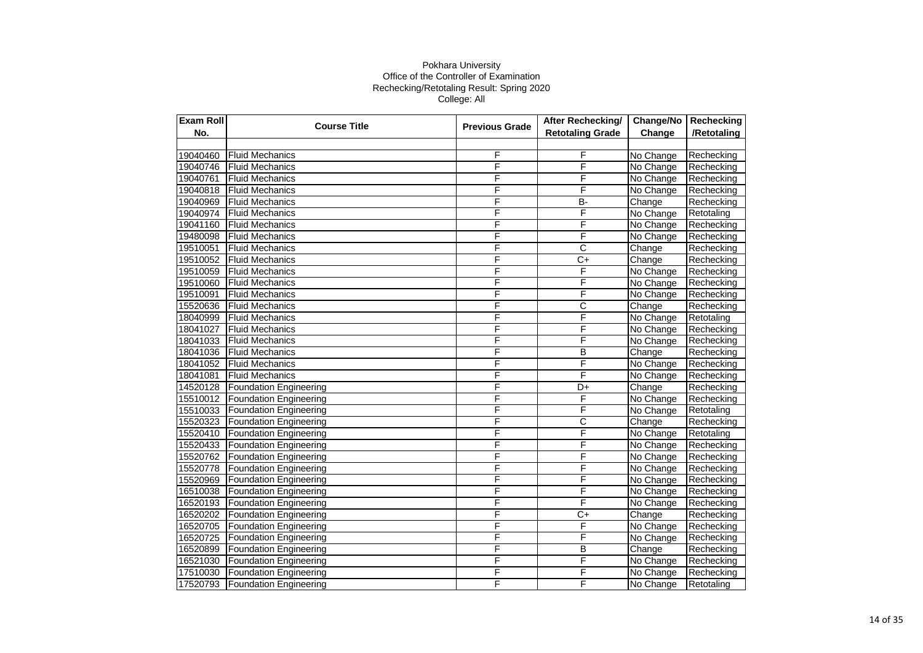| Exam Roll | <b>Course Title</b><br><b>Previous Grade</b> | <b>After Rechecking/</b> | Change/No               | Rechecking |             |
|-----------|----------------------------------------------|--------------------------|-------------------------|------------|-------------|
| No.       |                                              |                          | <b>Retotaling Grade</b> | Change     | /Retotaling |
|           |                                              |                          |                         |            |             |
| 19040460  | <b>Fluid Mechanics</b>                       | F                        | F                       | No Change  | Rechecking  |
| 19040746  | <b>Fluid Mechanics</b>                       | F                        | F                       | No Change  | Rechecking  |
| 19040761  | <b>Fluid Mechanics</b>                       | F                        | F                       | No Change  | Rechecking  |
| 19040818  | <b>Fluid Mechanics</b>                       | F                        | F                       | No Change  | Rechecking  |
| 19040969  | <b>Fluid Mechanics</b>                       | F                        | <b>B-</b>               | Change     | Rechecking  |
| 19040974  | <b>Fluid Mechanics</b>                       | F                        | F                       | No Change  | Retotaling  |
| 19041160  | <b>Fluid Mechanics</b>                       | F                        | F                       | No Change  | Rechecking  |
| 19480098  | <b>Fluid Mechanics</b>                       | F                        | F                       | No Change  | Rechecking  |
| 19510051  | <b>Fluid Mechanics</b>                       | F                        | $\overline{\text{c}}$   | Change     | Rechecking  |
| 19510052  | <b>Fluid Mechanics</b>                       | F                        | $C+$                    | Change     | Rechecking  |
| 19510059  | <b>Fluid Mechanics</b>                       | F                        | F                       | No Change  | Rechecking  |
| 19510060  | <b>Fluid Mechanics</b>                       | F                        | F                       | No Change  | Rechecking  |
| 19510091  | <b>Fluid Mechanics</b>                       | F                        | F                       | No Change  | Rechecking  |
| 15520636  | <b>Fluid Mechanics</b>                       | F                        | C                       | Change     | Rechecking  |
| 18040999  | <b>Fluid Mechanics</b>                       | Ē                        | Ē                       | No Change  | Retotaling  |
| 18041027  | <b>Fluid Mechanics</b>                       | F                        | F                       | No Change  | Rechecking  |
| 18041033  | <b>Fluid Mechanics</b>                       | F                        | F                       | No Change  | Rechecking  |
| 18041036  | <b>Fluid Mechanics</b>                       | F                        | B                       | Change     | Rechecking  |
| 18041052  | <b>Fluid Mechanics</b>                       | F                        | F                       | No Change  | Rechecking  |
| 18041081  | <b>Fluid Mechanics</b>                       | F                        | F                       | No Change  | Rechecking  |
| 14520128  | <b>Foundation Engineering</b>                | F                        | D+                      | Change     | Rechecking  |
| 15510012  | <b>Foundation Engineering</b>                | F                        | F                       | No Change  | Rechecking  |
| 15510033  | <b>Foundation Engineering</b>                | F                        | F                       | No Change  | Retotaling  |
| 15520323  | <b>Foundation Engineering</b>                | F                        | C                       | Change     | Rechecking  |
| 15520410  | <b>Foundation Engineering</b>                | F                        | F                       | No Change  | Retotaling  |
| 15520433  | <b>Foundation Engineering</b>                | F                        | F                       | No Change  | Rechecking  |
| 15520762  | Foundation Engineering                       | F                        | F                       | No Change  | Rechecking  |
| 15520778  | <b>Foundation Engineering</b>                | F                        | F                       | No Change  | Rechecking  |
| 15520969  | <b>Foundation Engineering</b>                | F                        | F                       | No Change  | Rechecking  |
| 16510038  | <b>Foundation Engineering</b>                | F                        | F                       | No Change  | Rechecking  |
| 16520193  | <b>Foundation Engineering</b>                | F                        | F                       | No Change  | Rechecking  |
| 16520202  | <b>Foundation Engineering</b>                | F                        | $C+$                    | Change     | Rechecking  |
| 16520705  | <b>Foundation Engineering</b>                | F                        | F                       | No Change  | Rechecking  |
| 16520725  | <b>Foundation Engineering</b>                | F                        | F                       | No Change  | Rechecking  |
| 16520899  | <b>Foundation Engineering</b>                | F                        | B                       | Change     | Rechecking  |
| 16521030  | <b>Foundation Engineering</b>                | F                        | F                       | No Change  | Rechecking  |
| 17510030  | <b>Foundation Engineering</b>                | F                        | F                       | No Change  | Rechecking  |
| 17520793  | <b>Foundation Engineering</b>                | F                        | F                       | No Change  | Retotaling  |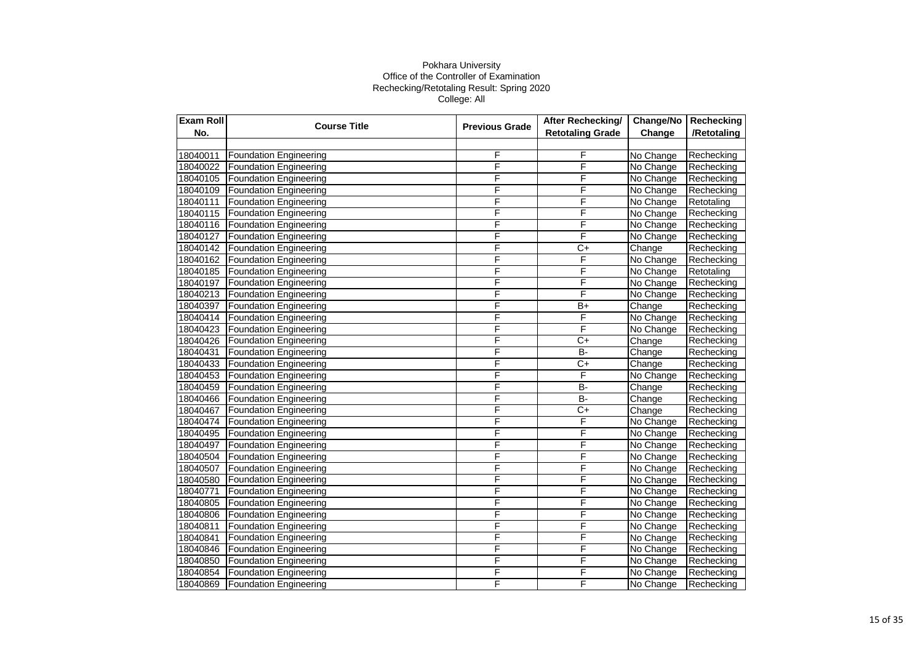| Exam Roll | <b>Course Title</b>           | <b>Previous Grade</b> | After Rechecking/       | Change/No | Rechecking  |
|-----------|-------------------------------|-----------------------|-------------------------|-----------|-------------|
| No.       |                               |                       | <b>Retotaling Grade</b> | Change    | /Retotaling |
|           |                               |                       |                         |           |             |
| 18040011  | <b>Foundation Engineering</b> | F                     | F                       | No Change | Rechecking  |
| 18040022  | <b>Foundation Engineering</b> | F                     | F                       | No Change | Rechecking  |
| 18040105  | <b>Foundation Engineering</b> | F                     | F                       | No Change | Rechecking  |
| 18040109  | <b>Foundation Engineering</b> | F                     | F                       | No Change | Rechecking  |
| 18040111  | <b>Foundation Engineering</b> | F                     | F                       | No Change | Retotaling  |
| 18040115  | <b>Foundation Engineering</b> | F                     | F                       | No Change | Rechecking  |
| 18040116  | Foundation Engineering        | F                     | F                       | No Change | Rechecking  |
| 18040127  | <b>Foundation Engineering</b> | F                     | F                       | No Change | Rechecking  |
| 18040142  | <b>Foundation Engineering</b> | F                     | $C+$                    | Change    | Rechecking  |
| 18040162  | Foundation Engineering        | F                     | F                       | No Change | Rechecking  |
| 18040185  | <b>Foundation Engineering</b> | F                     | F                       | No Change | Retotaling  |
| 18040197  | <b>Foundation Engineering</b> | F                     | F                       | No Change | Rechecking  |
| 18040213  | Foundation Engineering        | F                     | F                       | No Change | Rechecking  |
| 18040397  | <b>Foundation Engineering</b> | F                     | $\overline{B+}$         | Change    | Rechecking  |
| 18040414  | <b>Foundation Engineering</b> | F                     | F                       | No Change | Rechecking  |
| 18040423  | <b>Foundation Engineering</b> | F                     | F                       | No Change | Rechecking  |
| 18040426  | <b>Foundation Engineering</b> | F                     | $C+$                    | Change    | Rechecking  |
| 18040431  | <b>Foundation Engineering</b> | F                     | $B -$                   | Change    | Rechecking  |
| 18040433  | Foundation Engineering        | F                     | $C+$                    | Change    | Rechecking  |
| 18040453  | <b>Foundation Engineering</b> | F                     | F                       | No Change | Rechecking  |
| 18040459  | <b>Foundation Engineering</b> | F                     | $B -$                   | Change    | Rechecking  |
| 18040466  | <b>Foundation Engineering</b> | F                     | <b>B-</b>               | Change    | Rechecking  |
| 18040467  | <b>Foundation Engineering</b> | F                     | $C+$                    | Change    | Rechecking  |
| 18040474  | <b>Foundation Engineering</b> | F                     | F                       | No Change | Rechecking  |
| 18040495  | <b>Foundation Engineering</b> | F                     | F                       | No Change | Rechecking  |
| 18040497  | <b>Foundation Engineering</b> | F                     | F                       | No Change | Rechecking  |
| 18040504  | <b>Foundation Engineering</b> | F                     | F                       | No Change | Rechecking  |
| 18040507  | <b>Foundation Engineering</b> | F                     | F                       | No Change | Rechecking  |
| 18040580  | <b>Foundation Engineering</b> | F                     | F                       | No Change | Rechecking  |
| 18040771  | <b>Foundation Engineering</b> | F                     | F                       | No Change | Rechecking  |
| 18040805  | <b>Foundation Engineering</b> | F                     | F                       | No Change | Rechecking  |
| 18040806  | <b>Foundation Engineering</b> | F                     | F                       | No Change | Rechecking  |
| 18040811  | <b>Foundation Engineering</b> | F                     | F                       | No Change | Rechecking  |
| 18040841  | <b>Foundation Engineering</b> | F                     | F                       | No Change | Rechecking  |
| 18040846  | <b>Foundation Engineering</b> | F                     | F                       | No Change | Rechecking  |
| 18040850  | <b>Foundation Engineering</b> | F                     | F                       | No Change | Rechecking  |
| 18040854  | <b>Foundation Engineering</b> | F                     | F                       | No Change | Rechecking  |
| 18040869  | <b>Foundation Engineering</b> | F                     | F                       | No Change | Rechecking  |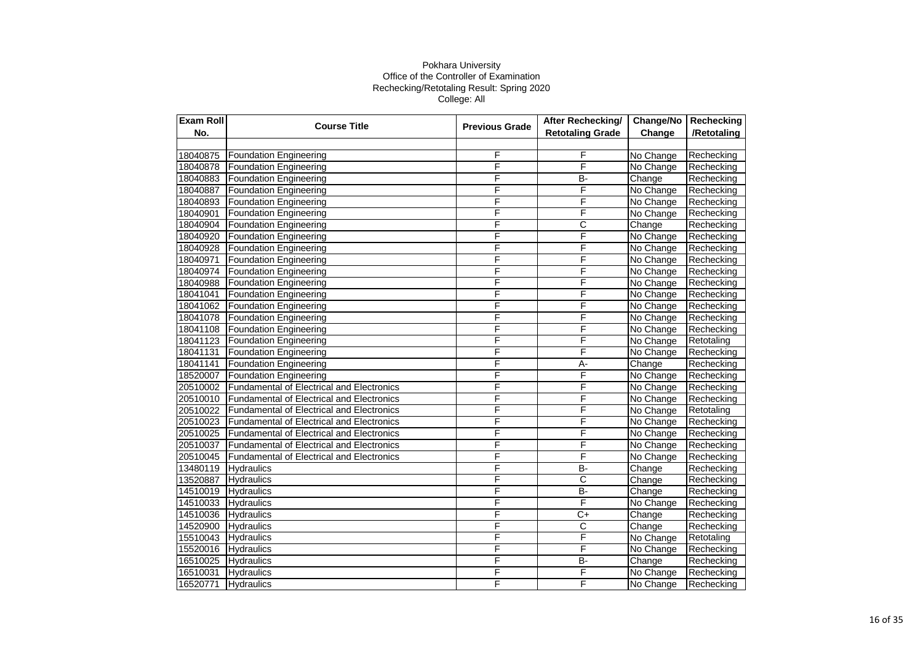| <b>Exam Roll</b> | <b>Course Title</b>                              | <b>Previous Grade</b> | After Rechecking/       | Change/No | Rechecking  |
|------------------|--------------------------------------------------|-----------------------|-------------------------|-----------|-------------|
| No.              |                                                  |                       | <b>Retotaling Grade</b> | Change    | /Retotaling |
|                  |                                                  |                       |                         |           |             |
| 18040875         | <b>Foundation Engineering</b>                    | F                     | F                       | No Change | Rechecking  |
| 18040878         | <b>Foundation Engineering</b>                    | F                     | F                       | No Change | Rechecking  |
| 18040883         | <b>Foundation Engineering</b>                    | F                     | <b>B-</b>               | Change    | Rechecking  |
| 18040887         | <b>Foundation Engineering</b>                    | F                     | F                       | No Change | Rechecking  |
| 18040893         | <b>Foundation Engineering</b>                    | F                     | F                       | No Change | Rechecking  |
| 18040901         | <b>Foundation Engineering</b>                    | F                     | F                       | No Change | Rechecking  |
| 18040904         | <b>Foundation Engineering</b>                    | F                     | C                       | Change    | Rechecking  |
| 18040920         | <b>Foundation Engineering</b>                    | F                     | F                       | No Change | Rechecking  |
| 18040928         | <b>Foundation Engineering</b>                    | F                     | F                       | No Change | Rechecking  |
| 18040971         | <b>Foundation Engineering</b>                    | F                     | $\overline{\mathsf{F}}$ | No Change | Rechecking  |
| 18040974         | <b>Foundation Engineering</b>                    | F                     | F                       | No Change | Rechecking  |
| 18040988         | <b>Foundation Engineering</b>                    | F                     | F                       | No Change | Rechecking  |
| 18041041         | <b>Foundation Engineering</b>                    | F                     | F                       | No Change | Rechecking  |
| 18041062         | <b>Foundation Engineering</b>                    | F                     | F                       | No Change | Rechecking  |
| 18041078         | <b>Foundation Engineering</b>                    | F                     | F                       | No Change | Rechecking  |
| 18041108         | Foundation Engineering                           | F                     | F                       | No Change | Rechecking  |
| 18041123         | <b>Foundation Engineering</b>                    | F                     | F                       | No Change | Retotaling  |
| 18041131         | <b>Foundation Engineering</b>                    | F                     | F                       | No Change | Rechecking  |
| 18041141         | <b>Foundation Engineering</b>                    | F                     | $\overline{A}$ -        | Change    | Rechecking  |
| 18520007         | <b>Foundation Engineering</b>                    | F                     | F                       | No Change | Rechecking  |
| 20510002         | <b>Fundamental of Electrical and Electronics</b> | F                     | F                       | No Change | Rechecking  |
| 20510010         | <b>Fundamental of Electrical and Electronics</b> | F                     | F                       | No Change | Rechecking  |
| 20510022         | <b>Fundamental of Electrical and Electronics</b> | F                     | F                       | No Change | Retotaling  |
| 20510023         | Fundamental of Electrical and Electronics        | F                     | F                       | No Change | Rechecking  |
| 20510025         | <b>Fundamental of Electrical and Electronics</b> | F                     | F                       | No Change | Rechecking  |
| 20510037         | <b>Fundamental of Electrical and Electronics</b> | F                     | F                       | No Change | Rechecking  |
| 20510045         | <b>Fundamental of Electrical and Electronics</b> | F                     | F                       | No Change | Rechecking  |
| 13480119         | <b>Hydraulics</b>                                | F                     | $\overline{B}$          | Change    | Rechecking  |
| 13520887         | <b>Hydraulics</b>                                | F                     | $\overline{\text{c}}$   | Change    | Rechecking  |
| 14510019         | <b>Hydraulics</b>                                | F                     | <b>B-</b>               | Change    | Rechecking  |
| 14510033         | <b>Hydraulics</b>                                | F                     | F                       | No Change | Rechecking  |
| 14510036         | Hydraulics                                       | F                     | $\overline{C+}$         | Change    | Rechecking  |
| 14520900         | <b>Hydraulics</b>                                | F                     | $\overline{\text{c}}$   | Change    | Rechecking  |
| 15510043         | <b>Hydraulics</b>                                | F                     | F                       | No Change | Retotaling  |
| 15520016         | Hydraulics                                       | F                     | F                       | No Change | Rechecking  |
| 16510025         | <b>Hydraulics</b>                                | F                     | <b>B-</b>               | Change    | Rechecking  |
| 16510031         | <b>Hydraulics</b>                                | F                     | F                       | No Change | Rechecking  |
| 16520771         | Hydraulics                                       | F                     | F                       | No Change | Rechecking  |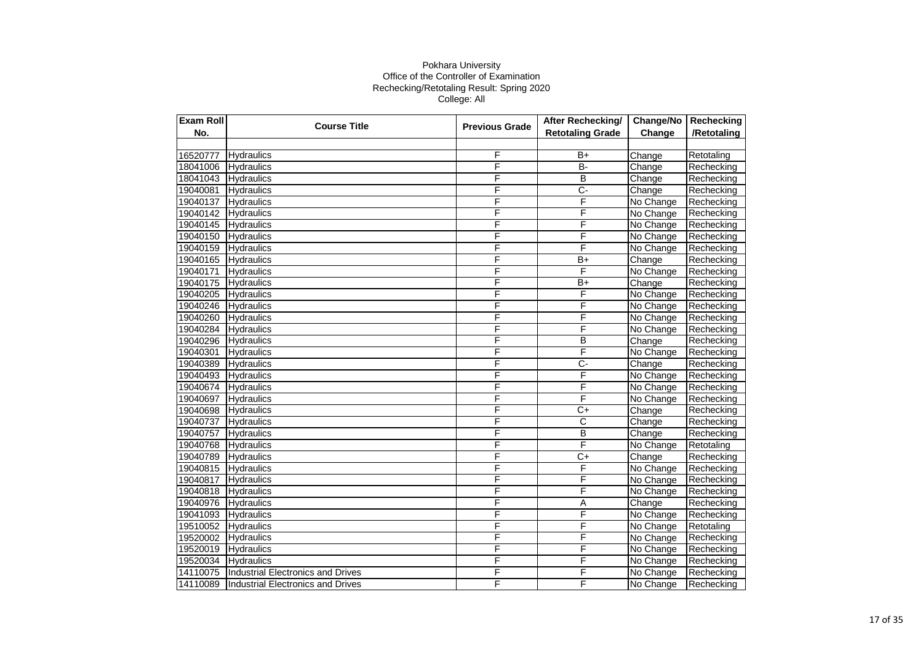| Exam Roll | <b>Course Title</b>               | <b>Previous Grade</b>   | After Rechecking/       | Change/No | Rechecking  |
|-----------|-----------------------------------|-------------------------|-------------------------|-----------|-------------|
| No.       |                                   |                         | <b>Retotaling Grade</b> | Change    | /Retotaling |
|           |                                   |                         |                         |           |             |
| 16520777  | <b>Hydraulics</b>                 | F                       | $B+$                    | Change    | Retotaling  |
| 18041006  | <b>Hydraulics</b>                 | F                       | $\overline{B}$          | Change    | Rechecking  |
| 18041043  | Hydraulics                        | F                       | B                       | Change    | Rechecking  |
| 19040081  | <b>Hydraulics</b>                 | F                       | $\overline{C}$          | Change    | Rechecking  |
| 19040137  | <b>Hydraulics</b>                 | F                       | F                       | No Change | Rechecking  |
| 19040142  | <b>Hydraulics</b>                 | F                       | F                       | No Change | Rechecking  |
| 19040145  | Hydraulics                        | F                       | F                       | No Change | Rechecking  |
| 19040150  | Hydraulics                        | F                       | F                       | No Change | Rechecking  |
| 19040159  | Hydraulics                        | F                       | F                       | No Change | Rechecking  |
| 19040165  | <b>Hydraulics</b>                 | F                       | $B+$                    | Change    | Rechecking  |
| 19040171  | Hydraulics                        | F                       | F                       | No Change | Rechecking  |
| 19040175  | Hydraulics                        | F                       | $B+$                    | Change    | Rechecking  |
| 19040205  | Hydraulics                        | F                       | F                       | No Change | Rechecking  |
| 19040246  | Hydraulics                        | F                       | F                       | No Change | Rechecking  |
| 19040260  | Hydraulics                        | F                       | F                       | No Change | Rechecking  |
| 19040284  | Hydraulics                        | F                       | F                       | No Change | Rechecking  |
| 19040296  | Hydraulics                        | F                       | B                       | Change    | Rechecking  |
| 19040301  | <b>Hydraulics</b>                 | F                       | F                       | No Change | Rechecking  |
| 19040389  | Hydraulics                        | $\overline{\mathsf{F}}$ | $\overline{C}$          | Change    | Rechecking  |
| 19040493  | <b>Hydraulics</b>                 | F                       | F                       | No Change | Rechecking  |
| 19040674  | <b>Hydraulics</b>                 | F                       | F                       | No Change | Rechecking  |
| 19040697  | <b>Hydraulics</b>                 | F                       | F                       | No Change | Rechecking  |
| 19040698  | <b>Hydraulics</b>                 | F                       | $\overline{C+}$         | Change    | Rechecking  |
| 19040737  | Hydraulics                        | F                       | C                       | Change    | Rechecking  |
| 19040757  | Hydraulics                        | F                       | B                       | Change    | Rechecking  |
| 19040768  | <b>Hydraulics</b>                 | F                       | F                       | No Change | Retotaling  |
| 19040789  | <b>Hydraulics</b>                 | F                       | $C+$                    | Change    | Rechecking  |
| 19040815  | Hydraulics                        | F                       | F                       | No Change | Rechecking  |
| 19040817  | Hydraulics                        | F                       | F                       | No Change | Rechecking  |
| 19040818  | Hydraulics                        | F                       | F                       | No Change | Rechecking  |
| 19040976  | Hydraulics                        | F                       | Α                       | Change    | Rechecking  |
| 19041093  | Hydraulics                        | F                       | F                       | No Change | Rechecking  |
| 19510052  | <b>Hydraulics</b>                 | F                       | F                       | No Change | Retotaling  |
| 19520002  | Hydraulics                        | F                       | F                       | No Change | Rechecking  |
| 19520019  | Hydraulics                        | F                       | F                       | No Change | Rechecking  |
| 19520034  | <b>Hydraulics</b>                 | F                       | F                       | No Change | Rechecking  |
| 14110075  | Industrial Electronics and Drives | F                       | F                       | No Change | Rechecking  |
| 14110089  | Industrial Electronics and Drives | F                       | F                       | No Change | Rechecking  |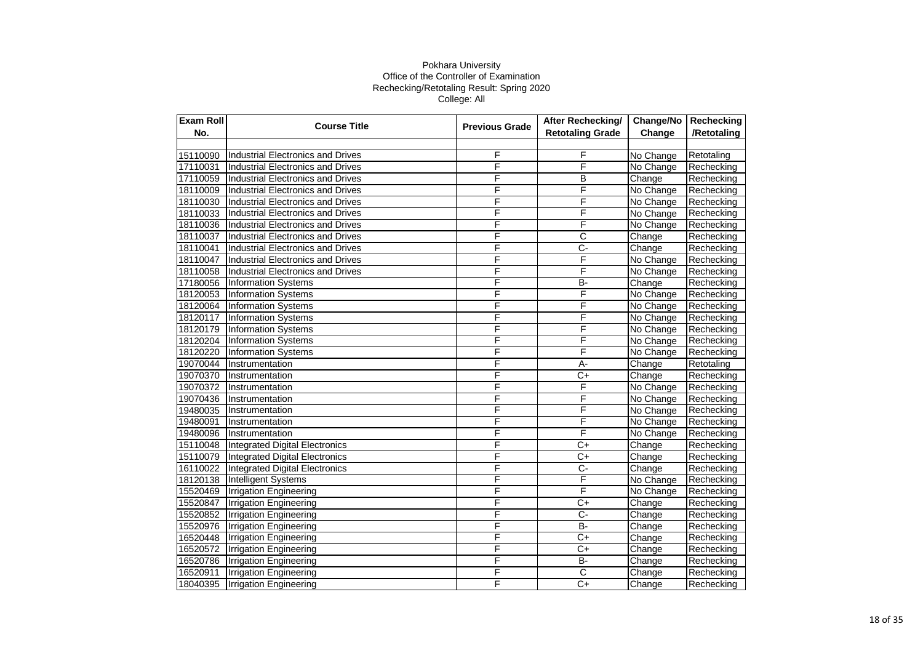| Exam Roll | <b>Course Title</b>                      | <b>Previous Grade</b> | After Rechecking/       | Change/No | Rechecking  |
|-----------|------------------------------------------|-----------------------|-------------------------|-----------|-------------|
| No.       |                                          |                       | <b>Retotaling Grade</b> | Change    | /Retotaling |
|           |                                          |                       |                         |           |             |
| 15110090  | Industrial Electronics and Drives        | F                     | F                       | No Change | Retotaling  |
| 17110031  | Industrial Electronics and Drives        | F                     | F                       | No Change | Rechecking  |
| 17110059  | Industrial Electronics and Drives        | F                     | B                       | Change    | Rechecking  |
| 18110009  | <b>Industrial Electronics and Drives</b> | F                     | F                       | No Change | Rechecking  |
| 18110030  | Industrial Electronics and Drives        | F                     | F                       | No Change | Rechecking  |
| 18110033  | <b>Industrial Electronics and Drives</b> | F                     | F                       | No Change | Rechecking  |
| 18110036  | <b>Industrial Electronics and Drives</b> | F                     | F                       | No Change | Rechecking  |
| 18110037  | Industrial Electronics and Drives        | F                     | $\overline{\text{c}}$   | Change    | Rechecking  |
| 18110041  | Industrial Electronics and Drives        | F                     | $\overline{C}$          | Change    | Rechecking  |
| 18110047  | Industrial Electronics and Drives        | F                     | F                       | No Change | Rechecking  |
| 18110058  | Industrial Electronics and Drives        | F                     | F                       | No Change | Rechecking  |
| 17180056  | <b>Information Systems</b>               | F                     | B-                      | Change    | Rechecking  |
| 18120053  | <b>Information Systems</b>               | F                     | F                       | No Change | Rechecking  |
| 18120064  | <b>Information Systems</b>               | F                     | F                       | No Change | Rechecking  |
| 18120117  | <b>Information Systems</b>               | F                     | F                       | No Change | Rechecking  |
| 18120179  | <b>Information Systems</b>               | F                     | F                       | No Change | Rechecking  |
| 18120204  | <b>Information Systems</b>               | F                     | F                       | No Change | Rechecking  |
| 18120220  | <b>Information Systems</b>               | F                     | F                       | No Change | Rechecking  |
| 19070044  | Instrumentation                          | F                     | $A -$                   | Change    | Retotaling  |
| 19070370  | Instrumentation                          | F                     | $\overline{C}$          | Change    | Rechecking  |
| 19070372  | Instrumentation                          | F                     | F                       | No Change | Rechecking  |
| 19070436  | Instrumentation                          | F                     | F                       | No Change | Rechecking  |
| 19480035  | Instrumentation                          | F                     | F                       | No Change | Rechecking  |
| 19480091  | Instrumentation                          | F                     | F                       | No Change | Rechecking  |
| 19480096  | Instrumentation                          | F                     | F                       | No Change | Rechecking  |
| 15110048  | Integrated Digital Electronics           | F                     | $\overline{C}$          | Change    | Rechecking  |
| 15110079  | <b>Integrated Digital Electronics</b>    | F                     | $C+$                    | Change    | Rechecking  |
| 16110022  | <b>Integrated Digital Electronics</b>    | F                     | $C-$                    | Change    | Rechecking  |
| 18120138  | <b>Intelligent Systems</b>               | F                     | F                       | No Change | Rechecking  |
| 15520469  | <b>Irrigation Engineering</b>            | F                     | F                       | No Change | Rechecking  |
| 15520847  | <b>Irrigation Engineering</b>            | F                     | $C+$                    | Change    | Rechecking  |
| 15520852  | <b>Irrigation Engineering</b>            | F                     | $\overline{C}$          | Change    | Rechecking  |
| 15520976  | <b>Irrigation Engineering</b>            | F                     | $B -$                   | Change    | Rechecking  |
| 16520448  | <b>Irrigation Engineering</b>            | F                     | $C+$                    | Change    | Rechecking  |
| 16520572  | <b>Irrigation Engineering</b>            | F                     | C+                      | Change    | Rechecking  |
| 16520786  | <b>Irrigation Engineering</b>            | F                     | <b>B-</b>               | Change    | Rechecking  |
| 16520911  | <b>Irrigation Engineering</b>            | F                     | $\overline{\text{c}}$   | Change    | Rechecking  |
| 18040395  | <b>Irrigation Engineering</b>            | F                     | $C+$                    | Change    | Rechecking  |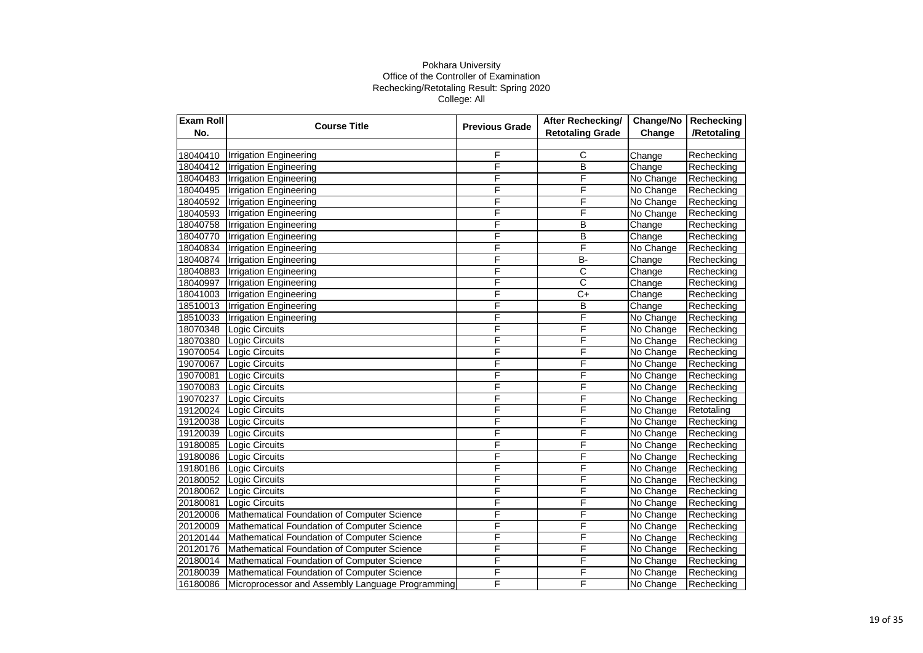| <b>Exam Roll</b> | <b>Course Title</b>                              | <b>Previous Grade</b> | After Rechecking/       | Change/No | Rechecking  |
|------------------|--------------------------------------------------|-----------------------|-------------------------|-----------|-------------|
| No.              |                                                  |                       | <b>Retotaling Grade</b> | Change    | /Retotaling |
|                  |                                                  |                       |                         |           |             |
| 18040410         | <b>Irrigation Engineering</b>                    | F                     | C                       | Change    | Rechecking  |
| 18040412         | <b>Irrigation Engineering</b>                    | F                     | B                       | Change    | Rechecking  |
| 18040483         | <b>Irrigation Engineering</b>                    | F                     | F                       | No Change | Rechecking  |
| 18040495         | <b>Irrigation Engineering</b>                    | F                     | F                       | No Change | Rechecking  |
| 18040592         | <b>Irrigation Engineering</b>                    | F                     | F                       | No Change | Rechecking  |
| 18040593         | <b>Irrigation Engineering</b>                    | F                     | F                       | No Change | Rechecking  |
| 18040758         | <b>Irrigation Engineering</b>                    | F                     | B                       | Change    | Rechecking  |
| 18040770         | <b>Irrigation Engineering</b>                    | F                     | $\overline{B}$          | Change    | Rechecking  |
| 18040834         | <b>Irrigation Engineering</b>                    | F                     | F                       | No Change | Rechecking  |
| 18040874         | <b>Irrigation Engineering</b>                    | F                     | <b>B-</b>               | Change    | Rechecking  |
| 18040883         | <b>Irrigation Engineering</b>                    | F                     | C                       | Change    | Rechecking  |
| 18040997         | <b>Irrigation Engineering</b>                    | F                     | C                       | Change    | Rechecking  |
| 18041003         | <b>Irrigation Engineering</b>                    | F                     | $C+$                    | Change    | Rechecking  |
| 18510013         | <b>Irrigation Engineering</b>                    | F                     | B                       | Change    | Rechecking  |
| 18510033         | <b>Irrigation Engineering</b>                    | F                     | F                       | No Change | Rechecking  |
| 18070348         | <b>Logic Circuits</b>                            | F                     | F                       | No Change | Rechecking  |
| 18070380         | Logic Circuits                                   | F                     | F                       | No Change | Rechecking  |
| 19070054         | Logic Circuits                                   | F                     | F                       | No Change | Rechecking  |
| 19070067         | Logic Circuits                                   | F                     | F                       | No Change | Rechecking  |
| 19070081         | Logic Circuits                                   | F                     | F                       | No Change | Rechecking  |
| 19070083         | Logic Circuits                                   | F                     | F                       | No Change | Rechecking  |
| 19070237         | <b>Logic Circuits</b>                            | F                     | F                       | No Change | Rechecking  |
| 19120024         | Logic Circuits                                   | F                     | F                       | No Change | Retotaling  |
| 19120038         | Logic Circuits                                   | F                     | F                       | No Change | Rechecking  |
| 19120039         | Logic Circuits                                   | F                     | F                       | No Change | Rechecking  |
| 19180085         | Logic Circuits                                   | F                     | F                       | No Change | Rechecking  |
| 19180086         | Logic Circuits                                   | F                     | F                       | No Change | Rechecking  |
| 19180186         | <b>Logic Circuits</b>                            | F                     | F                       | No Change | Rechecking  |
| 20180052         | Logic Circuits                                   | F                     | F                       | No Change | Rechecking  |
| 20180062         | Logic Circuits                                   | F                     | F                       | No Change | Rechecking  |
| 20180081         | Logic Circuits                                   | F                     | F                       | No Change | Rechecking  |
| 20120006         | Mathematical Foundation of Computer Science      | F                     | F                       | No Change | Rechecking  |
| 20120009         | Mathematical Foundation of Computer Science      | F                     | F                       | No Change | Rechecking  |
| 20120144         | Mathematical Foundation of Computer Science      | F                     | F                       | No Change | Rechecking  |
| 20120176         | Mathematical Foundation of Computer Science      | F                     | F                       | No Change | Rechecking  |
| 20180014         | Mathematical Foundation of Computer Science      | F                     | F                       | No Change | Rechecking  |
| 20180039         | Mathematical Foundation of Computer Science      | F                     | F                       | No Change | Rechecking  |
| 16180086         | Microprocessor and Assembly Language Programming | F                     | F                       | No Change | Rechecking  |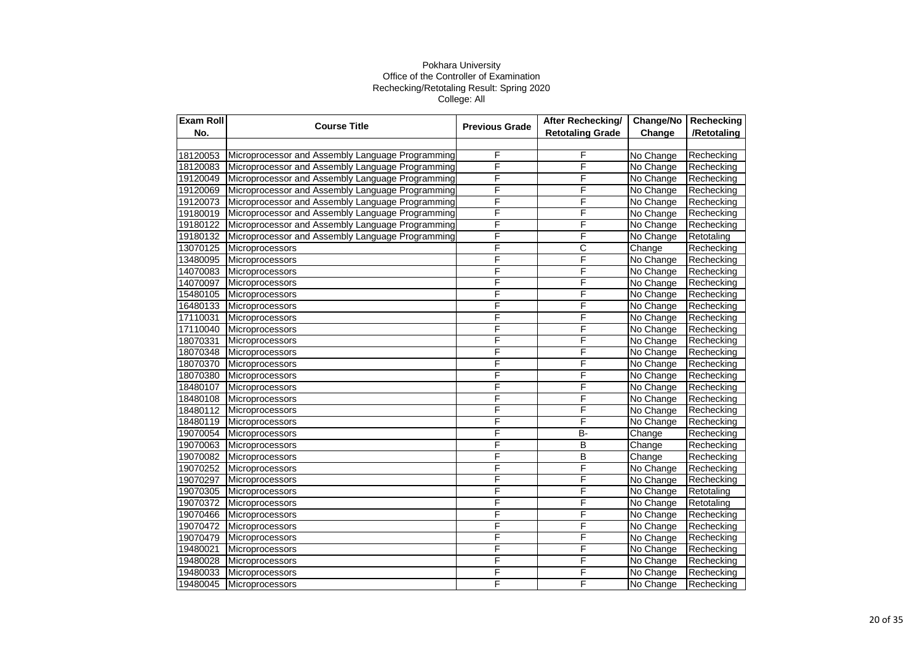| <b>Exam Roll</b> | <b>Course Title</b>                              | <b>Previous Grade</b> | After Rechecking/       | Change/No | Rechecking  |
|------------------|--------------------------------------------------|-----------------------|-------------------------|-----------|-------------|
| No.              |                                                  |                       | <b>Retotaling Grade</b> | Change    | /Retotaling |
|                  |                                                  |                       |                         |           |             |
| 18120053         | Microprocessor and Assembly Language Programming | F                     | $\overline{F}$          | No Change | Rechecking  |
| 18120083         | Microprocessor and Assembly Language Programming | F                     | $\overline{F}$          | No Change | Rechecking  |
| 19120049         | Microprocessor and Assembly Language Programming | F                     | F                       | No Change | Rechecking  |
| 19120069         | Microprocessor and Assembly Language Programming | F                     | F                       | No Change | Rechecking  |
| 19120073         | Microprocessor and Assembly Language Programming | F                     | F                       | No Change | Rechecking  |
| 19180019         | Microprocessor and Assembly Language Programming | F                     | F                       | No Change | Rechecking  |
| 19180122         | Microprocessor and Assembly Language Programming | F                     | F                       | No Change | Rechecking  |
| 19180132         | Microprocessor and Assembly Language Programming | F                     | F                       | No Change | Retotaling  |
| 13070125         | Microprocessors                                  | F                     | $\overline{C}$          | Change    | Rechecking  |
| 13480095         | Microprocessors                                  | F                     | F                       | No Change | Rechecking  |
| 14070083         | Microprocessors                                  | F                     | F                       | No Change | Rechecking  |
| 14070097         | Microprocessors                                  | F                     | F                       | No Change | Rechecking  |
| 15480105         | Microprocessors                                  | F                     | F                       | No Change | Rechecking  |
| 16480133         | Microprocessors                                  | F                     | F                       | No Change | Rechecking  |
| 17110031         | Microprocessors                                  | F                     | F                       | No Change | Rechecking  |
| 17110040         | <b>Microprocessors</b>                           | F                     | $\overline{F}$          | No Change | Rechecking  |
| 18070331         | Microprocessors                                  | F                     | F                       | No Change | Rechecking  |
| 18070348         | Microprocessors                                  | F                     | F                       | No Change | Rechecking  |
| 18070370         | Microprocessors                                  | F                     | F                       | No Change | Rechecking  |
| 18070380         | Microprocessors                                  | F                     | F                       | No Change | Rechecking  |
| 18480107         | Microprocessors                                  | F                     | F                       | No Change | Rechecking  |
| 18480108         | Microprocessors                                  | F                     | F                       | No Change | Rechecking  |
| 18480112         | Microprocessors                                  | F                     | F                       | No Change | Rechecking  |
| 18480119         | Microprocessors                                  | F                     | F                       | No Change | Rechecking  |
| 19070054         | Microprocessors                                  | F                     | $B -$                   | Change    | Rechecking  |
| 19070063         | Microprocessors                                  | F                     | $\overline{B}$          | Change    | Rechecking  |
| 19070082         | Microprocessors                                  | F                     | B                       | Change    | Rechecking  |
| 19070252         | Microprocessors                                  | F                     | F                       | No Change | Rechecking  |
| 19070297         | Microprocessors                                  | F                     | F                       | No Change | Rechecking  |
| 19070305         | Microprocessors                                  | F                     | F                       | No Change | Retotaling  |
| 19070372         | Microprocessors                                  | F                     | F                       | No Change | Retotaling  |
| 19070466         | Microprocessors                                  | F                     | F                       | No Change | Rechecking  |
| 19070472         | Microprocessors                                  | F                     | F                       | No Change | Rechecking  |
| 19070479         | Microprocessors                                  | F                     | F                       | No Change | Rechecking  |
| 19480021         | Microprocessors                                  | F                     | F                       | No Change | Rechecking  |
| 19480028         | Microprocessors                                  | F                     | F                       | No Change | Rechecking  |
| 19480033         | Microprocessors                                  | F                     | F                       | No Change | Rechecking  |
| 19480045         | Microprocessors                                  | F                     | F                       | No Change | Rechecking  |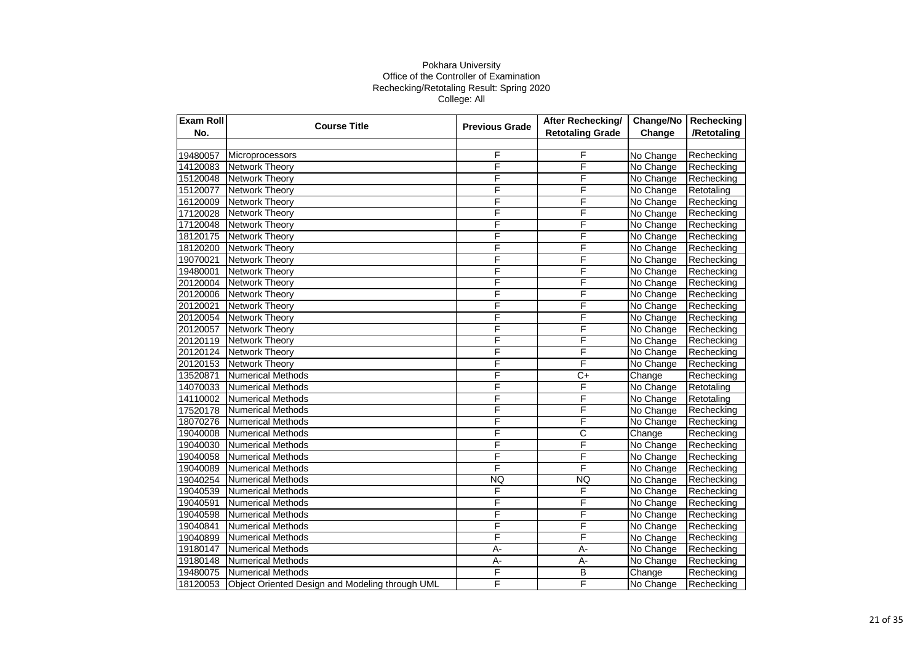| Exam Roll | <b>Course Title</b>                             | <b>Previous Grade</b> | After Rechecking/       | Change/No | Rechecking  |
|-----------|-------------------------------------------------|-----------------------|-------------------------|-----------|-------------|
| No.       |                                                 |                       | <b>Retotaling Grade</b> | Change    | /Retotaling |
|           |                                                 |                       |                         |           |             |
| 19480057  | Microprocessors                                 | F                     | F                       | No Change | Rechecking  |
| 14120083  | <b>Network Theory</b>                           | F                     | F                       | No Change | Rechecking  |
| 15120048  | <b>Network Theory</b>                           | F                     | F                       | No Change | Rechecking  |
| 15120077  | <b>Network Theory</b>                           | F                     | F                       | No Change | Retotaling  |
| 16120009  | <b>Network Theory</b>                           | F                     | F                       | No Change | Rechecking  |
| 17120028  | <b>Network Theory</b>                           | F                     | F                       | No Change | Rechecking  |
| 17120048  | <b>Network Theory</b>                           | F                     | F                       | No Change | Rechecking  |
| 18120175  | Network Theory                                  | F                     | F                       | No Change | Rechecking  |
| 18120200  | <b>Network Theory</b>                           | F                     | F                       | No Change | Rechecking  |
| 19070021  | <b>Network Theory</b>                           | F                     | F                       | No Change | Rechecking  |
| 19480001  | <b>Network Theory</b>                           | F                     | F                       | No Change | Rechecking  |
| 20120004  | <b>Network Theory</b>                           | F                     | F                       | No Change | Rechecking  |
| 20120006  | <b>Network Theory</b>                           | F                     | F                       | No Change | Rechecking  |
| 20120021  | <b>Network Theory</b>                           | F                     | F                       | No Change | Rechecking  |
| 20120054  | <b>Network Theory</b>                           | F                     | F                       | No Change | Rechecking  |
| 20120057  | <b>Network Theory</b>                           | F                     | F                       | No Change | Rechecking  |
| 20120119  | Network Theory                                  | F                     | F                       | No Change | Rechecking  |
| 20120124  | <b>Network Theory</b>                           | F                     | F                       | No Change | Rechecking  |
| 20120153  | <b>Network Theory</b>                           | F                     | F                       | No Change | Rechecking  |
| 13520871  | <b>Numerical Methods</b>                        | F                     | $\overline{C+}$         | Change    | Rechecking  |
| 14070033  | Numerical Methods                               | F                     | F                       | No Change | Retotaling  |
| 14110002  | <b>Numerical Methods</b>                        | F                     | F                       | No Change | Retotaling  |
| 17520178  | <b>Numerical Methods</b>                        | F                     | F                       | No Change | Rechecking  |
| 18070276  | Numerical Methods                               | F                     | F                       | No Change | Rechecking  |
| 19040008  | <b>Numerical Methods</b>                        | F                     | $\overline{\text{c}}$   | Change    | Rechecking  |
| 19040030  | <b>Numerical Methods</b>                        | F                     | F                       | No Change | Rechecking  |
| 19040058  | Numerical Methods                               | F                     | F                       | No Change | Rechecking  |
| 19040089  | <b>Numerical Methods</b>                        | F                     | F                       | No Change | Rechecking  |
| 19040254  | <b>Numerical Methods</b>                        | <b>NQ</b>             | <b>NQ</b>               | No Change | Rechecking  |
| 19040539  | <b>Numerical Methods</b>                        | F                     | F                       | No Change | Rechecking  |
| 19040591  | <b>Numerical Methods</b>                        | F                     | F                       | No Change | Rechecking  |
| 19040598  | Numerical Methods                               | F                     | F                       | No Change | Rechecking  |
| 19040841  | <b>Numerical Methods</b>                        | F                     | F                       | No Change | Rechecking  |
| 19040899  | <b>Numerical Methods</b>                        | F                     | F                       | No Change | Rechecking  |
| 19180147  | <b>Numerical Methods</b>                        | A-                    | A-                      | No Change | Rechecking  |
| 19180148  | <b>Numerical Methods</b>                        | А-                    | A-                      | No Change | Rechecking  |
| 19480075  | <b>Numerical Methods</b>                        | F                     | B                       | Change    | Rechecking  |
| 18120053  | Object Oriented Design and Modeling through UML | F                     | F                       | No Change | Rechecking  |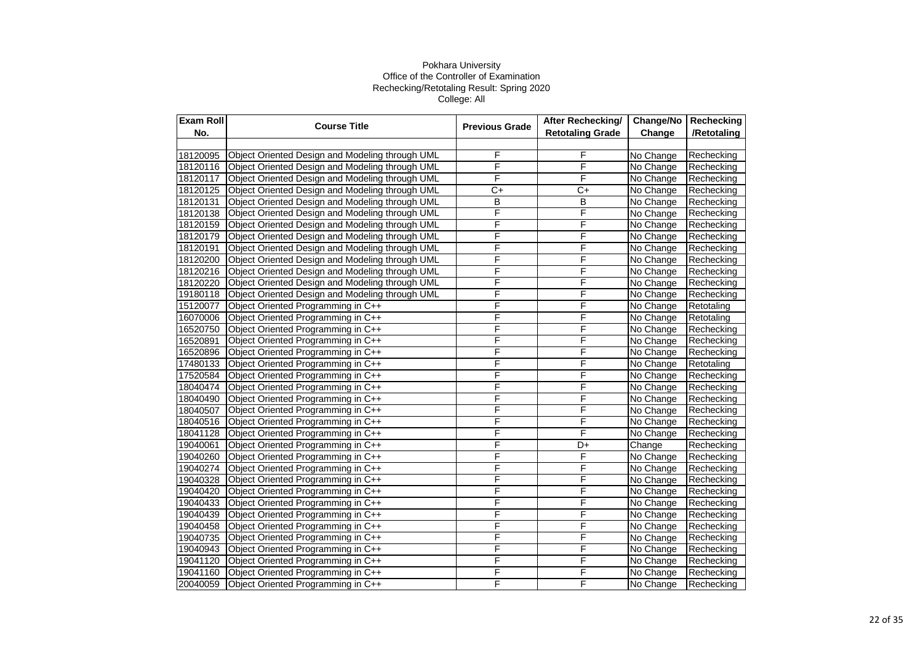| <b>Exam Roll</b> | <b>Course Title</b>                             | <b>Previous Grade</b> | After Rechecking/       | Change/No | Rechecking  |
|------------------|-------------------------------------------------|-----------------------|-------------------------|-----------|-------------|
| No.              |                                                 |                       | <b>Retotaling Grade</b> | Change    | /Retotaling |
|                  |                                                 |                       |                         |           |             |
| 18120095         | Object Oriented Design and Modeling through UML | F                     | F                       | No Change | Rechecking  |
| 18120116         | Object Oriented Design and Modeling through UML | F                     | F                       | No Change | Rechecking  |
| 18120117         | Object Oriented Design and Modeling through UML | F                     | F                       | No Change | Rechecking  |
| 18120125         | Object Oriented Design and Modeling through UML | $C+$                  | $C+$                    | No Change | Rechecking  |
| 18120131         | Object Oriented Design and Modeling through UML | B                     | B                       | No Change | Rechecking  |
| 18120138         | Object Oriented Design and Modeling through UML | F                     | F                       | No Change | Rechecking  |
| 18120159         | Object Oriented Design and Modeling through UML | F                     | F                       | No Change | Rechecking  |
| 18120179         | Object Oriented Design and Modeling through UML | F                     | F                       | No Change | Rechecking  |
| 18120191         | Object Oriented Design and Modeling through UML | F                     | F                       | No Change | Rechecking  |
| 18120200         | Object Oriented Design and Modeling through UML | F                     | F                       | No Change | Rechecking  |
| 18120216         | Object Oriented Design and Modeling through UML | F                     | F                       | No Change | Rechecking  |
| 18120220         | Object Oriented Design and Modeling through UML | F                     | F                       | No Change | Rechecking  |
| 19180118         | Object Oriented Design and Modeling through UML | F                     | F                       | No Change | Rechecking  |
| 15120077         | Object Oriented Programming in C++              | F                     | F                       | No Change | Retotaling  |
| 16070006         | Object Oriented Programming in C++              | F                     | F                       | No Change | Retotaling  |
| 16520750         | Object Oriented Programming in C++              | F                     | F                       | No Change | Rechecking  |
| 16520891         | Object Oriented Programming in C++              | F                     | F                       | No Change | Rechecking  |
| 16520896         | Object Oriented Programming in C++              | F                     | F                       | No Change | Rechecking  |
| 17480133         | Object Oriented Programming in C++              | F                     | F                       | No Change | Retotaling  |
| 17520584         | Object Oriented Programming in C++              | F                     | F                       | No Change | Rechecking  |
| 18040474         | Object Oriented Programming in C++              | F                     | F                       | No Change | Rechecking  |
| 18040490         | Object Oriented Programming in C++              | F                     | F                       | No Change | Rechecking  |
| 18040507         | Object Oriented Programming in C++              | F                     | F                       | No Change | Rechecking  |
| 18040516         | Object Oriented Programming in C++              | F                     | F                       | No Change | Rechecking  |
| 18041128         | Object Oriented Programming in C++              | F                     | F                       | No Change | Rechecking  |
| 19040061         | Object Oriented Programming in C++              | F                     | D+                      | Change    | Rechecking  |
| 19040260         | Object Oriented Programming in C++              | F                     | F                       | No Change | Rechecking  |
| 19040274         | Object Oriented Programming in C++              | F                     | F                       | No Change | Rechecking  |
| 19040328         | Object Oriented Programming in C++              | F                     | F                       | No Change | Rechecking  |
| 19040420         | Object Oriented Programming in C++              | F                     | F                       | No Change | Rechecking  |
| 19040433         | Object Oriented Programming in C++              | F                     | F                       | No Change | Rechecking  |
| 19040439         | Object Oriented Programming in C++              | F                     | F                       | No Change | Rechecking  |
| 19040458         | Object Oriented Programming in C++              | F                     | F                       | No Change | Rechecking  |
| 19040735         | Object Oriented Programming in C++              | F                     | F                       | No Change | Rechecking  |
| 19040943         | Object Oriented Programming in C++              | F                     | F                       | No Change | Rechecking  |
| 19041120         | Object Oriented Programming in C++              | F                     | F                       | No Change | Rechecking  |
| 19041160         | Object Oriented Programming in C++              | F                     | F                       | No Change | Rechecking  |
| 20040059         | Object Oriented Programming in C++              | F                     | F                       | No Change | Rechecking  |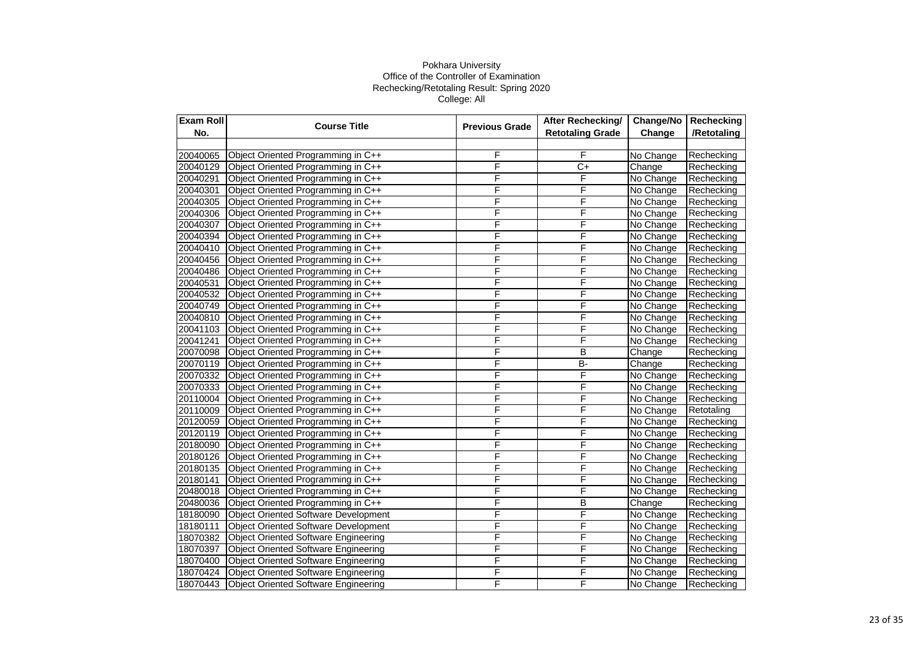| <b>Exam Roll</b> | <b>Course Title</b><br><b>Previous Grade</b> | After Rechecking/ | Change/No               | Rechecking |             |
|------------------|----------------------------------------------|-------------------|-------------------------|------------|-------------|
| No.              |                                              |                   | <b>Retotaling Grade</b> | Change     | /Retotaling |
|                  |                                              |                   |                         |            |             |
| 20040065         | Object Oriented Programming in C++           | F                 | F                       | No Change  | Rechecking  |
| 20040129         | Object Oriented Programming in C++           | F                 | $C+$                    | Change     | Rechecking  |
| 20040291         | Object Oriented Programming in C++           | F                 | F                       | No Change  | Rechecking  |
| 20040301         | Object Oriented Programming in C++           | F                 | F                       | No Change  | Rechecking  |
| 20040305         | Object Oriented Programming in C++           | F                 | F                       | No Change  | Rechecking  |
| 20040306         | Object Oriented Programming in C++           | F                 | F                       | No Change  | Rechecking  |
| 20040307         | Object Oriented Programming in C++           | F                 | F                       | No Change  | Rechecking  |
| 20040394         | Object Oriented Programming in C++           | F                 | F                       | No Change  | Rechecking  |
| 20040410         | Object Oriented Programming in C++           | F                 | F                       | No Change  | Rechecking  |
| 20040456         | Object Oriented Programming in C++           | F                 | F                       | No Change  | Rechecking  |
| 20040486         | Object Oriented Programming in C++           | F                 | F                       | No Change  | Rechecking  |
| 20040531         | Object Oriented Programming in C++           | F                 | F                       | No Change  | Rechecking  |
| 20040532         | Object Oriented Programming in C++           | F                 | F                       | No Change  | Rechecking  |
| 20040749         | Object Oriented Programming in C++           | F                 | F                       | No Change  | Rechecking  |
| 20040810         | Object Oriented Programming in C++           | F                 | F                       | No Change  | Rechecking  |
| 20041103         | Object Oriented Programming in C++           | F                 | F                       | No Change  | Rechecking  |
| 20041241         | Object Oriented Programming in C++           | F                 | F                       | No Change  | Rechecking  |
| 20070098         | Object Oriented Programming in C++           | F                 | B                       | Change     | Rechecking  |
| 20070119         | Object Oriented Programming in C++           | F                 | $\overline{B}$          | Change     | Rechecking  |
| 20070332         | Object Oriented Programming in C++           | F                 | F                       | No Change  | Rechecking  |
| 20070333         | Object Oriented Programming in C++           | F                 | F                       | No Change  | Rechecking  |
| 20110004         | Object Oriented Programming in C++           | F                 | F                       | No Change  | Rechecking  |
| 20110009         | Object Oriented Programming in C++           | F                 | F                       | No Change  | Retotaling  |
| 20120059         | Object Oriented Programming in C++           | F                 | F                       | No Change  | Rechecking  |
| 20120119         | Object Oriented Programming in C++           | F                 | F                       | No Change  | Rechecking  |
| 20180090         | Object Oriented Programming in C++           | F                 | F                       | No Change  | Rechecking  |
| 20180126         | Object Oriented Programming in C++           | F                 | F                       | No Change  | Rechecking  |
| 20180135         | Object Oriented Programming in C++           | F                 | F                       | No Change  | Rechecking  |
| 20180141         | Object Oriented Programming in C++           | F                 | F                       | No Change  | Rechecking  |
| 20480018         | Object Oriented Programming in C++           | F                 | F                       | No Change  | Rechecking  |
| 20480036         | Object Oriented Programming in C++           | F                 | B                       | Change     | Rechecking  |
| 18180090         | <b>Object Oriented Software Development</b>  | F                 | F                       | No Change  | Rechecking  |
| 18180111         | <b>Object Oriented Software Development</b>  | F                 | F                       | No Change  | Rechecking  |
| 18070382         | <b>Object Oriented Software Engineering</b>  | F                 | F                       | No Change  | Rechecking  |
| 18070397         | <b>Object Oriented Software Engineering</b>  | F                 | F                       | No Change  | Rechecking  |
| 18070400         | <b>Object Oriented Software Engineering</b>  | F                 | F                       | No Change  | Rechecking  |
| 18070424         | <b>Object Oriented Software Engineering</b>  | F                 | F                       | No Change  | Rechecking  |
| 18070443         | <b>Object Oriented Software Engineering</b>  | F                 | F                       | No Change  | Rechecking  |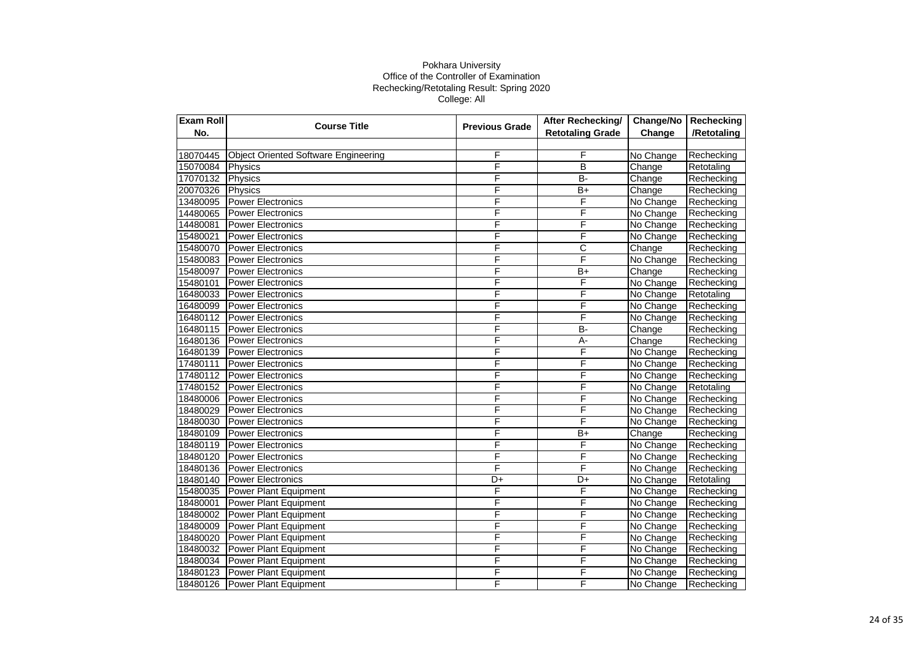| <b>Exam Roll</b> | <b>Course Title</b><br><b>Previous Grade</b> | <b>After Rechecking/</b> | Change/No               | Rechecking |             |
|------------------|----------------------------------------------|--------------------------|-------------------------|------------|-------------|
| No.              |                                              |                          | <b>Retotaling Grade</b> | Change     | /Retotaling |
|                  |                                              |                          |                         |            |             |
| 18070445         | <b>Object Oriented Software Engineering</b>  | F                        | F                       | No Change  | Rechecking  |
| 15070084         | Physics                                      | F                        | B                       | Change     | Retotaling  |
| 17070132         | Physics                                      | F                        | $B -$                   | Change     | Rechecking  |
| 20070326         | Physics                                      | F                        | $B+$                    | Change     | Rechecking  |
| 13480095         | <b>Power Electronics</b>                     | F                        | F                       | No Change  | Rechecking  |
| 14480065         | <b>Power Electronics</b>                     | F                        | F                       | No Change  | Rechecking  |
| 14480081         | <b>Power Electronics</b>                     | F                        | F                       | No Change  | Rechecking  |
| 15480021         | Power Electronics                            | F                        | F                       | No Change  | Rechecking  |
| 15480070         | <b>Power Electronics</b>                     | F                        | $\overline{\text{c}}$   | Change     | Rechecking  |
| 15480083         | Power Electronics                            | F                        | F                       | No Change  | Rechecking  |
| 15480097         | <b>Power Electronics</b>                     | F                        | $B+$                    | Change     | Rechecking  |
| 15480101         | <b>Power Electronics</b>                     | F                        | F                       | No Change  | Rechecking  |
| 16480033         | <b>Power Electronics</b>                     | F                        | F                       | No Change  | Retotaling  |
| 16480099         | <b>Power Electronics</b>                     | F                        | F                       | No Change  | Rechecking  |
| 16480112         | <b>Power Electronics</b>                     | F                        | F                       | No Change  | Rechecking  |
| 16480115         | <b>Power Electronics</b>                     | F                        | <b>B-</b>               | Change     | Rechecking  |
| 16480136         | <b>Power Electronics</b>                     | F                        | А-                      | Change     | Rechecking  |
| 16480139         | <b>Power Electronics</b>                     | F                        | F                       | No Change  | Rechecking  |
| 17480111         | <b>Power Electronics</b>                     | F                        | F                       | No Change  | Rechecking  |
| 17480112         | <b>Power Electronics</b>                     | F                        | F                       | No Change  | Rechecking  |
| 17480152         | <b>Power Electronics</b>                     | F                        | F                       | No Change  | Retotaling  |
| 18480006         | <b>Power Electronics</b>                     | F                        | F                       | No Change  | Rechecking  |
| 18480029         | <b>Power Electronics</b>                     | F                        | F                       | No Change  | Rechecking  |
| 18480030         | <b>Power Electronics</b>                     | F                        | F                       | No Change  | Rechecking  |
| 18480109         | <b>Power Electronics</b>                     | F                        | $\overline{B+}$         | Change     | Rechecking  |
| 18480119         | <b>Power Electronics</b>                     | F                        | F                       | No Change  | Rechecking  |
| 18480120         | <b>Power Electronics</b>                     | F                        | F                       | No Change  | Rechecking  |
| 18480136         | <b>Power Electronics</b>                     | F                        | F                       | No Change  | Rechecking  |
| 18480140         | <b>Power Electronics</b>                     | D+                       | D+                      | No Change  | Retotaling  |
| 15480035         | <b>Power Plant Equipment</b>                 | F                        | F                       | No Change  | Rechecking  |
| 18480001         | Power Plant Equipment                        | F                        | F                       | No Change  | Rechecking  |
| 18480002         | <b>Power Plant Equipment</b>                 | F                        | F                       | No Change  | Rechecking  |
| 18480009         | <b>Power Plant Equipment</b>                 | F                        | F                       | No Change  | Rechecking  |
| 18480020         | <b>Power Plant Equipment</b>                 | F                        | F                       | No Change  | Rechecking  |
| 18480032         | <b>Power Plant Equipment</b>                 | F                        | F                       | No Change  | Rechecking  |
| 18480034         | Power Plant Equipment                        | F                        | F                       | No Change  | Rechecking  |
| 18480123         | Power Plant Equipment                        | F                        | F                       | No Change  | Rechecking  |
| 18480126         | <b>Power Plant Equipment</b>                 | F                        | F                       | No Change  | Rechecking  |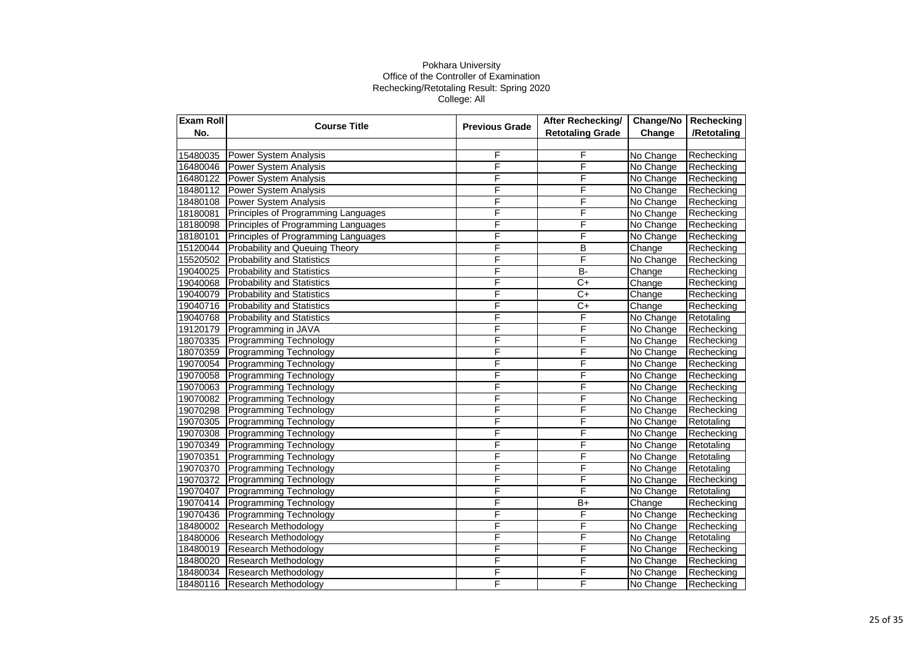| <b>Exam Roll</b> | <b>Course Title</b>                 | <b>Previous Grade</b> | After Rechecking/       | Change/No | Rechecking  |
|------------------|-------------------------------------|-----------------------|-------------------------|-----------|-------------|
| No.              |                                     |                       | <b>Retotaling Grade</b> | Change    | /Retotaling |
|                  |                                     |                       |                         |           |             |
| 15480035         | Power System Analysis               | F                     | F                       | No Change | Rechecking  |
| 16480046         | Power System Analysis               | F                     | F                       | No Change | Rechecking  |
| 16480122         | Power System Analysis               | F                     | F                       | No Change | Rechecking  |
| 18480112         | Power System Analysis               | F                     | F                       | No Change | Rechecking  |
| 18480108         | <b>Power System Analysis</b>        | F                     | F                       | No Change | Rechecking  |
| 18180081         | Principles of Programming Languages | F                     | F                       | No Change | Rechecking  |
| 18180098         | Principles of Programming Languages | F                     | F                       | No Change | Rechecking  |
| 18180101         | Principles of Programming Languages | F                     | F                       | No Change | Rechecking  |
| 15120044         | Probability and Queuing Theory      | F                     | $\overline{B}$          | Change    | Rechecking  |
| 15520502         | <b>Probability and Statistics</b>   | F                     | F                       | No Change | Rechecking  |
| 19040025         | <b>Probability and Statistics</b>   | F                     | $B -$                   | Change    | Rechecking  |
| 19040068         | <b>Probability and Statistics</b>   | F                     | $C+$                    | Change    | Rechecking  |
| 19040079         | <b>Probability and Statistics</b>   | F                     | $\overline{C}$          | Change    | Rechecking  |
| 19040716         | <b>Probability and Statistics</b>   | F                     | $C+$                    | Change    | Rechecking  |
| 19040768         | <b>Probability and Statistics</b>   | F                     | F                       | No Change | Retotaling  |
| 19120179         | Programming in JAVA                 | F                     | F                       | No Change | Rechecking  |
| 18070335         | <b>Programming Technology</b>       | F                     | F                       | No Change | Rechecking  |
| 18070359         | <b>Programming Technology</b>       | F                     | F                       | No Change | Rechecking  |
| 19070054         | <b>Programming Technology</b>       | F                     | F                       | No Change | Rechecking  |
| 19070058         | <b>Programming Technology</b>       | F                     | F                       | No Change | Rechecking  |
| 19070063         | <b>Programming Technology</b>       | F                     | F                       | No Change | Rechecking  |
| 19070082         | <b>Programming Technology</b>       | F                     | F                       | No Change | Rechecking  |
| 19070298         | <b>Programming Technology</b>       | F                     | F                       | No Change | Rechecking  |
| 19070305         | <b>Programming Technology</b>       | F                     | F                       | No Change | Retotaling  |
| 19070308         | Programming Technology              | F                     | F                       | No Change | Rechecking  |
| 19070349         | <b>Programming Technology</b>       | F                     | F                       | No Change | Retotaling  |
| 19070351         | Programming Technology              | F                     | $\overline{F}$          | No Change | Retotaling  |
| 19070370         | <b>Programming Technology</b>       | F                     | F                       | No Change | Retotaling  |
| 19070372         | <b>Programming Technology</b>       | F                     | F                       | No Change | Rechecking  |
| 19070407         | <b>Programming Technology</b>       | F                     | F                       | No Change | Retotaling  |
| 19070414         | <b>Programming Technology</b>       | F                     | $\overline{B+}$         | Change    | Rechecking  |
| 19070436         | <b>Programming Technology</b>       | F                     | F                       | No Change | Rechecking  |
| 18480002         | <b>Research Methodology</b>         | F                     | F                       | No Change | Rechecking  |
| 18480006         | Research Methodology                | F                     | F                       | No Change | Retotaling  |
| 18480019         | Research Methodology                | F                     | F                       | No Change | Rechecking  |
| 18480020         | Research Methodology                | F                     | F                       | No Change | Rechecking  |
| 18480034         | <b>Research Methodology</b>         | F                     | F                       | No Change | Rechecking  |
| 18480116         | Research Methodology                | F                     | F                       | No Change | Rechecking  |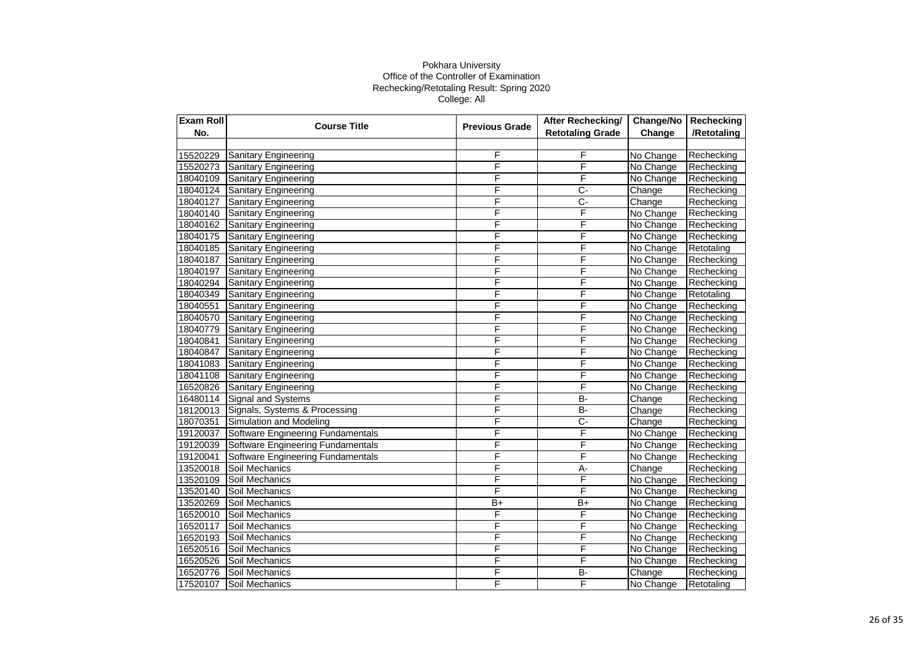| <b>Exam Roll</b> | <b>Course Title</b>               | <b>Previous Grade</b> | After Rechecking/       | Change/No | Rechecking  |
|------------------|-----------------------------------|-----------------------|-------------------------|-----------|-------------|
| No.              |                                   |                       | <b>Retotaling Grade</b> | Change    | /Retotaling |
|                  |                                   |                       |                         |           |             |
| 15520229         | Sanitary Engineering              | F                     | F                       | No Change | Rechecking  |
| 15520273         | Sanitary Engineering              | F                     | F                       | No Change | Rechecking  |
| 18040109         | Sanitary Engineering              | F                     | F                       | No Change | Rechecking  |
| 18040124         | <b>Sanitary Engineering</b>       | F                     | Ç-                      | Change    | Rechecking  |
| 18040127         | <b>Sanitary Engineering</b>       | F                     | $\overline{C}$          | Change    | Rechecking  |
| 18040140         | <b>Sanitary Engineering</b>       | F                     | F                       | No Change | Rechecking  |
| 18040162         | <b>Sanitary Engineering</b>       | F                     | F                       | No Change | Rechecking  |
| 18040175         | Sanitary Engineering              | F                     | F                       | No Change | Rechecking  |
| 18040185         | Sanitary Engineering              | F                     | F                       | No Change | Retotaling  |
| 18040187         | <b>Sanitary Engineering</b>       | F                     | F                       | No Change | Rechecking  |
| 18040197         | <b>Sanitary Engineering</b>       | F                     | F                       | No Change | Rechecking  |
| 18040294         | <b>Sanitary Engineering</b>       | F                     | F                       | No Change | Rechecking  |
| 18040349         | <b>Sanitary Engineering</b>       | F                     | F                       | No Change | Retotaling  |
| 18040551         | <b>Sanitary Engineering</b>       | F                     | F                       | No Change | Rechecking  |
| 18040570         | <b>Sanitary Engineering</b>       | F                     | F                       | No Change | Rechecking  |
| 18040779         | <b>Sanitary Engineering</b>       | F                     | F                       | No Change | Rechecking  |
| 18040841         | <b>Sanitary Engineering</b>       | F                     | F                       | No Change | Rechecking  |
| 18040847         | Sanitary Engineering              | F                     | F                       | No Change | Rechecking  |
| 18041083         | Sanitary Engineering              | F                     | F                       | No Change | Rechecking  |
| 18041108         | Sanitary Engineering              | F                     | F                       | No Change | Rechecking  |
| 16520826         | Sanitary Engineering              | Ē                     | F                       | No Change | Rechecking  |
| 16480114         | Signal and Systems                | F                     | $\overline{B}$          | Change    | Rechecking  |
| 18120013         | Signals, Systems & Processing     | F                     | $B -$                   | Change    | Rechecking  |
| 18070351         | Simulation and Modeling           | F                     | $C -$                   | Change    | Rechecking  |
| 19120037         | Software Engineering Fundamentals | F                     | F                       | No Change | Rechecking  |
| 19120039         | Software Engineering Fundamentals | F                     | F                       | No Change | Rechecking  |
| 19120041         | Software Engineering Fundamentals | F                     | F                       | No Change | Rechecking  |
| 13520018         | Soil Mechanics                    | F                     | $\overline{A}$ -        | Change    | Rechecking  |
| 13520109         | Soil Mechanics                    | F                     | F                       | No Change | Rechecking  |
| 13520140         | Soil Mechanics                    | F                     | F                       | No Change | Rechecking  |
| 13520269         | Soil Mechanics                    | $B+$                  | $B+$                    | No Change | Rechecking  |
| 16520010         | Soil Mechanics                    | F                     | F                       | No Change | Rechecking  |
| 16520117         | Soil Mechanics                    | F                     | F                       | No Change | Rechecking  |
| 16520193         | Soil Mechanics                    | F                     | F                       | No Change | Rechecking  |
| 16520516         | Soil Mechanics                    | F                     | F                       | No Change | Rechecking  |
| 16520526         | Soil Mechanics                    | F                     | F                       | No Change | Rechecking  |
| 16520776         | Soil Mechanics                    | F                     | B-                      | Change    | Rechecking  |
| 17520107         | Soil Mechanics                    | F                     | F                       | No Change | Retotaling  |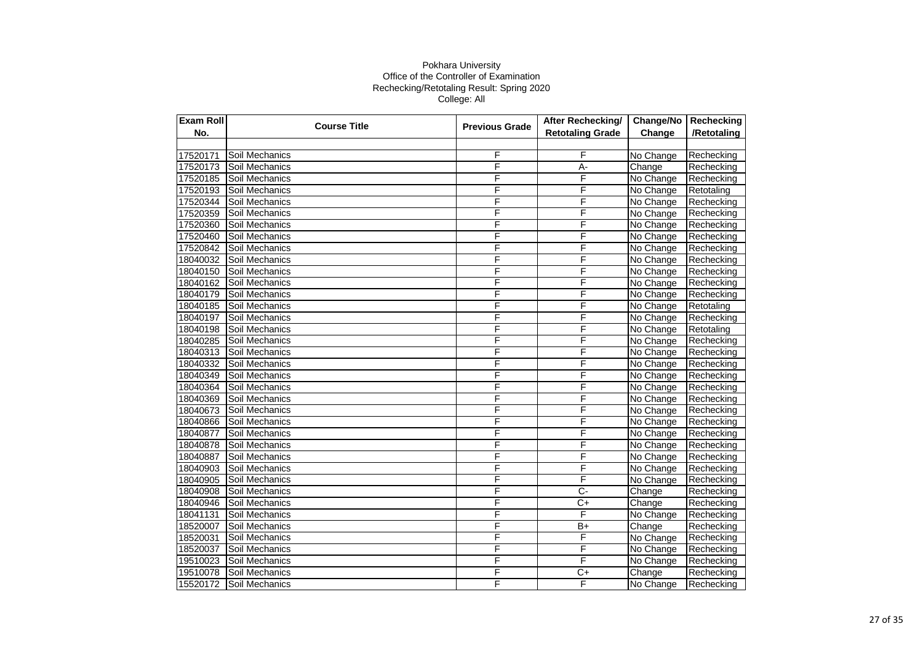| Exam Roll | <b>Course Title</b> | <b>Previous Grade</b> | <b>After Rechecking/</b> | Change/No | Rechecking  |
|-----------|---------------------|-----------------------|--------------------------|-----------|-------------|
| No.       |                     |                       | <b>Retotaling Grade</b>  | Change    | /Retotaling |
|           |                     |                       |                          |           |             |
| 17520171  | Soil Mechanics      | F                     | F                        | No Change | Rechecking  |
| 17520173  | Soil Mechanics      | F                     | $A -$                    | Change    | Rechecking  |
| 17520185  | Soil Mechanics      | F                     | F                        | No Change | Rechecking  |
| 17520193  | Soil Mechanics      | F                     | F                        | No Change | Retotaling  |
| 17520344  | Soil Mechanics      | F                     | F                        | No Change | Rechecking  |
| 17520359  | Soil Mechanics      | F                     | F                        | No Change | Rechecking  |
| 17520360  | Soil Mechanics      | F                     | F                        | No Change | Rechecking  |
| 17520460  | Soil Mechanics      | F                     | F                        | No Change | Rechecking  |
| 17520842  | Soil Mechanics      | F                     | F                        | No Change | Rechecking  |
| 18040032  | Soil Mechanics      | F                     | $\overline{\mathsf{F}}$  | No Change | Rechecking  |
| 18040150  | Soil Mechanics      | F                     | F                        | No Change | Rechecking  |
| 18040162  | Soil Mechanics      | F                     | F                        | No Change | Rechecking  |
| 18040179  | Soil Mechanics      | F                     | F                        | No Change | Rechecking  |
| 18040185  | Soil Mechanics      | F                     | F                        | No Change | Retotaling  |
| 18040197  | Soil Mechanics      | F                     | F                        | No Change | Rechecking  |
| 18040198  | Soil Mechanics      | F                     | F                        | No Change | Retotaling  |
| 18040285  | Soil Mechanics      | F                     | F                        | No Change | Rechecking  |
| 18040313  | Soil Mechanics      | F                     | F                        | No Change | Rechecking  |
| 18040332  | Soil Mechanics      | F                     | F                        | No Change | Rechecking  |
| 18040349  | Soil Mechanics      | F                     | F                        | No Change | Rechecking  |
| 18040364  | Soil Mechanics      | F                     | F                        | No Change | Rechecking  |
| 18040369  | Soil Mechanics      | F                     | F                        | No Change | Rechecking  |
| 18040673  | Soil Mechanics      | F                     | F                        | No Change | Rechecking  |
| 18040866  | Soil Mechanics      | F                     | F                        | No Change | Rechecking  |
| 18040877  | Soil Mechanics      | F                     | F                        | No Change | Rechecking  |
| 18040878  | Soil Mechanics      | F                     | F                        | No Change | Rechecking  |
| 18040887  | Soil Mechanics      | F                     | $\overline{\mathsf{F}}$  | No Change | Rechecking  |
| 18040903  | Soil Mechanics      | F                     | F                        | No Change | Rechecking  |
| 18040905  | Soil Mechanics      | F                     | F                        | No Change | Rechecking  |
| 18040908  | Soil Mechanics      | F                     | $\overline{C}$           | Change    | Rechecking  |
| 18040946  | Soil Mechanics      | F                     | $\overline{C}$           | Change    | Rechecking  |
| 18041131  | Soil Mechanics      | F                     | F                        | No Change | Rechecking  |
| 18520007  | Soil Mechanics      | F                     | $B+$                     | Change    | Rechecking  |
| 18520031  | Soil Mechanics      | F                     | F                        | No Change | Rechecking  |
| 18520037  | Soil Mechanics      | F                     | F                        | No Change | Rechecking  |
| 19510023  | Soil Mechanics      | F                     | F                        | No Change | Rechecking  |
| 19510078  | Soil Mechanics      | F                     | $C+$                     | Change    | Rechecking  |
| 15520172  | Soil Mechanics      | F                     | F                        | No Change | Rechecking  |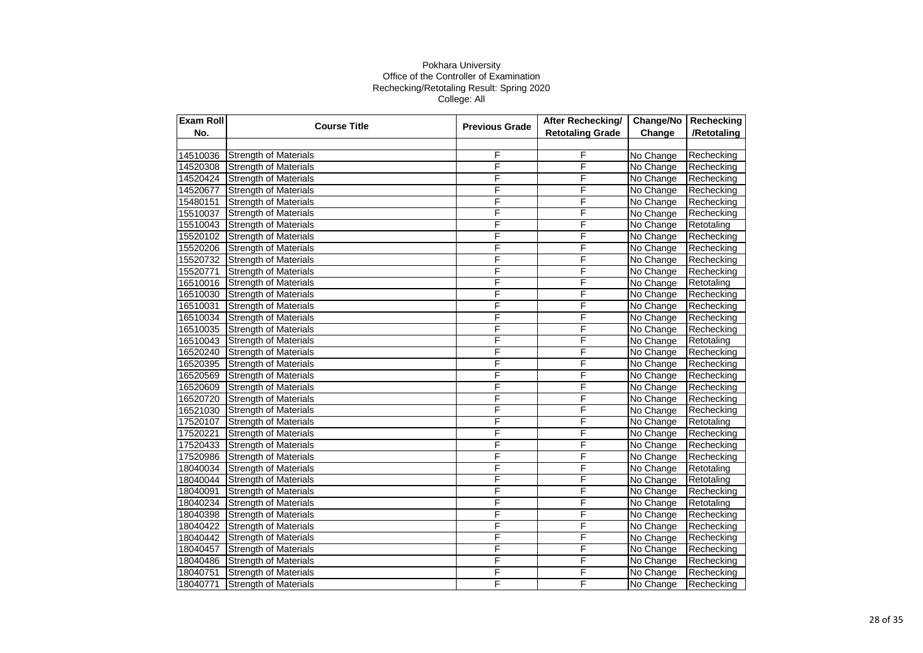| Exam Roll | <b>Course Title</b><br><b>Previous Grade</b> | After Rechecking/  | Change/No               | Rechecking |             |
|-----------|----------------------------------------------|--------------------|-------------------------|------------|-------------|
| No.       |                                              |                    | <b>Retotaling Grade</b> | Change     | /Retotaling |
|           |                                              |                    |                         |            |             |
| 14510036  | <b>Strength of Materials</b>                 | F                  | F                       | No Change  | Rechecking  |
| 14520308  | <b>Strength of Materials</b>                 | F                  | F                       | No Change  | Rechecking  |
| 14520424  | <b>Strength of Materials</b>                 | F                  | F                       | No Change  | Rechecking  |
| 14520677  | <b>Strength of Materials</b>                 | F                  | F                       | No Change  | Rechecking  |
| 15480151  | <b>Strength of Materials</b>                 | F                  | F                       | No Change  | Rechecking  |
| 15510037  | <b>Strength of Materials</b>                 | F                  | F                       | No Change  | Rechecking  |
| 15510043  | <b>Strength of Materials</b>                 | F                  | F                       | No Change  | Retotaling  |
| 15520102  | <b>Strength of Materials</b>                 | F                  | F                       | No Change  | Rechecking  |
| 15520206  | <b>Strength of Materials</b>                 | F                  | F                       | No Change  | Rechecking  |
| 15520732  | <b>Strength of Materials</b>                 | F                  | F                       | No Change  | Rechecking  |
| 15520771  | <b>Strength of Materials</b>                 | F                  | F                       | No Change  | Rechecking  |
| 16510016  | <b>Strength of Materials</b>                 | F                  | F                       | No Change  | Retotaling  |
| 16510030  | <b>Strength of Materials</b>                 | F                  | F                       | No Change  | Rechecking  |
| 16510031  | <b>Strength of Materials</b>                 | F                  | F                       | No Change  | Rechecking  |
| 16510034  | <b>Strength of Materials</b>                 | $\bar{\mathsf{F}}$ | F                       | No Change  | Rechecking  |
| 16510035  | <b>Strength of Materials</b>                 | F                  | $\overline{\mathsf{F}}$ | No Change  | Rechecking  |
| 16510043  | <b>Strength of Materials</b>                 | F                  | F                       | No Change  | Retotaling  |
| 16520240  | <b>Strength of Materials</b>                 | F                  | F                       | No Change  | Rechecking  |
| 16520395  | <b>Strength of Materials</b>                 | F                  | F                       | No Change  | Rechecking  |
| 16520569  | <b>Strength of Materials</b>                 | F                  | F                       | No Change  | Rechecking  |
| 16520609  | <b>Strength of Materials</b>                 | F                  | F                       | No Change  | Rechecking  |
| 16520720  | <b>Strength of Materials</b>                 | F                  | F                       | No Change  | Rechecking  |
| 16521030  | <b>Strength of Materials</b>                 | F                  | F                       | No Change  | Rechecking  |
| 17520107  | <b>Strength of Materials</b>                 | F                  | F                       | No Change  | Retotaling  |
| 17520221  | <b>Strength of Materials</b>                 | F                  | F                       | No Change  | Rechecking  |
| 17520433  | <b>Strength of Materials</b>                 | F                  | F                       | No Change  | Rechecking  |
| 17520986  | <b>Strength of Materials</b>                 | F                  | F                       | No Change  | Rechecking  |
| 18040034  | <b>Strength of Materials</b>                 | F                  | F                       | No Change  | Retotaling  |
| 18040044  | <b>Strength of Materials</b>                 | F                  | F                       | No Change  | Retotaling  |
| 18040091  | <b>Strength of Materials</b>                 | F                  | F                       | No Change  | Rechecking  |
| 18040234  | <b>Strength of Materials</b>                 | F                  | F                       | No Change  | Retotaling  |
| 18040398  | <b>Strength of Materials</b>                 | F                  | F                       | No Change  | Rechecking  |
| 18040422  | <b>Strength of Materials</b>                 | F                  | F                       | No Change  | Rechecking  |
| 18040442  | <b>Strength of Materials</b>                 | F                  | F                       | No Change  | Rechecking  |
| 18040457  | <b>Strength of Materials</b>                 | F                  | F                       | No Change  | Rechecking  |
| 18040486  | <b>Strength of Materials</b>                 | F                  | F                       | No Change  | Rechecking  |
| 18040751  | <b>Strength of Materials</b>                 | F                  | F                       | No Change  | Rechecking  |
| 18040771  | <b>Strength of Materials</b>                 | F                  | F                       | No Change  | Rechecking  |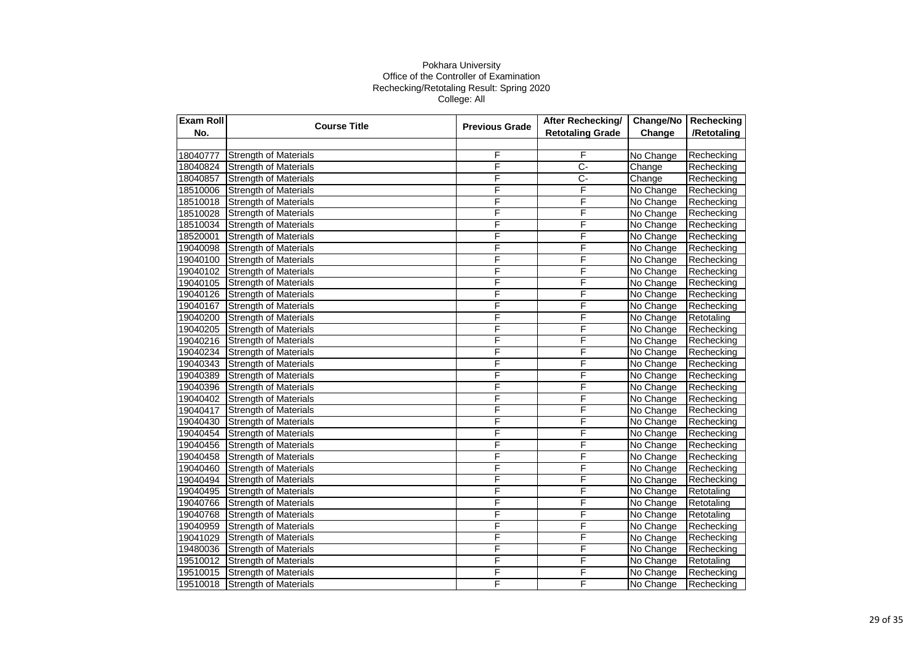| Exam Roll | <b>Course Title</b>          | <b>Previous Grade</b> | After Rechecking/       | Change/No | Rechecking  |
|-----------|------------------------------|-----------------------|-------------------------|-----------|-------------|
| No.       |                              |                       | <b>Retotaling Grade</b> | Change    | /Retotaling |
|           |                              |                       |                         |           |             |
| 18040777  | <b>Strength of Materials</b> | F                     | F                       | No Change | Rechecking  |
| 18040824  | <b>Strength of Materials</b> | F                     | $\overline{C}$          | Change    | Rechecking  |
| 18040857  | <b>Strength of Materials</b> | F                     | Ç-                      | Change    | Rechecking  |
| 18510006  | <b>Strength of Materials</b> | F                     | F                       | No Change | Rechecking  |
| 18510018  | <b>Strength of Materials</b> | F                     | F                       | No Change | Rechecking  |
| 18510028  | <b>Strength of Materials</b> | F                     | F                       | No Change | Rechecking  |
| 18510034  | <b>Strength of Materials</b> | F                     | F                       | No Change | Rechecking  |
| 18520001  | <b>Strength of Materials</b> | F                     | F                       | No Change | Rechecking  |
| 19040098  | <b>Strength of Materials</b> | F                     | F                       | No Change | Rechecking  |
| 19040100  | <b>Strength of Materials</b> | F                     | F                       | No Change | Rechecking  |
| 19040102  | <b>Strength of Materials</b> | F                     | F                       | No Change | Rechecking  |
| 19040105  | <b>Strength of Materials</b> | F                     | F                       | No Change | Rechecking  |
| 19040126  | <b>Strength of Materials</b> | F                     | F                       | No Change | Rechecking  |
| 19040167  | <b>Strength of Materials</b> | F                     | F                       | No Change | Rechecking  |
| 19040200  | <b>Strength of Materials</b> | $\bar{\mathsf{F}}$    | F                       | No Change | Retotaling  |
| 19040205  | <b>Strength of Materials</b> | F                     | $\overline{\mathsf{F}}$ | No Change | Rechecking  |
| 19040216  | <b>Strength of Materials</b> | F                     | F                       | No Change | Rechecking  |
| 19040234  | <b>Strength of Materials</b> | F                     | F                       | No Change | Rechecking  |
| 19040343  | <b>Strength of Materials</b> | F                     | F                       | No Change | Rechecking  |
| 19040389  | <b>Strength of Materials</b> | F                     | F                       | No Change | Rechecking  |
| 19040396  | <b>Strength of Materials</b> | F                     | F                       | No Change | Rechecking  |
| 19040402  | <b>Strength of Materials</b> | F                     | F                       | No Change | Rechecking  |
| 19040417  | <b>Strength of Materials</b> | F                     | F                       | No Change | Rechecking  |
| 19040430  | <b>Strength of Materials</b> | F                     | F                       | No Change | Rechecking  |
| 19040454  | <b>Strength of Materials</b> | F                     | F                       | No Change | Rechecking  |
| 19040456  | <b>Strength of Materials</b> | F                     | F                       | No Change | Rechecking  |
| 19040458  | <b>Strength of Materials</b> | F                     | F                       | No Change | Rechecking  |
| 19040460  | <b>Strength of Materials</b> | F                     | F                       | No Change | Rechecking  |
| 19040494  | <b>Strength of Materials</b> | F                     | F                       | No Change | Rechecking  |
| 19040495  | <b>Strength of Materials</b> | F                     | F                       | No Change | Retotaling  |
| 19040766  | <b>Strength of Materials</b> | F                     | F                       | No Change | Retotaling  |
| 19040768  | <b>Strength of Materials</b> | F                     | F                       | No Change | Retotaling  |
| 19040959  | <b>Strength of Materials</b> | F                     | F                       | No Change | Rechecking  |
| 19041029  | <b>Strength of Materials</b> | F                     | F                       | No Change | Rechecking  |
| 19480036  | <b>Strength of Materials</b> | F                     | F                       | No Change | Rechecking  |
| 19510012  | <b>Strength of Materials</b> | F                     | F                       | No Change | Retotaling  |
| 19510015  | <b>Strength of Materials</b> | F                     | F                       | No Change | Rechecking  |
| 19510018  | <b>Strength of Materials</b> | F                     | F                       | No Change | Rechecking  |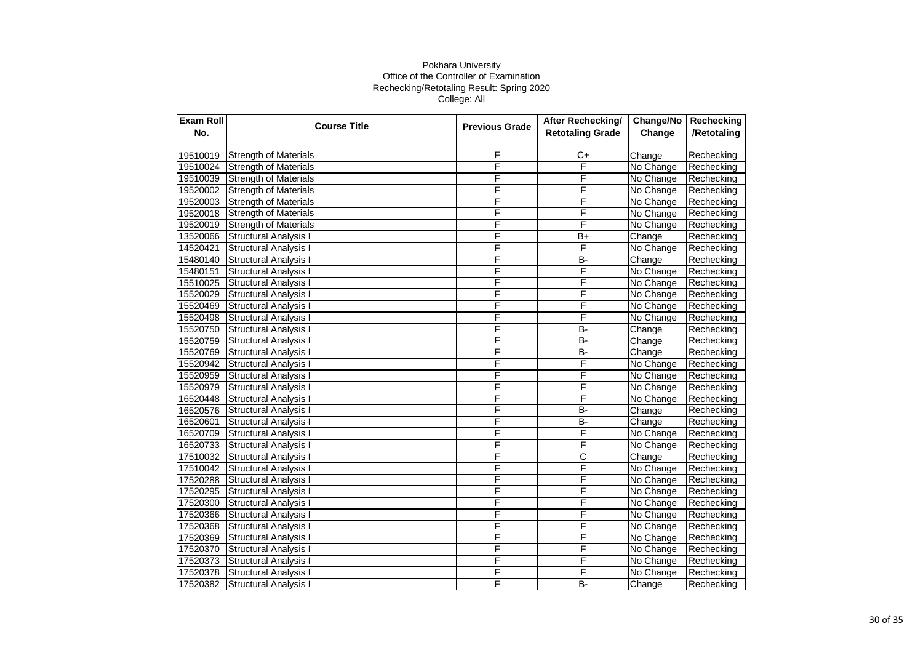| Exam Roll | <b>Course Title</b><br><b>Previous Grade</b> | After Rechecking/ | Change/No               | Rechecking |             |
|-----------|----------------------------------------------|-------------------|-------------------------|------------|-------------|
| No.       |                                              |                   | <b>Retotaling Grade</b> | Change     | /Retotaling |
|           |                                              |                   |                         |            |             |
| 19510019  | <b>Strength of Materials</b>                 | F                 | $C+$                    | Change     | Rechecking  |
| 19510024  | <b>Strength of Materials</b>                 | F                 | F                       | No Change  | Rechecking  |
| 19510039  | <b>Strength of Materials</b>                 | F                 | F                       | No Change  | Rechecking  |
| 19520002  | <b>Strength of Materials</b>                 | F                 | F                       | No Change  | Rechecking  |
| 19520003  | <b>Strength of Materials</b>                 | F                 | F                       | No Change  | Rechecking  |
| 19520018  | <b>Strength of Materials</b>                 | F                 | F                       | No Change  | Rechecking  |
| 19520019  | <b>Strength of Materials</b>                 | F                 | F                       | No Change  | Rechecking  |
| 13520066  | Structural Analysis I                        | F                 | $B+$                    | Change     | Rechecking  |
| 14520421  | Structural Analysis I                        | F                 | F                       | No Change  | Rechecking  |
| 15480140  | Structural Analysis I                        | F                 | B-                      | Change     | Rechecking  |
| 15480151  | <b>Structural Analysis I</b>                 | F                 | F                       | No Change  | Rechecking  |
| 15510025  | <b>Structural Analysis I</b>                 | F                 | F                       | No Change  | Rechecking  |
| 15520029  | <b>Structural Analysis I</b>                 | F                 | F                       | No Change  | Rechecking  |
| 15520469  | Structural Analysis I                        | F                 | F                       | No Change  | Rechecking  |
| 15520498  | Structural Analysis I                        | F                 | F                       | No Change  | Rechecking  |
| 15520750  | <b>Structural Analysis I</b>                 | F                 | <b>B-</b>               | Change     | Rechecking  |
| 15520759  | Structural Analysis I                        | F                 | <b>B-</b>               | Change     | Rechecking  |
| 15520769  | Structural Analysis I                        | F                 | <b>B-</b>               | Change     | Rechecking  |
| 15520942  | <b>Structural Analysis I</b>                 | F                 | F                       | No Change  | Rechecking  |
| 15520959  | Structural Analysis I                        | F                 | F                       | No Change  | Rechecking  |
| 15520979  | <b>Structural Analysis I</b>                 | F                 | F                       | No Change  | Rechecking  |
| 16520448  | <b>Structural Analysis I</b>                 | F                 | F                       | No Change  | Rechecking  |
| 16520576  | <b>Structural Analysis I</b>                 | F                 | B-                      | Change     | Rechecking  |
| 16520601  | <b>Structural Analysis I</b>                 | F                 | $B -$                   | Change     | Rechecking  |
| 16520709  | Structural Analysis I                        | F                 | F                       | No Change  | Rechecking  |
| 16520733  | <b>Structural Analysis I</b>                 | F                 | F                       | No Change  | Rechecking  |
| 17510032  | <b>Structural Analysis I</b>                 | F                 | C                       | Change     | Rechecking  |
| 17510042  | <b>Structural Analysis I</b>                 | F                 | F                       | No Change  | Rechecking  |
| 17520288  | <b>Structural Analysis I</b>                 | F                 | F                       | No Change  | Rechecking  |
| 17520295  | <b>Structural Analysis I</b>                 | F                 | F                       | No Change  | Rechecking  |
| 17520300  | Structural Analysis I                        | F                 | F                       | No Change  | Rechecking  |
| 17520366  | Structural Analysis I                        | F                 | F                       | No Change  | Rechecking  |
| 17520368  | <b>Structural Analysis I</b>                 | F                 | F                       | No Change  | Rechecking  |
| 17520369  | <b>Structural Analysis I</b>                 | F                 | F                       | No Change  | Rechecking  |
| 17520370  | <b>Structural Analysis I</b>                 | F                 | F                       | No Change  | Rechecking  |
| 17520373  | <b>Structural Analysis I</b>                 | F                 | F                       | No Change  | Rechecking  |
| 17520378  | <b>Structural Analysis I</b>                 | F                 | F                       | No Change  | Rechecking  |
| 17520382  | <b>Structural Analysis I</b>                 | F                 | B-                      | Change     | Rechecking  |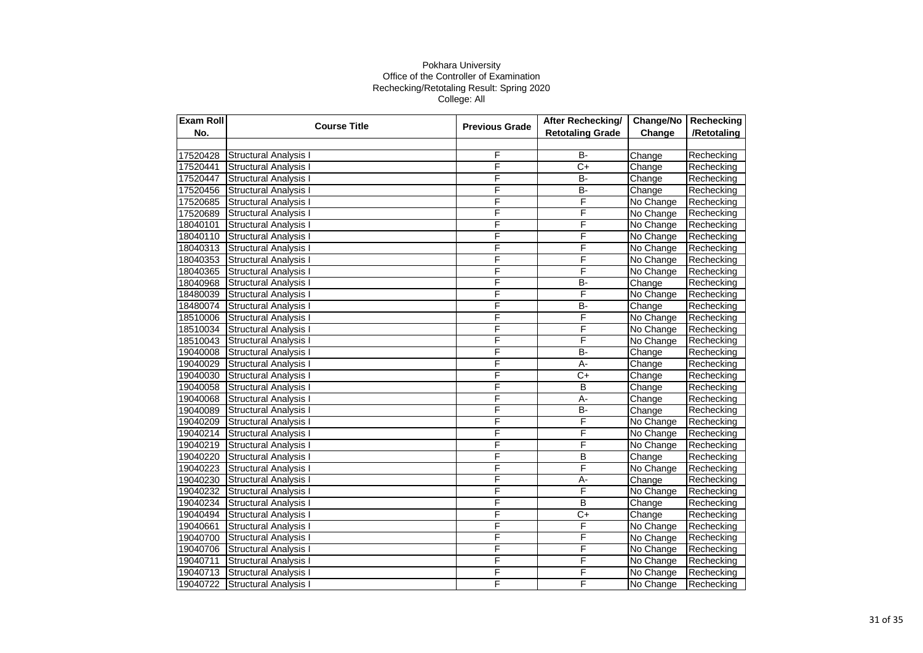| Exam Roll | <b>Course Title</b>          | <b>Previous Grade</b> | After Rechecking/       | Change/No | Rechecking  |
|-----------|------------------------------|-----------------------|-------------------------|-----------|-------------|
| No.       |                              |                       | <b>Retotaling Grade</b> | Change    | /Retotaling |
|           |                              |                       |                         |           |             |
| 17520428  | <b>Structural Analysis I</b> | F                     | $B -$                   | Change    | Rechecking  |
| 17520441  | Structural Analysis I        | F                     | $\overline{C}$          | Change    | Rechecking  |
| 17520447  | <b>Structural Analysis I</b> | F                     | $B -$                   | Change    | Rechecking  |
| 17520456  | Structural Analysis I        | F                     | B-                      | Change    | Rechecking  |
| 17520685  | <b>Structural Analysis I</b> | F                     | F                       | No Change | Rechecking  |
| 17520689  | Structural Analysis I        | F                     | F                       | No Change | Rechecking  |
| 18040101  | <b>Structural Analysis I</b> | F                     | F                       | No Change | Rechecking  |
| 18040110  | <b>Structural Analysis I</b> | F                     | F                       | No Change | Rechecking  |
| 18040313  | Structural Analysis I        | F                     | F                       | No Change | Rechecking  |
| 18040353  | Structural Analysis I        | F                     | F                       | No Change | Rechecking  |
| 18040365  | <b>Structural Analysis I</b> | F                     | F                       | No Change | Rechecking  |
| 18040968  | <b>Structural Analysis I</b> | F                     | <b>B-</b>               | Change    | Rechecking  |
| 18480039  | <b>Structural Analysis I</b> | F                     | F                       | No Change | Rechecking  |
| 18480074  | <b>Structural Analysis I</b> | F                     | B-                      | Change    | Rechecking  |
| 18510006  | <b>Structural Analysis I</b> | F                     | F                       | No Change | Rechecking  |
| 18510034  | <b>Structural Analysis I</b> | F                     | F                       | No Change | Rechecking  |
| 18510043  | <b>Structural Analysis I</b> | F                     | F                       | No Change | Rechecking  |
| 19040008  | Structural Analysis I        | F                     | $\overline{B}$          | Change    | Rechecking  |
| 19040029  | <b>Structural Analysis I</b> | F                     | $A -$                   | Change    | Rechecking  |
| 19040030  | <b>Structural Analysis I</b> | F                     | $\overline{C+}$         | Change    | Rechecking  |
| 19040058  | <b>Structural Analysis I</b> | F                     | B                       | Change    | Rechecking  |
| 19040068  | <b>Structural Analysis I</b> | F                     | $A -$                   | Change    | Rechecking  |
| 19040089  | <b>Structural Analysis I</b> | F                     | B-                      | Change    | Rechecking  |
| 19040209  | <b>Structural Analysis I</b> | F                     | F                       | No Change | Rechecking  |
| 19040214  | Structural Analysis I        | F                     | F                       | No Change | Rechecking  |
| 19040219  | <b>Structural Analysis I</b> | F                     | F                       | No Change | Rechecking  |
| 19040220  | <b>Structural Analysis I</b> | F                     | B                       | Change    | Rechecking  |
| 19040223  | <b>Structural Analysis I</b> | F                     | F                       | No Change | Rechecking  |
| 19040230  | <b>Structural Analysis I</b> | F                     | А-                      | Change    | Rechecking  |
| 19040232  | <b>Structural Analysis I</b> | F                     | F                       | No Change | Rechecking  |
| 19040234  | Structural Analysis I        | F                     | B                       | Change    | Rechecking  |
| 19040494  | Structural Analysis I        | F                     | $\overline{C}$          | Change    | Rechecking  |
| 19040661  | Structural Analysis I        | F                     | F                       | No Change | Rechecking  |
| 19040700  | <b>Structural Analysis I</b> | F                     | F                       | No Change | Rechecking  |
| 19040706  | <b>Structural Analysis I</b> | F                     | F                       | No Change | Rechecking  |
| 19040711  | <b>Structural Analysis I</b> | F                     | F                       | No Change | Rechecking  |
| 19040713  | Structural Analysis I        | F                     | F                       | No Change | Rechecking  |
| 19040722  | <b>Structural Analysis I</b> | F                     | F                       | No Change | Rechecking  |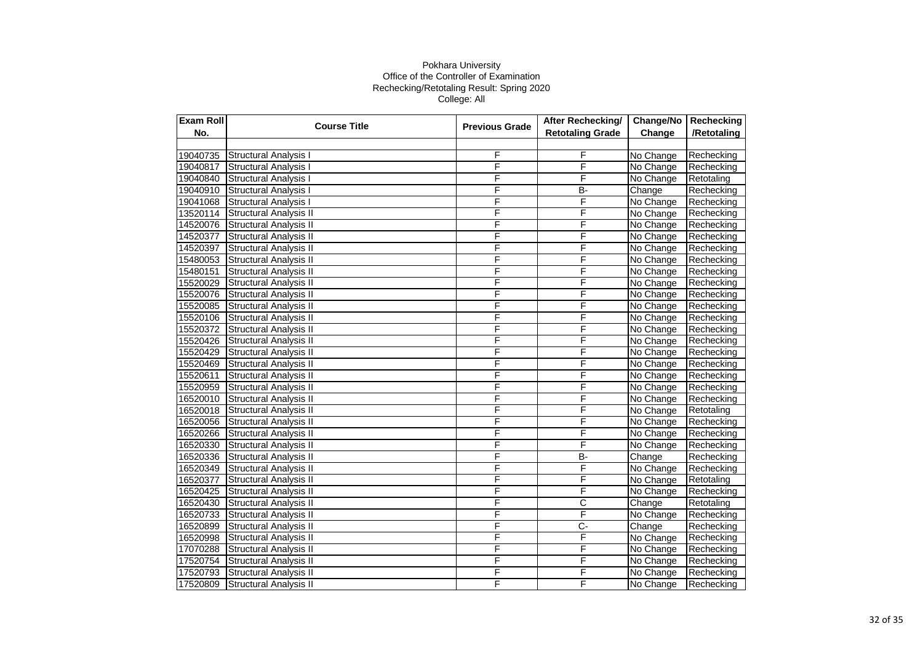| Exam Roll | <b>Course Title</b>           | <b>Previous Grade</b> | After Rechecking/       | Change/No | Rechecking  |
|-----------|-------------------------------|-----------------------|-------------------------|-----------|-------------|
| No.       |                               |                       | <b>Retotaling Grade</b> | Change    | /Retotaling |
|           |                               |                       |                         |           |             |
| 19040735  | <b>Structural Analysis I</b>  | F                     | F                       | No Change | Rechecking  |
| 19040817  | Structural Analysis I         | F                     | F                       | No Change | Rechecking  |
| 19040840  | Structural Analysis I         | F                     | Ē                       | No Change | Retotaling  |
| 19040910  | <b>Structural Analysis I</b>  | F                     | B-                      | Change    | Rechecking  |
| 19041068  | <b>Structural Analysis I</b>  | F                     | F                       | No Change | Rechecking  |
| 13520114  | <b>Structural Analysis II</b> | F                     | F                       | No Change | Rechecking  |
| 14520076  | <b>Structural Analysis II</b> | F                     | F                       | No Change | Rechecking  |
| 14520377  | Structural Analysis II        | F                     | F                       | No Change | Rechecking  |
| 14520397  | <b>Structural Analysis II</b> | F                     | F                       | No Change | Rechecking  |
| 15480053  | <b>Structural Analysis II</b> | F                     | F                       | No Change | Rechecking  |
| 15480151  | <b>Structural Analysis II</b> | F                     | F                       | No Change | Rechecking  |
| 15520029  | <b>Structural Analysis II</b> | F                     | F                       | No Change | Rechecking  |
| 15520076  | <b>Structural Analysis II</b> | F                     | F                       | No Change | Rechecking  |
| 15520085  | Structural Analysis II        | F                     | F                       | No Change | Rechecking  |
| 15520106  | <b>Structural Analysis II</b> | F                     | $\bar{F}$               | No Change | Rechecking  |
| 15520372  | Structural Analysis II        | F                     | F                       | No Change | Rechecking  |
| 15520426  | <b>Structural Analysis II</b> | F                     | F                       | No Change | Rechecking  |
| 15520429  | <b>Structural Analysis II</b> | F                     | F                       | No Change | Rechecking  |
| 15520469  | <b>Structural Analysis II</b> | F                     | F                       | No Change | Rechecking  |
| 15520611  | Structural Analysis II        | F                     | F                       | No Change | Rechecking  |
| 15520959  | Structural Analysis II        | F                     | F                       | No Change | Rechecking  |
| 16520010  | <b>Structural Analysis II</b> | F                     | F                       | No Change | Rechecking  |
| 16520018  | <b>Structural Analysis II</b> | F                     | F                       | No Change | Retotaling  |
| 16520056  | <b>Structural Analysis II</b> | F                     | F                       | No Change | Rechecking  |
| 16520266  | <b>Structural Analysis II</b> | F                     | F                       | No Change | Rechecking  |
| 16520330  | <b>Structural Analysis II</b> | F                     | F                       | No Change | Rechecking  |
| 16520336  | <b>Structural Analysis II</b> | F                     | <b>B-</b>               | Change    | Rechecking  |
| 16520349  | <b>Structural Analysis II</b> | F                     | F                       | No Change | Rechecking  |
| 16520377  | <b>Structural Analysis II</b> | F                     | F                       | No Change | Retotaling  |
| 16520425  | <b>Structural Analysis II</b> | F                     | F                       | No Change | Rechecking  |
| 16520430  | <b>Structural Analysis II</b> | F                     | $\overline{\text{c}}$   | Change    | Retotaling  |
| 16520733  | Structural Analysis II        | F                     | F                       | No Change | Rechecking  |
| 16520899  | <b>Structural Analysis II</b> | F                     | C-                      | Change    | Rechecking  |
| 16520998  | <b>Structural Analysis II</b> | F                     | F                       | No Change | Rechecking  |
| 17070288  | Structural Analysis II        | F                     | F                       | No Change | Rechecking  |
| 17520754  | Structural Analysis II        | F                     | F                       | No Change | Rechecking  |
| 17520793  | Structural Analysis II        | F                     | F                       | No Change | Rechecking  |
| 17520809  | <b>Structural Analysis II</b> | F                     | F                       | No Change | Rechecking  |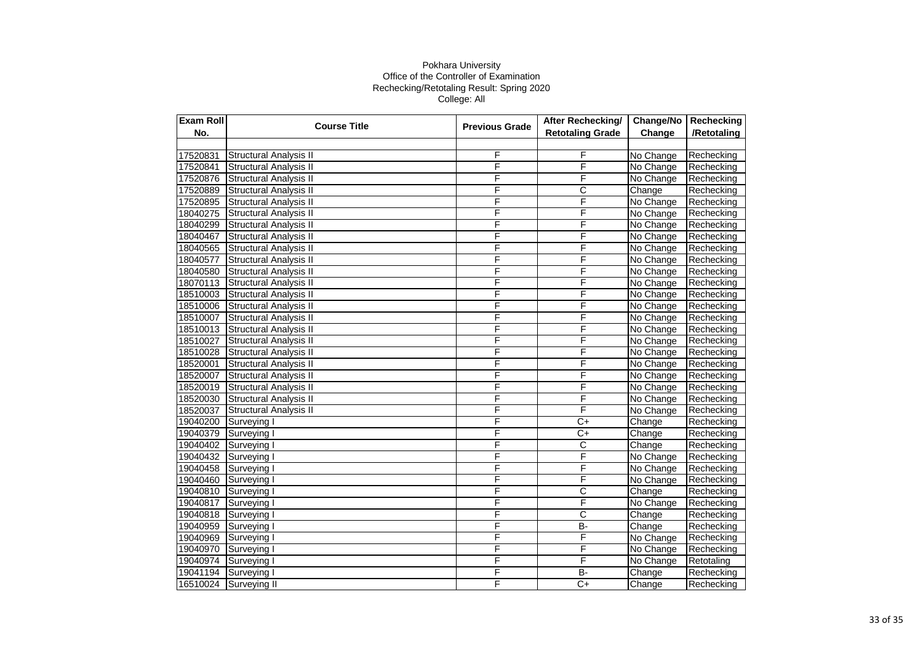| Exam Roll | <b>Course Title</b>           | <b>Previous Grade</b> | After Rechecking/       | Change/No | Rechecking  |
|-----------|-------------------------------|-----------------------|-------------------------|-----------|-------------|
| No.       |                               |                       | <b>Retotaling Grade</b> | Change    | /Retotaling |
|           |                               |                       |                         |           |             |
| 17520831  | <b>Structural Analysis II</b> | F                     | F                       | No Change | Rechecking  |
| 17520841  | <b>Structural Analysis II</b> | F                     | F                       | No Change | Rechecking  |
| 17520876  | <b>Structural Analysis II</b> | F                     | F                       | No Change | Rechecking  |
| 17520889  | <b>Structural Analysis II</b> | F                     | C                       | Change    | Rechecking  |
| 17520895  | <b>Structural Analysis II</b> | F                     | F                       | No Change | Rechecking  |
| 18040275  | <b>Structural Analysis II</b> | F                     | F                       | No Change | Rechecking  |
| 18040299  | <b>Structural Analysis II</b> | F                     | F                       | No Change | Rechecking  |
| 18040467  | Structural Analysis II        | F                     | F                       | No Change | Rechecking  |
| 18040565  | <b>Structural Analysis II</b> | F                     | F                       | No Change | Rechecking  |
| 18040577  | Structural Analysis II        | F                     | F                       | No Change | Rechecking  |
| 18040580  | <b>Structural Analysis II</b> | F                     | F                       | No Change | Rechecking  |
| 18070113  | <b>Structural Analysis II</b> | F                     | F                       | No Change | Rechecking  |
| 18510003  | <b>Structural Analysis II</b> | F                     | F                       | No Change | Rechecking  |
| 18510006  | <b>Structural Analysis II</b> | F                     | F                       | No Change | Rechecking  |
| 18510007  | <b>Structural Analysis II</b> | F                     | Ē                       | No Change | Rechecking  |
| 18510013  | Structural Analysis II        | F                     | F                       | No Change | Rechecking  |
| 18510027  | <b>Structural Analysis II</b> | F                     | F                       | No Change | Rechecking  |
| 18510028  | <b>Structural Analysis II</b> | F                     | F                       | No Change | Rechecking  |
| 18520001  | <b>Structural Analysis II</b> | F                     | F                       | No Change | Rechecking  |
| 18520007  | Structural Analysis II        | F                     | F                       | No Change | Rechecking  |
| 18520019  | <b>Structural Analysis II</b> | F                     | F                       | No Change | Rechecking  |
| 18520030  | <b>Structural Analysis II</b> | F                     | F                       | No Change | Rechecking  |
| 18520037  | <b>Structural Analysis II</b> | F                     | F                       | No Change | Rechecking  |
| 19040200  | Surveying I                   | F                     | $C+$                    | Change    | Rechecking  |
| 19040379  | Surveying I                   | F                     | $\overline{C+}$         | Change    | Rechecking  |
| 19040402  | Surveying I                   | F                     | $\overline{\text{c}}$   | Change    | Rechecking  |
| 19040432  | Surveying I                   | F                     | F                       | No Change | Rechecking  |
| 19040458  | Surveying I                   | F                     | F                       | No Change | Rechecking  |
| 19040460  | Surveying I                   | F                     | F                       | No Change | Rechecking  |
| 19040810  | Surveying I                   | F                     | $\overline{\text{c}}$   | Change    | Rechecking  |
| 19040817  | Surveying I                   | F                     | F                       | No Change | Rechecking  |
| 19040818  | Surveying I                   | F                     | C                       | Change    | Rechecking  |
| 19040959  | Surveying I                   | F                     | $B -$                   | Change    | Rechecking  |
| 19040969  | Surveying I                   | F                     | F                       | No Change | Rechecking  |
| 19040970  | Surveying I                   | F                     | F                       | No Change | Rechecking  |
| 19040974  | Surveying I                   | F                     | F                       | No Change | Retotaling  |
| 19041194  | Surveying I                   | F                     | $B -$                   | Change    | Rechecking  |
| 16510024  | Surveying II                  | F                     | $C+$                    | Change    | Rechecking  |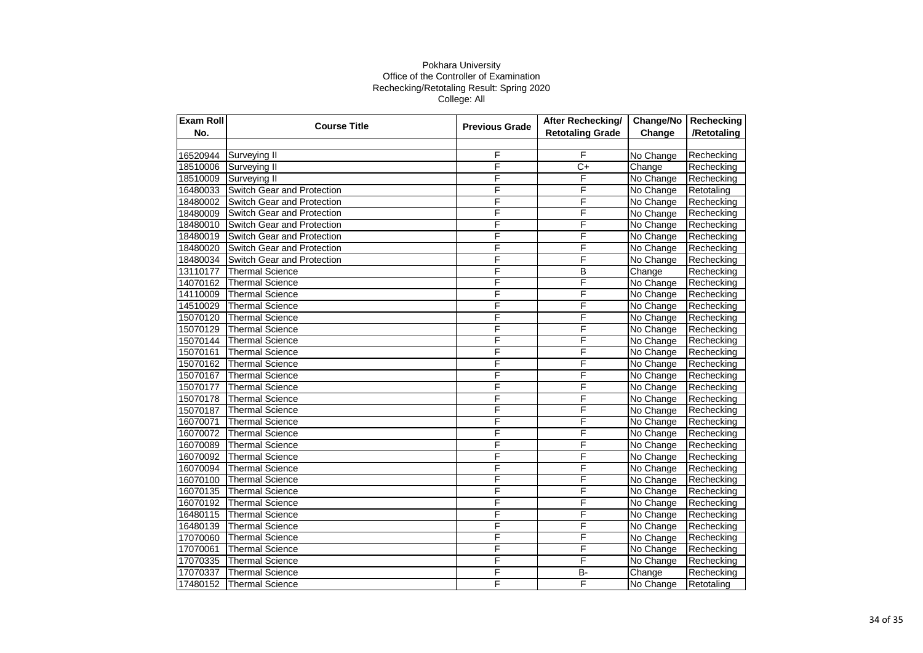| Exam Roll | <b>Course Title</b>               | <b>Previous Grade</b> | After Rechecking/       | Change/No | Rechecking  |
|-----------|-----------------------------------|-----------------------|-------------------------|-----------|-------------|
| No.       |                                   |                       | <b>Retotaling Grade</b> | Change    | /Retotaling |
|           |                                   |                       |                         |           |             |
| 16520944  | Surveying II                      | F                     | F                       | No Change | Rechecking  |
| 18510006  | Surveying II                      | F                     | $\overline{C}$          | Change    | Rechecking  |
| 18510009  | Surveying II                      | F                     | F                       | No Change | Rechecking  |
| 16480033  | <b>Switch Gear and Protection</b> | F                     | F                       | No Change | Retotaling  |
| 18480002  | Switch Gear and Protection        | F                     | F                       | No Change | Rechecking  |
| 18480009  | Switch Gear and Protection        | F                     | F                       | No Change | Rechecking  |
| 18480010  | Switch Gear and Protection        | F                     | F                       | No Change | Rechecking  |
| 18480019  | Switch Gear and Protection        | F                     | F                       | No Change | Rechecking  |
| 18480020  | Switch Gear and Protection        | F                     | F                       | No Change | Rechecking  |
| 18480034  | Switch Gear and Protection        | F                     | F                       | No Change | Rechecking  |
| 13110177  | <b>Thermal Science</b>            | F                     | B                       | Change    | Rechecking  |
| 14070162  | <b>Thermal Science</b>            | F                     | F                       | No Change | Rechecking  |
| 14110009  | <b>Thermal Science</b>            | F                     | F                       | No Change | Rechecking  |
| 14510029  | <b>Thermal Science</b>            | F                     | F                       | No Change | Rechecking  |
| 15070120  | <b>Thermal Science</b>            | F                     | F                       | No Change | Rechecking  |
| 15070129  | Thermal Science                   | F                     | F                       | No Change | Rechecking  |
| 15070144  | <b>Thermal Science</b>            | F                     | F                       | No Change | Rechecking  |
| 15070161  | <b>Thermal Science</b>            | F                     | F                       | No Change | Rechecking  |
| 15070162  | <b>Thermal Science</b>            | F                     | F                       | No Change | Rechecking  |
| 15070167  | <b>Thermal Science</b>            | F                     | F                       | No Change | Rechecking  |
| 15070177  | <b>Thermal Science</b>            | F                     | F                       | No Change | Rechecking  |
| 15070178  | <b>Thermal Science</b>            | F                     | F                       | No Change | Rechecking  |
| 15070187  | <b>Thermal Science</b>            | F                     | F                       | No Change | Rechecking  |
| 16070071  | <b>Thermal Science</b>            | F                     | F                       | No Change | Rechecking  |
| 16070072  | <b>Thermal Science</b>            | F                     | F                       | No Change | Rechecking  |
| 16070089  | <b>Thermal Science</b>            | F                     | F                       | No Change | Rechecking  |
| 16070092  | <b>Thermal Science</b>            | F                     | F                       | No Change | Rechecking  |
| 16070094  | <b>Thermal Science</b>            | F                     | F                       | No Change | Rechecking  |
| 16070100  | Thermal Science                   | F                     | F                       | No Change | Rechecking  |
| 16070135  | <b>Thermal Science</b>            | F                     | F                       | No Change | Rechecking  |
| 16070192  | <b>Thermal Science</b>            | F                     | F                       | No Change | Rechecking  |
| 16480115  | <b>Thermal Science</b>            | F                     | F                       | No Change | Rechecking  |
| 16480139  | <b>Thermal Science</b>            | F                     | F                       | No Change | Rechecking  |
| 17070060  | <b>Thermal Science</b>            | F                     | F                       | No Change | Rechecking  |
| 17070061  | <b>Thermal Science</b>            | F                     | F                       | No Change | Rechecking  |
| 17070335  | <b>Thermal Science</b>            | F                     | F                       | No Change | Rechecking  |
| 17070337  | <b>Thermal Science</b>            | F                     | $B -$                   | Change    | Rechecking  |
| 17480152  | <b>Thermal Science</b>            | F                     | F                       | No Change | Retotaling  |